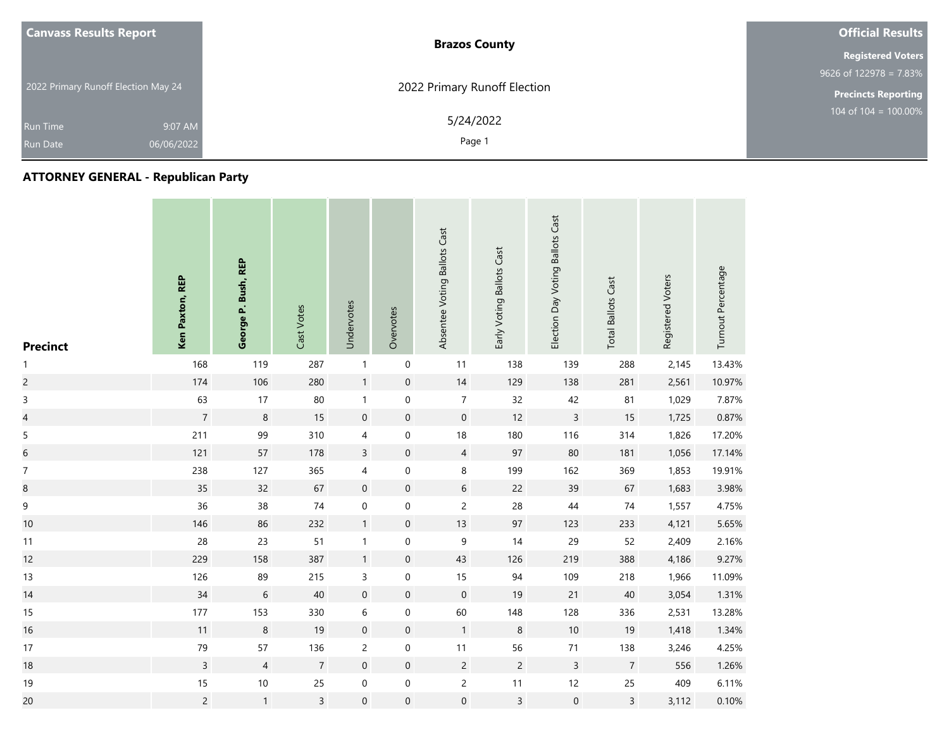| <b>Canvass Results Report</b>       |            | <b>Brazos County</b>         | <b>Official Results</b>    |
|-------------------------------------|------------|------------------------------|----------------------------|
|                                     |            |                              | <b>Registered Voters</b>   |
|                                     |            |                              | 9626 of $122978 = 7.83\%$  |
| 2022 Primary Runoff Election May 24 |            | 2022 Primary Runoff Election | <b>Precincts Reporting</b> |
| <b>Run Time</b>                     | 9:07 AM    | 5/24/2022                    | $104$ of $104 = 100.00\%$  |
| <b>Run Date</b>                     | 06/06/2022 | Page 1                       |                            |

| <b>Precinct</b>          | Ken Paxton, REP | George P. Bush, REP | Cast Votes     | Undervotes               | Overvotes           | Absentee Voting Ballots Cast | Early Voting Ballots Cast | Election Day Voting Ballots Cast | <b>Total Ballots Cast</b> | Registered Voters | Turnout Percentage |
|--------------------------|-----------------|---------------------|----------------|--------------------------|---------------------|------------------------------|---------------------------|----------------------------------|---------------------------|-------------------|--------------------|
| $\mathbf{1}$             | 168             | 119                 | 287            | $\mathbf{1}$             | $\mathbf 0$         | 11                           | 138                       | 139                              | 288                       | 2,145             | 13.43%             |
| $\overline{c}$           | 174             | 106                 | 280            | $\mathbf{1}$             | $\mathsf{O}\xspace$ | $14$                         | 129                       | 138                              | 281                       | 2,561             | 10.97%             |
| $\mathsf 3$              | 63              | 17                  | $80\,$         | $\mathbf{1}$             | $\mathbf 0$         | $\overline{7}$               | 32                        | 42                               | 81                        | 1,029             | 7.87%              |
| $\overline{\mathcal{L}}$ | $\overline{7}$  | $\,8\,$             | 15             | $\mathbf 0$              | $\mathsf{O}\xspace$ | $\mathsf{O}\xspace$          | 12                        | $\overline{3}$                   | 15                        | 1,725             | 0.87%              |
| $\mathsf S$              | 211             | 99                  | 310            | $\overline{\mathcal{A}}$ | $\mathsf{O}\xspace$ | 18                           | 180                       | 116                              | 314                       | 1,826             | 17.20%             |
| $\sqrt{6}$               | 121             | 57                  | 178            | $\mathsf{3}$             | $\mathbf 0$         | $\overline{4}$               | 97                        | 80                               | 181                       | 1,056             | 17.14%             |
| $\boldsymbol{7}$         | 238             | 127                 | 365            | $\overline{\mathcal{A}}$ | $\boldsymbol{0}$    | 8                            | 199                       | 162                              | 369                       | 1,853             | 19.91%             |
| $\bf8$                   | 35              | 32                  | 67             | $\mathbf 0$              | $\mathsf{O}\xspace$ | $6\,$                        | 22                        | 39                               | 67                        | 1,683             | 3.98%              |
| 9                        | 36              | 38                  | $74$           | $\boldsymbol{0}$         | $\boldsymbol{0}$    | $\overline{c}$               | 28                        | 44                               | 74                        | 1,557             | 4.75%              |
| $10$                     | 146             | 86                  | 232            | $\mathbf{1}$             | $\mathsf{O}\xspace$ | 13                           | 97                        | 123                              | 233                       | 4,121             | 5.65%              |
| 11                       | 28              | 23                  | 51             | $\mathbf{1}$             | $\mathbf 0$         | 9                            | 14                        | 29                               | 52                        | 2,409             | 2.16%              |
| 12                       | 229             | 158                 | 387            | $\mathbf{1}$             | $\pmb{0}$           | 43                           | 126                       | 219                              | 388                       | 4,186             | 9.27%              |
| 13                       | 126             | 89                  | 215            | $\mathsf 3$              | $\boldsymbol{0}$    | 15                           | 94                        | 109                              | 218                       | 1,966             | 11.09%             |
| 14                       | 34              | $\sqrt{6}$          | 40             | $\mathbf 0$              | $\mathsf{O}\xspace$ | $\mathsf{O}\xspace$          | 19                        | 21                               | 40                        | 3,054             | 1.31%              |
| 15                       | $177$           | 153                 | 330            | $\,$ 6 $\,$              | $\boldsymbol{0}$    | 60                           | 148                       | 128                              | 336                       | 2,531             | 13.28%             |
| 16                       | 11              | 8                   | 19             | $\boldsymbol{0}$         | $\pmb{0}$           | $\mathbf{1}$                 | 8                         | $10\,$                           | 19                        | 1,418             | 1.34%              |
| 17                       | 79              | 57                  | 136            | $\overline{c}$           | $\boldsymbol{0}$    | $11$                         | 56                        | $71\,$                           | 138                       | 3,246             | 4.25%              |
| 18                       | $\mathsf{3}$    | $\overline{4}$      | $\overline{7}$ | $\mathbf 0$              | $\mathsf{O}\xspace$ | $\overline{2}$               | $\overline{2}$            | $\overline{3}$                   | $\overline{7}$            | 556               | 1.26%              |
| 19                       | $15\,$          | $10\,$              | 25             | $\pmb{0}$                | $\pmb{0}$           | $\overline{c}$               | $11$                      | 12                               | 25                        | 409               | 6.11%              |
| 20                       | $\overline{c}$  | $\mathbf{1}$        | $\overline{3}$ | $\boldsymbol{0}$         | $\mathsf{O}\xspace$ | $\boldsymbol{0}$             | $\mathsf{3}$              | $\boldsymbol{0}$                 | $\overline{3}$            | 3,112             | 0.10%              |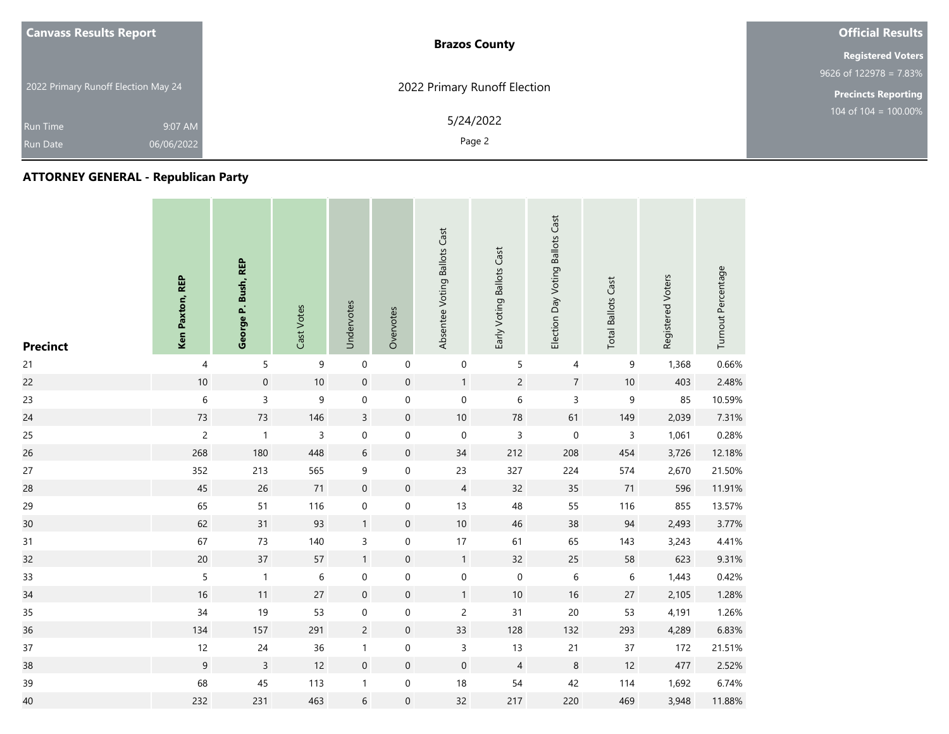| <b>Canvass Results Report</b>       | <b>Brazos County</b>         | <b>Official Results</b>    |
|-------------------------------------|------------------------------|----------------------------|
|                                     |                              | <b>Registered Voters</b>   |
|                                     |                              | 9626 of 122978 = 7.83%     |
| 2022 Primary Runoff Election May 24 | 2022 Primary Runoff Election | <b>Precincts Reporting</b> |
| <b>Run Time</b>                     | 5/24/2022<br>9:07 AM         | $104$ of $104 = 100.00\%$  |
| 06/06/2022<br><b>Run Date</b>       | Page 2                       |                            |

| <b>Precinct</b> | Ken Paxton, REP | George P. Bush, REP | Cast Votes | Undervotes       | Overvotes           | Absentee Voting Ballots Cast | Early Voting Ballots Cast | Election Day Voting Ballots Cast | <b>Total Ballots Cast</b> | Registered Voters | Turnout Percentage |
|-----------------|-----------------|---------------------|------------|------------------|---------------------|------------------------------|---------------------------|----------------------------------|---------------------------|-------------------|--------------------|
| 21              | $\overline{4}$  | $\overline{5}$      | 9          | $\boldsymbol{0}$ | $\boldsymbol{0}$    | $\boldsymbol{0}$             | 5                         | 4                                | 9                         | 1,368             | 0.66%              |
| 22              | $10\,$          | $\mathbf 0$         | $10\,$     | $\boldsymbol{0}$ | $\boldsymbol{0}$    | $\mathbf{1}$                 | $\overline{c}$            | $\overline{7}$                   | $10$                      | 403               | 2.48%              |
| 23              | $\,$ 6 $\,$     | 3                   | 9          | $\boldsymbol{0}$ | $\boldsymbol{0}$    | $\boldsymbol{0}$             | $\sqrt{6}$                | $\mathsf 3$                      | 9                         | 85                | 10.59%             |
| 24              | 73              | 73                  | 146        | $\overline{3}$   | $\mathsf{O}\xspace$ | $10\,$                       | ${\bf 78}$                | 61                               | 149                       | 2,039             | 7.31%              |
| 25              | $\overline{c}$  | $\mathbf{1}$        | 3          | $\boldsymbol{0}$ | $\boldsymbol{0}$    | $\mathbf 0$                  | $\mathsf 3$               | $\mathsf{O}\xspace$              | 3                         | 1,061             | 0.28%              |
| 26              | 268             | 180                 | 448        | $\sqrt{6}$       | $\mathbf 0$         | $34$                         | 212                       | 208                              | 454                       | 3,726             | 12.18%             |
| 27              | 352             | 213                 | 565        | 9                | $\boldsymbol{0}$    | 23                           | 327                       | 224                              | 574                       | 2,670             | 21.50%             |
| 28              | 45              | 26                  | 71         | $\pmb{0}$        | $\mathbf 0$         | $\overline{4}$               | 32                        | 35                               | 71                        | 596               | 11.91%             |
| 29              | 65              | 51                  | 116        | $\boldsymbol{0}$ | $\mathbf 0$         | 13                           | 48                        | 55                               | 116                       | 855               | 13.57%             |
| 30              | 62              | 31                  | 93         | $\mathbf{1}$     | $\mathsf{O}\xspace$ | $10$                         | 46                        | 38                               | 94                        | 2,493             | 3.77%              |
| 31              | 67              | 73                  | 140        | 3                | 0                   | $17$                         | 61                        | 65                               | 143                       | 3,243             | 4.41%              |
| 32              | $20\,$          | $37\,$              | 57         | $\mathbf{1}$     | $\pmb{0}$           | $\mathbf{1}$                 | 32                        | 25                               | 58                        | 623               | 9.31%              |
| 33              | 5               | $\mathbf{1}$        | 6          | $\boldsymbol{0}$ | $\mathbf 0$         | $\mathbf 0$                  | $\boldsymbol{0}$          | $\,6\,$                          | $\,$ 6 $\,$               | 1,443             | 0.42%              |
| 34              | 16              | 11                  | 27         | $\boldsymbol{0}$ | $\pmb{0}$           | $\mathbf{1}$                 | $10$                      | 16                               | 27                        | 2,105             | 1.28%              |
| 35              | 34              | 19                  | 53         | $\boldsymbol{0}$ | $\boldsymbol{0}$    | $\overline{c}$               | 31                        | 20                               | 53                        | 4,191             | 1.26%              |
| 36              | 134             | 157                 | 291        | $\overline{c}$   | $\mathbf 0$         | 33                           | 128                       | 132                              | 293                       | 4,289             | 6.83%              |
| 37              | 12              | 24                  | 36         | $\mathbf{1}$     | $\boldsymbol{0}$    | $\mathsf{3}$                 | 13                        | 21                               | 37                        | 172               | 21.51%             |
| 38              | $\overline{9}$  | $\overline{3}$      | 12         | $\pmb{0}$        | $\pmb{0}$           | $\mathsf{O}\xspace$          | $\overline{4}$            | $\,8\,$                          | 12                        | 477               | 2.52%              |
| 39              | 68              | 45                  | 113        | $\mathbf{1}$     | $\boldsymbol{0}$    | $18\,$                       | 54                        | 42                               | 114                       | 1,692             | 6.74%              |
| 40              | 232             | 231                 | 463        | $\,$ 6 $\,$      | $\pmb{0}$           | 32                           | 217                       | 220                              | 469                       | 3,948             | 11.88%             |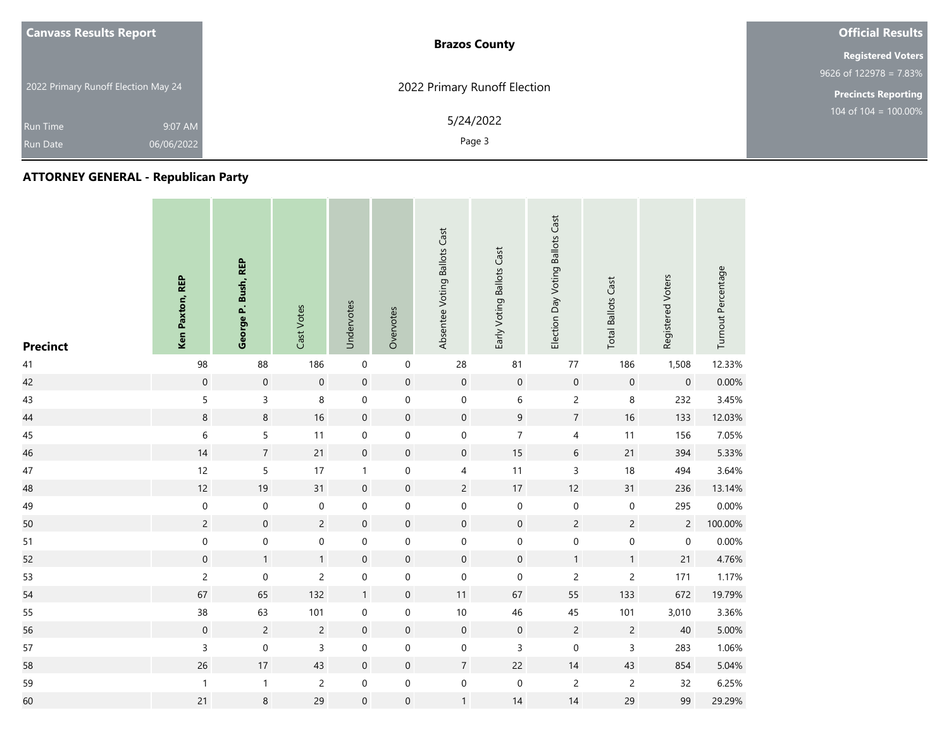| <b>Canvass Results Report</b>       |            | <b>Brazos County</b>         | <b>Official Results</b>    |
|-------------------------------------|------------|------------------------------|----------------------------|
|                                     |            |                              | <b>Registered Voters</b>   |
|                                     |            |                              | $9626$ of 122978 = 7.83%   |
| 2022 Primary Runoff Election May 24 |            | 2022 Primary Runoff Election | <b>Precincts Reporting</b> |
| Run Time                            | 9:07 AM    | 5/24/2022                    | 104 of $104 = 100.00\%$    |
| <b>Run Date</b>                     | 06/06/2022 | Page 3                       |                            |

| <b>Precinct</b> | Ken Paxton, REP  | George P. Bush, REP | Cast Votes       | Undervotes       | Overvotes           | Absentee Voting Ballots Cast | Early Voting Ballots Cast | Election Day Voting Ballots Cast | <b>Total Ballots Cast</b> | Registered Voters   | Turnout Percentage |
|-----------------|------------------|---------------------|------------------|------------------|---------------------|------------------------------|---------------------------|----------------------------------|---------------------------|---------------------|--------------------|
| 41              | 98               | 88                  | 186              | $\,0\,$          | $\mathbf 0$         | 28                           | 81                        | $77\,$                           | 186                       | 1,508               | 12.33%             |
| 42              | $\boldsymbol{0}$ | $\mathsf{O}\xspace$ | $\mathbf 0$      | $\mathbf 0$      | $\mathbf 0$         | $\mathbf 0$                  | $\mathbf 0$               | $\mathsf{O}\xspace$              | $\boldsymbol{0}$          | $\mathsf{O}\xspace$ | 0.00%              |
| 43              | 5                | 3                   | $\,8\,$          | $\mathbf 0$      | $\boldsymbol{0}$    | $\mathbf 0$                  | 6                         | $\overline{c}$                   | 8                         | 232                 | 3.45%              |
| 44              | 8                | $\bf 8$             | 16               | $\mathbf 0$      | $\mathsf{O}\xspace$ | $\mathbf 0$                  | $\boldsymbol{9}$          | $\boldsymbol{7}$                 | 16                        | 133                 | 12.03%             |
| 45              | $\,$ 6 $\,$      | 5                   | 11               | $\mathbf 0$      | $\boldsymbol{0}$    | $\boldsymbol{0}$             | $\overline{7}$            | 4                                | 11                        | 156                 | 7.05%              |
| 46              | 14               | $\overline{7}$      | 21               | $\mathbf 0$      | $\mathbf 0$         | $\mathsf{O}\xspace$          | 15                        | $\sqrt{6}$                       | 21                        | 394                 | 5.33%              |
| 47              | 12               | 5                   | 17               | $\mathbf{1}$     | $\boldsymbol{0}$    | 4                            | 11                        | $\mathsf{3}$                     | 18                        | 494                 | 3.64%              |
| 48              | 12               | 19                  | 31               | $\mathbf 0$      | $\boldsymbol{0}$    | $\overline{c}$               | $17\,$                    | 12                               | 31                        | 236                 | 13.14%             |
| 49              | $\mathbf 0$      | $\boldsymbol{0}$    | $\mathbf 0$      | $\mathbf 0$      | $\boldsymbol{0}$    | $\boldsymbol{0}$             | $\mathbf 0$               | $\mathbf 0$                      | $\pmb{0}$                 | 295                 | 0.00%              |
| 50              | $\overline{c}$   | $\mathbf 0$         | $\overline{c}$   | $\mathbf 0$      | $\mathsf{O}\xspace$ | $\mathsf{O}\xspace$          | $\mathbf 0$               | $\overline{c}$                   | $\overline{c}$            | $\overline{c}$      | 100.00%            |
| 51              | $\boldsymbol{0}$ | $\mathbf 0$         | $\boldsymbol{0}$ | $\boldsymbol{0}$ | $\mathbf 0$         | $\mathbf 0$                  | $\mathbf 0$               | $\mathsf{O}\xspace$              | $\mathbf 0$               | $\mathsf{O}\xspace$ | 0.00%              |
| 52              | $\boldsymbol{0}$ | $\mathbf{1}$        | $\mathbf{1}$     | $\mathbf 0$      | $\mathsf{O}\xspace$ | $\mathsf{O}\xspace$          | $\mathbf 0$               | $\mathbf{1}$                     | $\mathbf{1}$              | 21                  | 4.76%              |
| 53              | $\overline{c}$   | $\pmb{0}$           | $\overline{c}$   | $\mathbf 0$      | 0                   | $\mathbf 0$                  | $\mathbf 0$               | $\overline{c}$                   | $\overline{c}$            | 171                 | 1.17%              |
| 54              | 67               | 65                  | 132              | $\mathbf{1}$     | $\mathbf 0$         | 11                           | 67                        | 55                               | 133                       | 672                 | 19.79%             |
| 55              | 38               | 63                  | 101              | $\boldsymbol{0}$ | 0                   | $10\,$                       | 46                        | 45                               | 101                       | 3,010               | 3.36%              |
| 56              | $\boldsymbol{0}$ | $\overline{c}$      | $\overline{c}$   | $\mathbf 0$      | $\boldsymbol{0}$    | $\mathbf 0$                  | $\mathsf{O}\xspace$       | $\overline{c}$                   | $\overline{c}$            | 40                  | 5.00%              |
| 57              | 3                | $\mathbf 0$         | $\mathsf 3$      | $\boldsymbol{0}$ | $\mathbf 0$         | $\mathbf 0$                  | 3                         | $\mathbf 0$                      | $\overline{3}$            | 283                 | 1.06%              |
| 58              | 26               | 17                  | 43               | $\mathbf 0$      | $\mathbf 0$         | $\overline{7}$               | 22                        | 14                               | 43                        | 854                 | 5.04%              |
| 59              | $\mathbf{1}$     | $\mathbf{1}$        | $\overline{c}$   | $\boldsymbol{0}$ | $\boldsymbol{0}$    | $\mathbf 0$                  | $\boldsymbol{0}$          | $\overline{c}$                   | $\overline{c}$            | 32                  | 6.25%              |
| 60              | 21               | $\,8\,$             | 29               | $\mathbf 0$      | $\mathbf 0$         | $\mathbf{1}$                 | 14                        | 14                               | 29                        | 99                  | 29.29%             |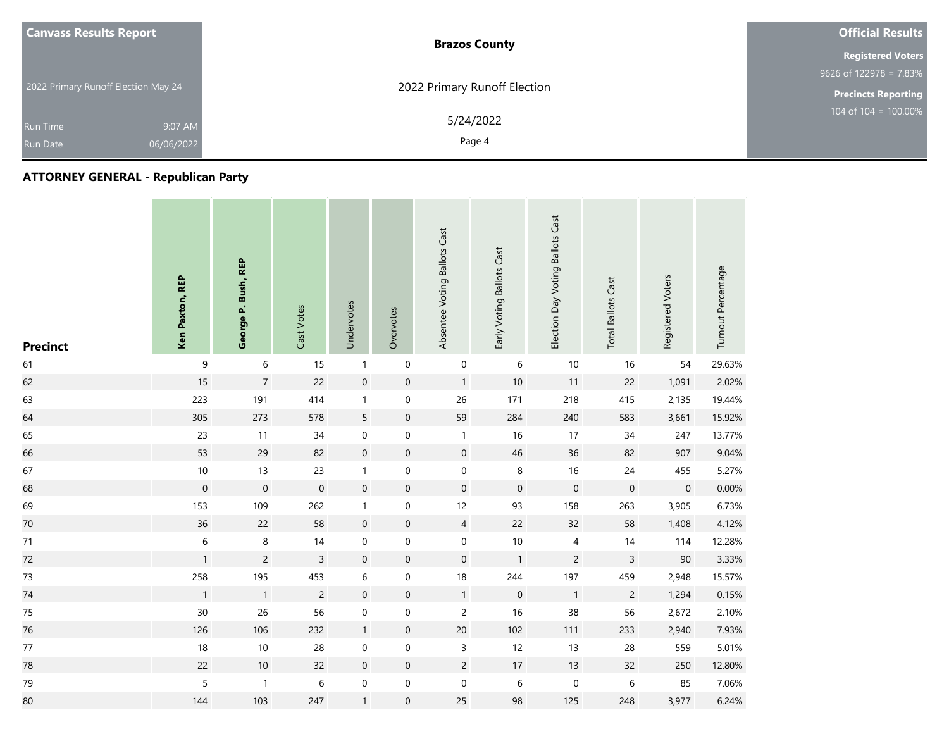| <b>Canvass Results Report</b>       | <b>Brazos County</b>         | <b>Official Results</b>    |
|-------------------------------------|------------------------------|----------------------------|
|                                     |                              | <b>Registered Voters</b>   |
|                                     |                              | 9626 of 122978 = $7.83\%$  |
| 2022 Primary Runoff Election May 24 | 2022 Primary Runoff Election | <b>Precincts Reporting</b> |
| 9:07 AM<br>Run Time                 | 5/24/2022                    | $104$ of $104 = 100.00\%$  |
| 06/06/2022<br><b>Run Date</b>       | Page 4                       |                            |

| <b>Precinct</b> | Ken Paxton, REP  | George P. Bush, REP | Cast Votes       | Undervotes       | Overvotes           | Absentee Voting Ballots Cast | Early Voting Ballots Cast | Election Day Voting Ballots Cast | <b>Total Ballots Cast</b> | Registered Voters | Turnout Percentage |
|-----------------|------------------|---------------------|------------------|------------------|---------------------|------------------------------|---------------------------|----------------------------------|---------------------------|-------------------|--------------------|
| 61              | $\mathsf 9$      | 6                   | 15               | $\mathbf{1}$     | $\boldsymbol{0}$    | $\mathbf 0$                  | 6                         | $10\,$                           | 16                        | 54                | 29.63%             |
| 62              | 15               | $\overline{7}$      | 22               | $\mathbf 0$      | $\mathsf{O}\xspace$ | $\mathbf{1}$                 | $10\,$                    | 11                               | 22                        | 1,091             | 2.02%              |
| 63              | 223              | 191                 | 414              | $\mathbf{1}$     | 0                   | 26                           | 171                       | 218                              | 415                       | 2,135             | 19.44%             |
| 64              | 305              | 273                 | 578              | 5                | $\boldsymbol{0}$    | 59                           | 284                       | 240                              | 583                       | 3,661             | 15.92%             |
| 65              | 23               | 11                  | 34               | $\pmb{0}$        | 0                   | $\mathbf{1}$                 | 16                        | 17                               | 34                        | 247               | 13.77%             |
| 66              | 53               | 29                  | 82               | $\mathbf 0$      | $\mathbf 0$         | $\mathsf{O}\xspace$          | 46                        | 36                               | 82                        | 907               | 9.04%              |
| 67              | $10\,$           | 13                  | 23               | $\mathbf{1}$     | $\boldsymbol{0}$    | $\boldsymbol{0}$             | $\,8\,$                   | 16                               | 24                        | 455               | 5.27%              |
| 68              | $\boldsymbol{0}$ | $\mathbf 0$         | $\boldsymbol{0}$ | $\boldsymbol{0}$ | $\boldsymbol{0}$    | $\mathbf 0$                  | $\boldsymbol{0}$          | $\mathbf 0$                      | $\mathbf 0$               | $\boldsymbol{0}$  | 0.00%              |
| 69              | 153              | 109                 | 262              | $\mathbf{1}$     | $\boldsymbol{0}$    | 12                           | 93                        | 158                              | 263                       | 3,905             | 6.73%              |
| 70              | 36               | 22                  | 58               | $\mathbf 0$      | $\mathbf 0$         | $\overline{4}$               | 22                        | 32                               | 58                        | 1,408             | 4.12%              |
| $71$            | $\,$ 6 $\,$      | $\,8\,$             | 14               | $\pmb{0}$        | $\boldsymbol{0}$    | $\mathsf{O}\xspace$          | $10\,$                    | $\overline{4}$                   | 14                        | 114               | 12.28%             |
| 72              | $\mathbf{1}$     | $\overline{c}$      | $\overline{3}$   | $\mathbf 0$      | $\mathsf{O}\xspace$ | $\mathsf{O}\xspace$          | $\overline{1}$            | $\overline{c}$                   | $\overline{3}$            | 90                | 3.33%              |
| $73$            | 258              | 195                 | 453              | 6                | $\pmb{0}$           | $18\,$                       | 244                       | 197                              | 459                       | 2,948             | 15.57%             |
| 74              | $\mathbf{1}$     | $\overline{1}$      | $\overline{c}$   | $\mathbf 0$      | $\mathsf{O}\xspace$ | 1                            | $\mathbf 0$               | $\mathbf{1}$                     | $\overline{c}$            | 1,294             | 0.15%              |
| $75\,$          | $30\,$           | 26                  | 56               | $\boldsymbol{0}$ | $\boldsymbol{0}$    | $\overline{c}$               | $16\,$                    | 38                               | 56                        | 2,672             | 2.10%              |
| 76              | 126              | 106                 | 232              | $\mathbf{1}$     | $\boldsymbol{0}$    | $20\,$                       | 102                       | 111                              | 233                       | 2,940             | 7.93%              |
| $77\,$          | $18\,$           | $10\,$              | 28               | $\pmb{0}$        | $\boldsymbol{0}$    | $\mathsf{3}$                 | 12                        | 13                               | 28                        | 559               | 5.01%              |
| 78              | 22               | $10\,$              | 32               | $\mathbf 0$      | $\pmb{0}$           | $\overline{2}$               | $17\,$                    | 13                               | 32                        | 250               | 12.80%             |
| 79              | 5                | $\mathbf{1}$        | $\,$ 6 $\,$      | $\pmb{0}$        | $\boldsymbol{0}$    | $\mathbf 0$                  | $\,6\,$                   | $\mathbf 0$                      | $\,$ 6 $\,$               | 85                | 7.06%              |
| 80              | 144              | 103                 | 247              | $\mathbf{1}$     | $\mathbf 0$         | 25                           | 98                        | 125                              | 248                       | 3,977             | 6.24%              |

T.

**Contract** 

and the control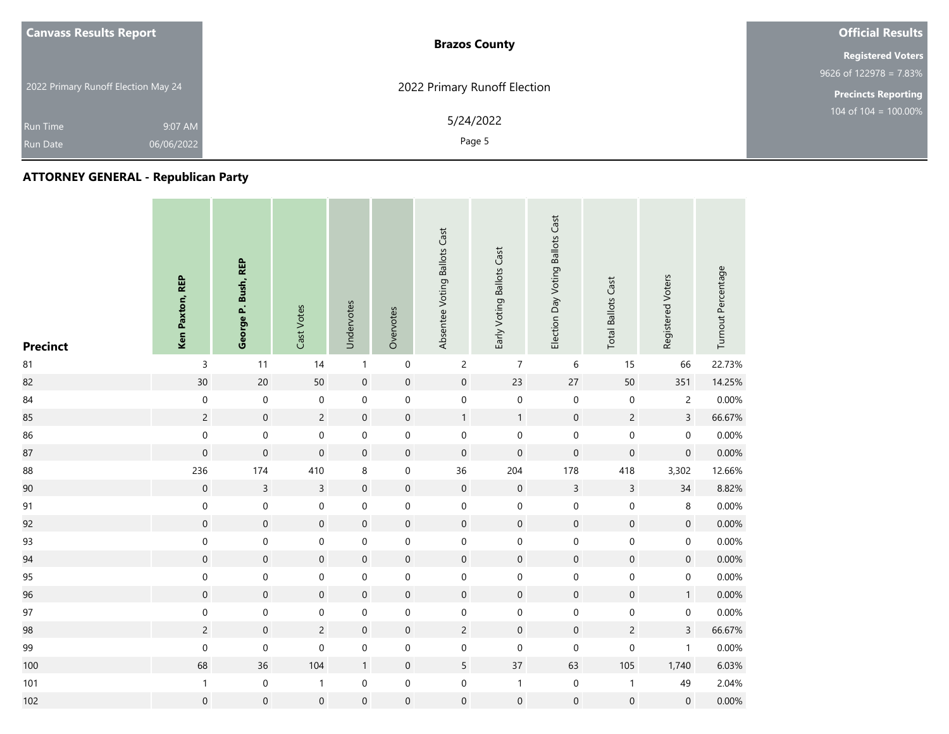| <b>Canvass Results Report</b>       |            | <b>Brazos County</b>         | <b>Official Results</b>    |
|-------------------------------------|------------|------------------------------|----------------------------|
|                                     |            |                              | <b>Registered Voters</b>   |
|                                     |            |                              | 9626 of 122978 = $7.83\%$  |
| 2022 Primary Runoff Election May 24 |            | 2022 Primary Runoff Election | <b>Precincts Reporting</b> |
| Run Time                            | 9:07 AM    | 5/24/2022                    | $104$ of $104 = 100.00\%$  |
| <b>Run Date</b>                     | 06/06/2022 | Page 5                       |                            |

| <b>Precinct</b> | Ken Paxton, REP     | George P. Bush, REP | Cast Votes          | Undervotes       | Overvotes           | Absentee Voting Ballots Cast | Early Voting Ballots Cast | Election Day Voting Ballots Cast | <b>Total Ballots Cast</b> | Registered Voters   | Turnout Percentage |
|-----------------|---------------------|---------------------|---------------------|------------------|---------------------|------------------------------|---------------------------|----------------------------------|---------------------------|---------------------|--------------------|
| ${\bf 81}$      | $\overline{3}$      | 11                  | 14                  | $\mathbf{1}$     | $\mathbf 0$         | $\overline{c}$               | $\overline{7}$            | $\,$ 6 $\,$                      | 15                        | 66                  | 22.73%             |
| 82              | $30\,$              | $20\,$              | 50                  | $\mathbf 0$      | $\mathbf 0$         | $\mathsf{O}\xspace$          | 23                        | $27\,$                           | 50                        | 351                 | 14.25%             |
| 84              | $\boldsymbol{0}$    | $\boldsymbol{0}$    | $\boldsymbol{0}$    | $\boldsymbol{0}$ | $\boldsymbol{0}$    | $\boldsymbol{0}$             | $\mathbf 0$               | $\mathbf 0$                      | $\boldsymbol{0}$          | $\overline{c}$      | 0.00%              |
| 85              | $\overline{c}$      | $\mathsf{O}\xspace$ | $\overline{c}$      | $\mathbf 0$      | $\mathsf{O}\xspace$ | $\mathbf{1}$                 | $\mathbf{1}$              | $\mathbf 0$                      | $\overline{2}$            | $\overline{3}$      | 66.67%             |
| 86              | $\mathbf 0$         | $\mathbf 0$         | 0                   | $\mathbf 0$      | 0                   | $\boldsymbol{0}$             | $\mathbf 0$               | $\mathbf 0$                      | $\pmb{0}$                 | $\mathsf{O}\xspace$ | 0.00%              |
| 87              | $\mathsf{O}\xspace$ | $\mathbf 0$         | $\mathsf{O}\xspace$ | $\mathbf 0$      | $\mathsf{O}\xspace$ | $\mathsf{O}\xspace$          | $\mathbf 0$               | $\mathbf 0$                      | $\mathbf 0$               | $\mathbf 0$         | 0.00%              |
| 88              | 236                 | 174                 | 410                 | 8                | $\boldsymbol{0}$    | 36                           | 204                       | 178                              | 418                       | 3,302               | 12.66%             |
| 90              | $\boldsymbol{0}$    | $\mathsf{3}$        | $\overline{3}$      | $\mathbf 0$      | $\boldsymbol{0}$    | $\mathbf 0$                  | $\mathbf 0$               | $\mathsf{3}$                     | $\mathsf{3}$              | 34                  | 8.82%              |
| 91              | $\boldsymbol{0}$    | $\boldsymbol{0}$    | 0                   | $\mathbf 0$      | $\boldsymbol{0}$    | $\mathbf 0$                  | $\mathbf 0$               | $\mathbf 0$                      | $\mathbf 0$               | 8                   | 0.00%              |
| 92              | $\mathsf{O}\xspace$ | $\mathbf 0$         | $\mathsf{O}\xspace$ | $\mathbf 0$      | $\mathbf 0$         | $\mathsf{O}\xspace$          | $\boldsymbol{0}$          | $\mathbf 0$                      | $\mathsf{O}\xspace$       | $\mathsf{O}\xspace$ | 0.00%              |
| 93              | $\boldsymbol{0}$    | $\boldsymbol{0}$    | 0                   | $\boldsymbol{0}$ | $\boldsymbol{0}$    | $\mathbf 0$                  | $\mathbf 0$               | $\mathsf{O}\xspace$              | $\mathbf 0$               | $\mathbf 0$         | 0.00%              |
| 94              | $\mathsf{O}\xspace$ | $\mathbf 0$         | $\mathsf{O}\xspace$ | $\mathbf 0$      | $\mathsf{O}\xspace$ | $\mathsf{O}\xspace$          | $\mathbf 0$               | $\mathbf 0$                      | $\mathsf{O}\xspace$       | $\mathbf 0$         | 0.00%              |
| 95              | 0                   | 0                   | 0                   | $\mathbf 0$      | 0                   | $\mathbf 0$                  | 0                         | $\pmb{0}$                        | $\mathbf 0$               | 0                   | 0.00%              |
| 96              | $\mathbf 0$         | $\mathbf 0$         | $\mathbf 0$         | $\mathbf 0$      | $\mathbf 0$         | $\mathsf{O}\xspace$          | $\mathbf 0$               | $\mathbf 0$                      | $\mathsf{O}\xspace$       | 1                   | 0.00%              |
| 97              | $\mathsf{O}\xspace$ | $\mathbf 0$         | 0                   | $\pmb{0}$        | 0                   | $\boldsymbol{0}$             | $\mathbf 0$               | $\mathbf 0$                      | $\boldsymbol{0}$          | 0                   | 0.00%              |
| 98              | $\overline{c}$      | $\boldsymbol{0}$    | $\overline{c}$      | $\boldsymbol{0}$ | $\boldsymbol{0}$    | $\overline{c}$               | $\mathbf 0$               | $\boldsymbol{0}$                 | $\overline{c}$            | 3                   | 66.67%             |
| 99              | $\boldsymbol{0}$    | $\mathbf 0$         | $\mathbf 0$         | $\boldsymbol{0}$ | $\boldsymbol{0}$    | $\boldsymbol{0}$             | $\mathbf 0$               | $\mathbf 0$                      | $\mathbf 0$               | $\mathbf{1}$        | 0.00%              |
| 100             | 68                  | 36                  | 104                 | $\mathbf{1}$     | $\mathsf{O}\xspace$ | $5\phantom{.0}$              | 37                        | 63                               | 105                       | 1,740               | 6.03%              |
| 101             | $\mathbf{1}$        | $\mathbf 0$         | $\mathbf{1}$        | $\boldsymbol{0}$ | $\boldsymbol{0}$    | $\mathbf 0$                  | $\overline{1}$            | $\mathbf 0$                      | $\mathbf{1}$              | 49                  | 2.04%              |
| 102             | $\mathbf 0$         | $\mathsf{O}\xspace$ | $\mathsf{O}\xspace$ | $\mathbf 0$      | $\mathbf 0$         | $\mathsf{O}\xspace$          | $\mathsf{O}\xspace$       | $\mathsf{O}\xspace$              | $\mathbf 0$               | $\mathsf{O}\xspace$ | 0.00%              |

T.

**Contract** 

and the control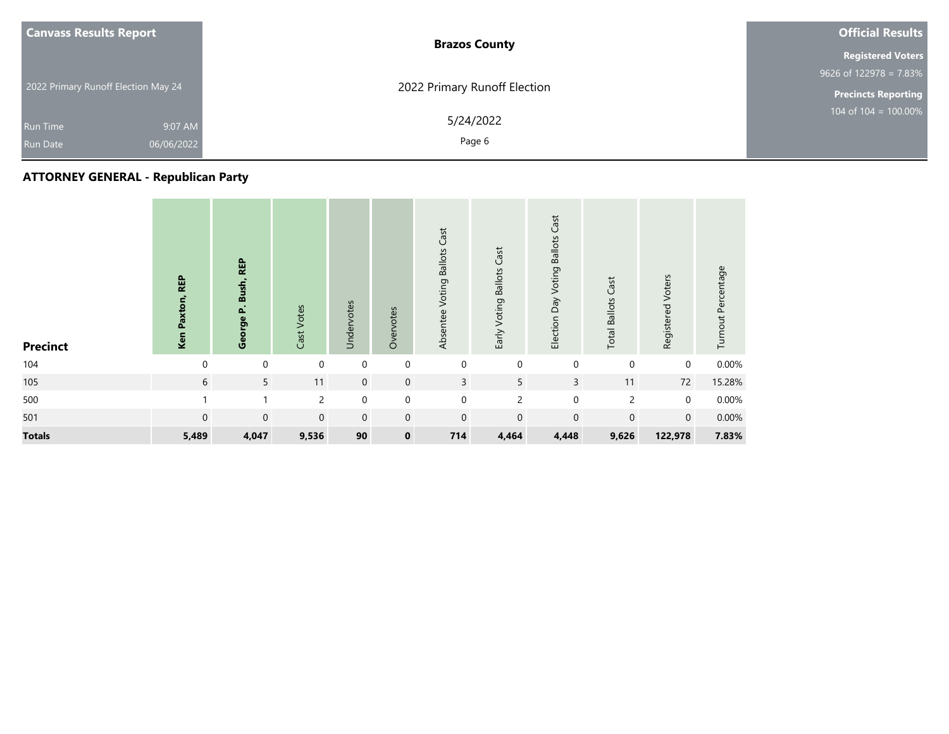| <b>Canvass Results Report</b>       | <b>Brazos County</b>         | <b>Official Results</b>    |
|-------------------------------------|------------------------------|----------------------------|
|                                     |                              | <b>Registered Voters</b>   |
|                                     |                              | $9626$ of 122978 = 7.83%   |
| 2022 Primary Runoff Election May 24 | 2022 Primary Runoff Election | <b>Precincts Reporting</b> |
| 9:07 AM<br><b>Run Time</b>          | 5/24/2022                    | 104 of $104 = 100.00\%$    |
| 06/06/2022<br><b>Run Date</b>       | Page 6                       |                            |

| <b>Precinct</b> | <b>REP</b><br>Ken Paxton, | <b>REP</b><br>George P. Bush, | Cast Votes  | Undervotes  | Overvotes   | <b>Voting Ballots Cast</b><br>Absentee | Early Voting Ballots Cast | Cast<br>Election Day Voting Ballots | <b>Total Ballots Cast</b> | Registered Voters | Turnout Percentage |
|-----------------|---------------------------|-------------------------------|-------------|-------------|-------------|----------------------------------------|---------------------------|-------------------------------------|---------------------------|-------------------|--------------------|
| 104             | $\Omega$                  | $\mathbf 0$                   | $\mathbf 0$ | $\mathbf 0$ | $\mathbf 0$ | $\mathbf 0$                            | $\mathbf 0$               | $\mathbf 0$                         | $\mathbf 0$               | $\mathbf 0$       | 0.00%              |
| 105             | 6                         | 5                             | 11          | $\mathbf 0$ | $\mathbf 0$ | $\overline{3}$                         | 5                         | $\mathsf{3}$                        | 11                        | 72                | 15.28%             |
| 500             |                           |                               | 2           | $\mathbf 0$ | $\mathbf 0$ | $\mathbf 0$                            | $\overline{c}$            | $\mathbf 0$                         | 2                         | $\mathbf 0$       | 0.00%              |
| 501             | $\mathbf 0$               | $\mathbf 0$                   | $\mathbf 0$ | $\mathbf 0$ | $\mathbf 0$ | $\mathbf 0$                            | $\mathbf 0$               | $\mathbf 0$                         | $\mathbf 0$               | $\mathbf 0$       | 0.00%              |
| <b>Totals</b>   | 5,489                     | 4,047                         | 9,536       | 90          | $\mathbf 0$ | 714                                    | 4,464                     | 4,448                               | 9,626                     | 122,978           | 7.83%              |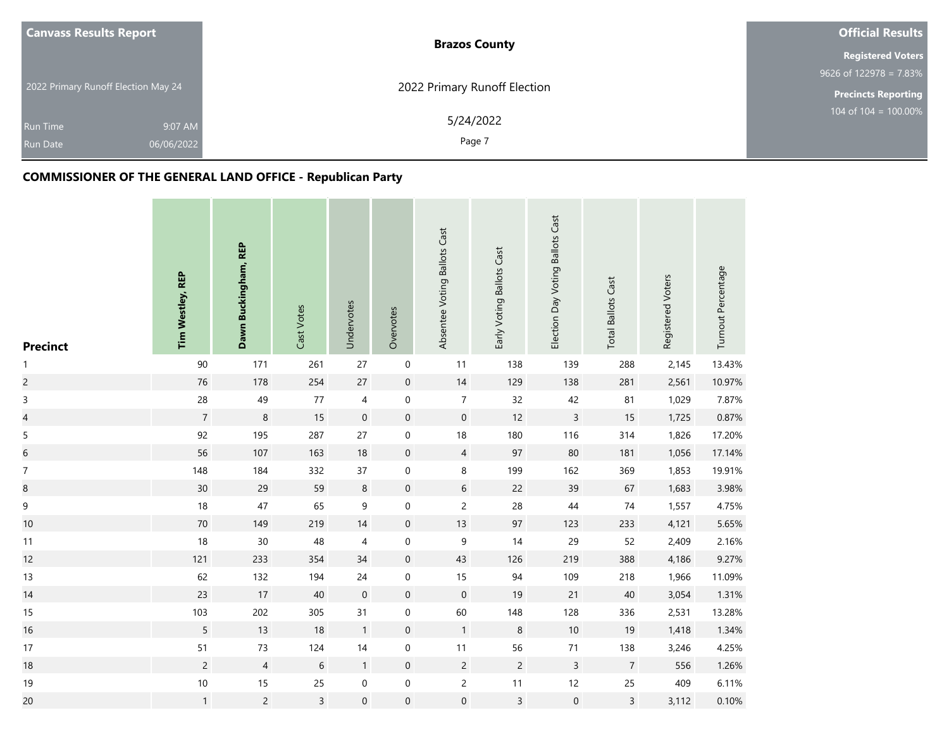| <b>Canvass Results Report</b>       | <b>Brazos County</b>         | <b>Official Results</b>                     |
|-------------------------------------|------------------------------|---------------------------------------------|
|                                     |                              | <b>Registered Voters</b>                    |
|                                     |                              | 9626 of $122978 = 7.83\%$                   |
| 2022 Primary Runoff Election May 24 | 2022 Primary Runoff Election | <b>Precincts Reporting</b>                  |
| 9:07 AM<br><b>Run Time</b>          | 5/24/2022                    | $104 \overline{\text{ of } 104} = 100.00\%$ |
| 06/06/2022<br><b>Run Date</b>       | Page 7                       |                                             |

| <b>Precinct</b>          | Tim Westley, REP | Dawn Buckingham, REP | Cast Votes     | Undervotes       | Overvotes           | Absentee Voting Ballots Cast | Early Voting Ballots Cast | Election Day Voting Ballots Cast | <b>Total Ballots Cast</b> | Registered Voters | Turnout Percentage |
|--------------------------|------------------|----------------------|----------------|------------------|---------------------|------------------------------|---------------------------|----------------------------------|---------------------------|-------------------|--------------------|
| $\mathbf{1}$             | 90               | 171                  | 261            | 27               | $\mathbf 0$         | 11                           | 138                       | 139                              | 288                       | 2,145             | 13.43%             |
| $\overline{c}$           | $76\,$           | 178                  | 254            | $27\,$           | $\mathsf{O}\xspace$ | $14$                         | 129                       | 138                              | 281                       | 2,561             | 10.97%             |
| $\mathsf 3$              | 28               | 49                   | $77$           | $\overline{4}$   | $\boldsymbol{0}$    | $\overline{7}$               | 32                        | 42                               | 81                        | 1,029             | 7.87%              |
| $\overline{\mathcal{A}}$ | $\overline{7}$   | $\,8\,$              | 15             | $\mathbf 0$      | $\boldsymbol{0}$    | $\mathbf 0$                  | 12                        | $\mathsf{3}$                     | 15                        | 1,725             | 0.87%              |
| $\sqrt{5}$               | 92               | 195                  | 287            | 27               | 0                   | $18\,$                       | 180                       | 116                              | 314                       | 1,826             | 17.20%             |
| $\boldsymbol{6}$         | 56               | 107                  | 163            | 18               | $\pmb{0}$           | $\overline{4}$               | 97                        | $80\,$                           | 181                       | 1,056             | 17.14%             |
| $\boldsymbol{7}$         | 148              | 184                  | 332            | 37               | $\boldsymbol{0}$    | 8                            | 199                       | 162                              | 369                       | 1,853             | 19.91%             |
| $\bf 8$                  | $30\,$           | 29                   | 59             | $\,8\,$          | $\boldsymbol{0}$    | $\,$ 6 $\,$                  | 22                        | 39                               | 67                        | 1,683             | 3.98%              |
| $\mathsf 9$              | 18               | $47\,$               | 65             | $\boldsymbol{9}$ | 0                   | $\overline{c}$               | 28                        | $44\,$                           | $74$                      | 1,557             | 4.75%              |
| 10                       | $70\,$           | 149                  | 219            | 14               | $\mathbf 0$         | 13                           | 97                        | 123                              | 233                       | 4,121             | 5.65%              |
| 11                       | 18               | $30\,$               | 48             | $\overline{4}$   | 0                   | $\boldsymbol{9}$             | 14                        | 29                               | 52                        | 2,409             | 2.16%              |
| 12                       | 121              | 233                  | 354            | 34               | $\pmb{0}$           | 43                           | 126                       | 219                              | 388                       | 4,186             | 9.27%              |
| 13                       | 62               | 132                  | 194            | 24               | 0                   | 15                           | 94                        | 109                              | 218                       | 1,966             | 11.09%             |
| 14                       | 23               | 17                   | 40             | $\mathbf 0$      | $\boldsymbol{0}$    | $\mathbf 0$                  | 19                        | $21$                             | 40                        | 3,054             | 1.31%              |
| 15                       | 103              | 202                  | 305            | 31               | 0                   | 60                           | 148                       | 128                              | 336                       | 2,531             | 13.28%             |
| 16                       | 5                | 13                   | 18             | $\mathbf{1}$     | $\boldsymbol{0}$    | $\overline{1}$               | $\,8\,$                   | $10$                             | 19                        | 1,418             | 1.34%              |
| 17                       | $51$             | $73\,$               | 124            | 14               | 0                   | $11$                         | 56                        | $71\,$                           | 138                       | 3,246             | 4.25%              |
| 18                       | $\overline{c}$   | $\overline{4}$       | $\sqrt{6}$     | $\mathbf{1}$     | $\mathsf{O}\xspace$ | $\overline{c}$               | $\overline{c}$            | $\overline{3}$                   | $\overline{7}$            | 556               | 1.26%              |
| 19                       | $10\,$           | 15                   | 25             | $\boldsymbol{0}$ | 0                   | $\overline{c}$               | $11$                      | 12                               | 25                        | 409               | 6.11%              |
| 20                       | $\mathbf{1}$     | $\overline{c}$       | $\overline{3}$ | $\mathbf 0$      | $\boldsymbol{0}$    | $\mathbf 0$                  | $\overline{3}$            | $\mathbf 0$                      | $\overline{3}$            | 3,112             | 0.10%              |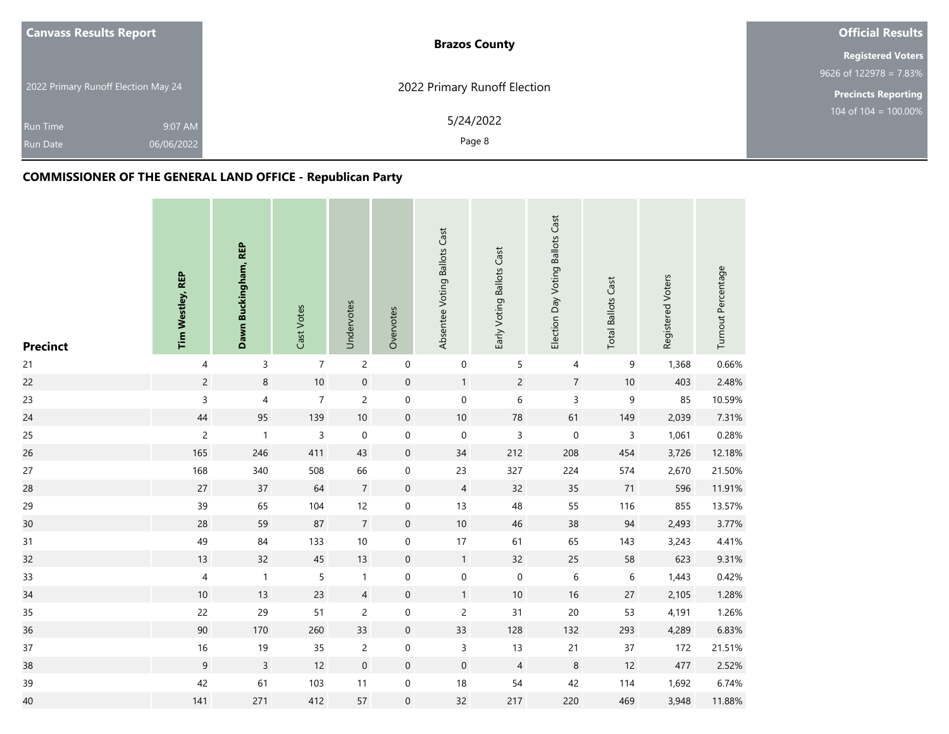| <b>Canvass Results Report</b>       | <b>Brazos County</b>         | <b>Official Results</b>    |
|-------------------------------------|------------------------------|----------------------------|
|                                     |                              | <b>Registered Voters</b>   |
|                                     |                              | $9626$ of 122978 = 7.83%   |
| 2022 Primary Runoff Election May 24 | 2022 Primary Runoff Election | <b>Precincts Reporting</b> |
| 9:07 AM<br><b>Run Time</b>          | 5/24/2022                    | 104 of $104 = 100.00\%$    |
| 06/06/2022<br><b>Run Date</b>       | Page 8                       |                            |

| <b>Precinct</b> | Tim Westley, REP | Dawn Buckingham, REP | Cast Votes     | Undervotes     | Overvotes           | Absentee Voting Ballots Cast | Early Voting Ballots Cast | Election Day Voting Ballots Cast | <b>Total Ballots Cast</b> | Registered Voters | Turnout Percentage |
|-----------------|------------------|----------------------|----------------|----------------|---------------------|------------------------------|---------------------------|----------------------------------|---------------------------|-------------------|--------------------|
| 21              | $\overline{4}$   | $\mathsf 3$          | $\overline{7}$ | $\overline{c}$ | $\mathbf 0$         | $\mathbf 0$                  | $\sqrt{5}$                | $\overline{4}$                   | 9                         | 1,368             | 0.66%              |
| 22              | $\overline{c}$   | 8                    | $10\,$         | $\mathbf 0$    | $\pmb{0}$           | $\mathbf{1}$                 | $\overline{c}$            | $\overline{7}$                   | $10\,$                    | 403               | 2.48%              |
| 23              | 3                | $\overline{4}$       | $\overline{7}$ | $\overline{c}$ | $\mathbf 0$         | $\boldsymbol{0}$             | 6                         | $\mathsf{3}$                     | 9                         | 85                | 10.59%             |
| 24              | 44               | 95                   | 139            | $10$           | $\boldsymbol{0}$    | $10\,$                       | 78                        | 61                               | 149                       | 2,039             | 7.31%              |
| 25              | $\overline{c}$   | $\overline{1}$       | 3              | $\mathbf 0$    | $\mathbf 0$         | $\mathsf{O}\xspace$          | $\overline{3}$            | $\mbox{O}$                       | $\mathsf 3$               | 1,061             | 0.28%              |
| 26              | 165              | 246                  | 411            | 43             | $\boldsymbol{0}$    | $34\,$                       | 212                       | 208                              | 454                       | 3,726             | 12.18%             |
| 27              | 168              | 340                  | 508            | 66             | $\mathbf 0$         | 23                           | 327                       | 224                              | 574                       | 2,670             | 21.50%             |
| 28              | 27               | 37                   | 64             | $\sqrt{7}$     | $\boldsymbol{0}$    | $\overline{4}$               | 32                        | 35                               | 71                        | 596               | 11.91%             |
| 29              | 39               | 65                   | 104            | 12             | $\pmb{0}$           | 13                           | 48                        | 55                               | 116                       | 855               | 13.57%             |
| 30              | 28               | 59                   | 87             | $\overline{7}$ | $\pmb{0}$           | $10\,$                       | 46                        | $38\,$                           | 94                        | 2,493             | 3.77%              |
| 31              | 49               | 84                   | 133            | 10             | $\boldsymbol{0}$    | 17                           | 61                        | 65                               | 143                       | 3,243             | 4.41%              |
| 32              | 13               | 32                   | $45\,$         | 13             | $\pmb{0}$           | $\mathbf{1}$                 | 32                        | 25                               | 58                        | 623               | 9.31%              |
| 33              | $\overline{4}$   | $\mathbf{1}$         | 5              | $\mathbf{1}$   | $\boldsymbol{0}$    | $\pmb{0}$                    | $\mathbf 0$               | 6                                | 6                         | 1,443             | 0.42%              |
| 34              | $10\,$           | 13                   | 23             | $\sqrt{4}$     | $\boldsymbol{0}$    | $\mathbf{1}$                 | $10$                      | 16                               | 27                        | 2,105             | 1.28%              |
| 35              | 22               | 29                   | 51             | $\overline{c}$ | $\boldsymbol{0}$    | $\overline{c}$               | 31                        | 20                               | 53                        | 4,191             | 1.26%              |
| 36              | 90               | 170                  | 260            | 33             | $\boldsymbol{0}$    | 33                           | 128                       | 132                              | 293                       | 4,289             | 6.83%              |
| 37              | 16               | 19                   | 35             | $\overline{c}$ | $\boldsymbol{0}$    | $\mathsf{3}$                 | 13                        | 21                               | 37                        | 172               | 21.51%             |
| 38              | $9\,$            | $\overline{3}$       | 12             | $\mathbf 0$    | $\mathsf{O}\xspace$ | $\boldsymbol{0}$             | $\overline{4}$            | $\,8\,$                          | 12                        | 477               | 2.52%              |
| 39              | 42               | 61                   | 103            | 11             | $\boldsymbol{0}$    | $18\,$                       | 54                        | 42                               | 114                       | 1,692             | 6.74%              |
| 40              | 141              | 271                  | 412            | 57             | $\boldsymbol{0}$    | 32                           | 217                       | 220                              | 469                       | 3,948             | 11.88%             |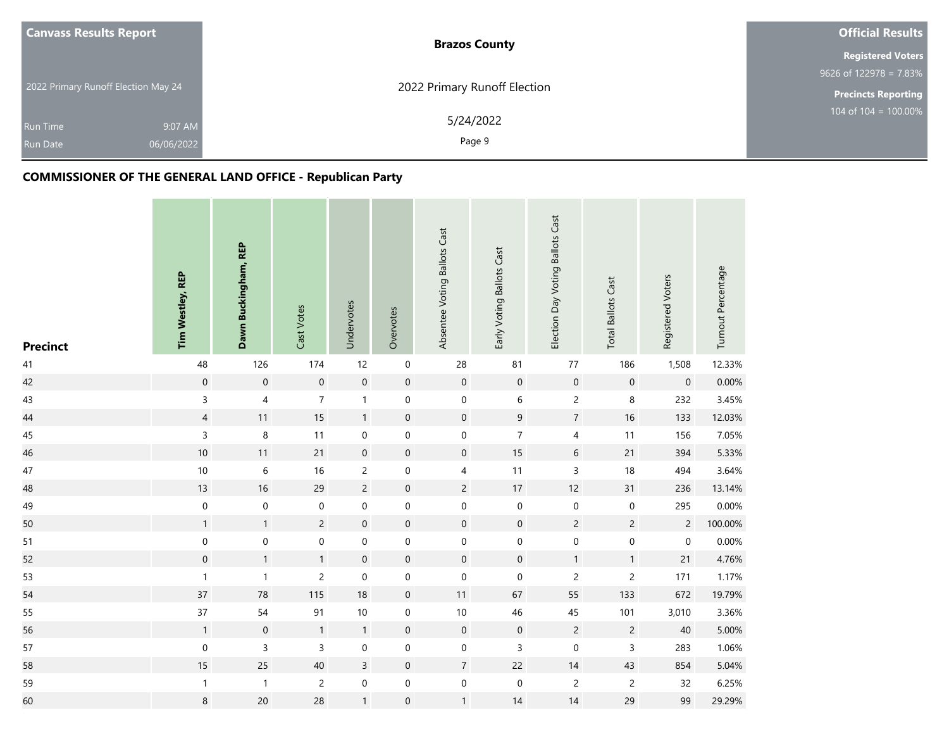| <b>Canvass Results Report</b>       | <b>Brazos County</b>         | <b>Official Results</b>                     |
|-------------------------------------|------------------------------|---------------------------------------------|
|                                     |                              | <b>Registered Voters</b>                    |
|                                     |                              | 9626 of $122978 = 7.83\%$                   |
| 2022 Primary Runoff Election May 24 | 2022 Primary Runoff Election | <b>Precincts Reporting</b>                  |
| 9:07 AM<br><b>Run Time</b>          | 5/24/2022                    | $104 \overline{\text{ of } 104} = 100.00\%$ |
| 06/06/2022<br><b>Run Date</b>       | Page 9                       |                                             |

| <b>Precinct</b> | Tim Westley, REP | Dawn Buckingham, REP | Cast Votes     | Undervotes       | Overvotes        | Absentee Voting Ballots Cast | Early Voting Ballots Cast | Election Day Voting Ballots Cast | <b>Total Ballots Cast</b> | Registered Voters | Turnout Percentage |
|-----------------|------------------|----------------------|----------------|------------------|------------------|------------------------------|---------------------------|----------------------------------|---------------------------|-------------------|--------------------|
| 41              | 48               | 126                  | 174            | 12               | $\mathbf 0$      | 28                           | 81                        | 77                               | 186                       | 1,508             | 12.33%             |
| 42              | $\mathbf 0$      | $\mathbf 0$          | $\mathbf 0$    | $\mathbf 0$      | $\pmb{0}$        | $\mathbf 0$                  | $\mathbf 0$               | $\mathsf{O}\xspace$              | $\mathbf 0$               | $\mathbf 0$       | 0.00%              |
| 43              | $\mathsf{3}$     | 4                    | $\overline{7}$ | $\mathbf{1}$     | $\pmb{0}$        | $\mathbf 0$                  | $\,$ 6 $\,$               | $\overline{c}$                   | 8                         | 232               | 3.45%              |
| 44              | $\overline{4}$   | 11                   | 15             | $\mathbf{1}$     | $\boldsymbol{0}$ | $\mathbf 0$                  | $\mathsf 9$               | $\overline{7}$                   | 16                        | 133               | 12.03%             |
| 45              | $\mathsf 3$      | 8                    | 11             | $\boldsymbol{0}$ | $\boldsymbol{0}$ | $\boldsymbol{0}$             | $\overline{7}$            | $\overline{4}$                   | 11                        | 156               | 7.05%              |
| 46              | $10$             | 11                   | 21             | $\mathbf 0$      | $\boldsymbol{0}$ | $\boldsymbol{0}$             | 15                        | $\,$ 6 $\,$                      | 21                        | 394               | 5.33%              |
| 47              | $10$             | $\,$ 6 $\,$          | 16             | $\overline{c}$   | $\mathbf 0$      | $\overline{\mathcal{A}}$     | 11                        | $\mathsf{3}$                     | 18                        | 494               | 3.64%              |
| 48              | 13               | 16                   | 29             | $\overline{c}$   | $\boldsymbol{0}$ | $\overline{2}$               | 17                        | 12                               | 31                        | 236               | 13.14%             |
| 49              | $\mathbf 0$      | $\mathbf 0$          | $\mathbf 0$    | $\boldsymbol{0}$ | $\pmb{0}$        | $\mathbf 0$                  | $\mathbf 0$               | $\boldsymbol{0}$                 | $\pmb{0}$                 | 295               | 0.00%              |
| 50              | $\mathbf{1}$     | $\mathbf{1}$         | $\overline{2}$ | $\mathbf 0$      | $\boldsymbol{0}$ | $\boldsymbol{0}$             | $\mathsf{O}\xspace$       | $\overline{2}$                   | $\overline{2}$            | $\overline{2}$    | 100.00%            |
| 51              | $\mathbf 0$      | $\mathsf{O}\xspace$  | $\mathbf 0$    | $\mathbf 0$      | $\boldsymbol{0}$ | $\mathbf 0$                  | $\mathbf 0$               | $\mathsf{O}\xspace$              | $\mathsf{O}\xspace$       | $\mathbf 0$       | 0.00%              |
| 52              | $\boldsymbol{0}$ | $\mathbf{1}$         | $\mathbf{1}$   | $\mathbf 0$      | $\mathbf 0$      | $\boldsymbol{0}$             | $\boldsymbol{0}$          | $\mathbf{1}$                     | $\mathbf{1}$              | 21                | 4.76%              |
| 53              | $\mathbf{1}$     | $\mathbf{1}$         | $\overline{c}$ | $\pmb{0}$        | $\pmb{0}$        | $\pmb{0}$                    | $\mathbf 0$               | $\overline{c}$                   | $\overline{c}$            | 171               | 1.17%              |
| 54              | 37               | 78                   | 115            | 18               | $\boldsymbol{0}$ | 11                           | 67                        | 55                               | 133                       | 672               | 19.79%             |
| 55              | 37               | 54                   | 91             | 10               | 0                | $10\,$                       | 46                        | 45                               | 101                       | 3,010             | 3.36%              |
| 56              | $\mathbf{1}$     | $\boldsymbol{0}$     | $\mathbf{1}$   | $\mathbf{1}$     | $\boldsymbol{0}$ | $\mathbf 0$                  | $\mathbf 0$               | $\overline{c}$                   | $\overline{c}$            | 40                | 5.00%              |
| 57              | $\mathbf 0$      | $\overline{3}$       | $\overline{3}$ | $\boldsymbol{0}$ | $\boldsymbol{0}$ | $\mathbf 0$                  | $\overline{3}$            | $\mathsf{O}\xspace$              | $\mathsf 3$               | 283               | 1.06%              |
| 58              | $15$             | 25                   | 40             | $\overline{3}$   | $\boldsymbol{0}$ | $\overline{7}$               | 22                        | 14                               | 43                        | 854               | 5.04%              |
| 59              | $\mathbf{1}$     | $\mathbf{1}$         | $\overline{c}$ | $\mathbf 0$      | 0                | $\mathbf 0$                  | $\boldsymbol{0}$          | $\overline{c}$                   | $\overline{c}$            | 32                | 6.25%              |
| 60              | $\,8\,$          | $20\,$               | 28             | $\mathbf{1}$     | $\boldsymbol{0}$ | $\mathbf{1}$                 | 14                        | 14                               | 29                        | 99                | 29.29%             |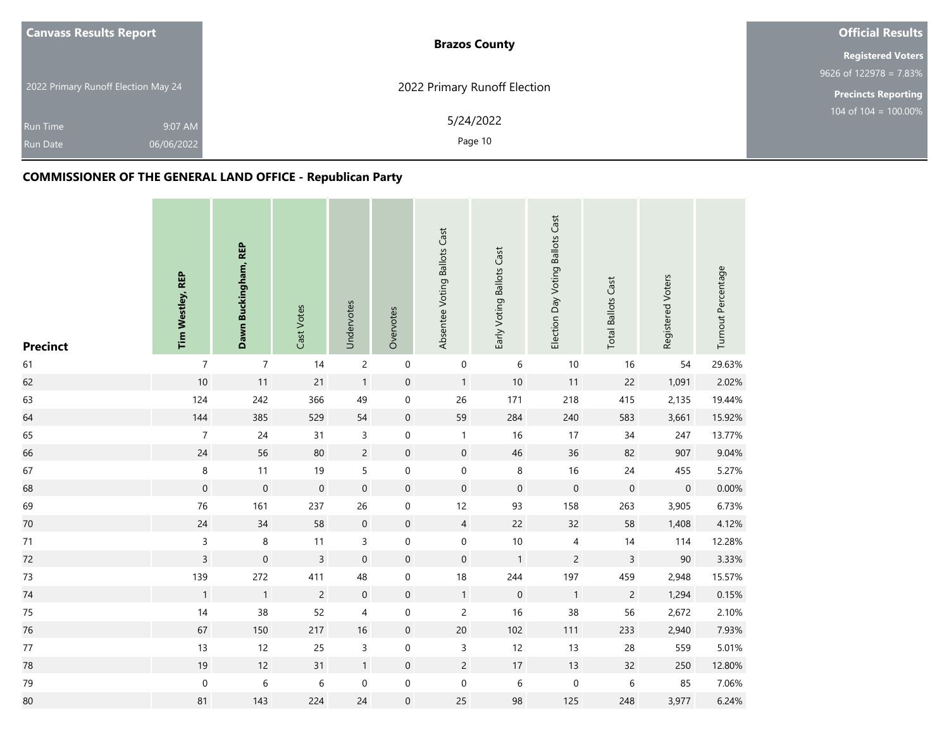| <b>Canvass Results Report</b>       | <b>Brazos County</b>         | <b>Official Results</b>    |
|-------------------------------------|------------------------------|----------------------------|
|                                     |                              | <b>Registered Voters</b>   |
|                                     |                              | 9626 of $122978 = 7.83\%$  |
| 2022 Primary Runoff Election May 24 | 2022 Primary Runoff Election | <b>Precincts Reporting</b> |
| 9:07 AM<br><b>Run Time</b>          | 5/24/2022                    | 104 of $104 = 100.00\%$    |
| 06/06/2022<br><b>Run Date</b>       | Page 10                      |                            |

| <b>Precinct</b> | Tim Westley, REP | Dawn Buckingham, REP | Cast Votes     | Undervotes          | Overvotes           | Absentee Voting Ballots Cast | Early Voting Ballots Cast | Election Day Voting Ballots Cast | <b>Total Ballots Cast</b> | Registered Voters | Turnout Percentage |
|-----------------|------------------|----------------------|----------------|---------------------|---------------------|------------------------------|---------------------------|----------------------------------|---------------------------|-------------------|--------------------|
| 61              | $\overline{7}$   | $\overline{7}$       | 14             | $\overline{c}$      | $\boldsymbol{0}$    | $\boldsymbol{0}$             | 6                         | 10                               | 16                        | 54                | 29.63%             |
| 62              | $10$             | 11                   | 21             | $\mathbf{1}$        | $\mathsf{O}\xspace$ | $\mathbf{1}$                 | $10$                      | 11                               | 22                        | 1,091             | 2.02%              |
| 63              | 124              | 242                  | 366            | 49                  | $\pmb{0}$           | 26                           | 171                       | 218                              | 415                       | 2,135             | 19.44%             |
| 64              | 144              | 385                  | 529            | 54                  | $\boldsymbol{0}$    | 59                           | 284                       | 240                              | 583                       | 3,661             | 15.92%             |
| 65              | $\boldsymbol{7}$ | $24\,$               | 31             | 3                   | 0                   | $\mathbf{1}$                 | 16                        | 17                               | 34                        | 247               | 13.77%             |
| 66              | 24               | 56                   | 80             | $\overline{c}$      | $\boldsymbol{0}$    | $\boldsymbol{0}$             | 46                        | 36                               | 82                        | 907               | 9.04%              |
| 67              | $\,8\,$          | 11                   | 19             | 5                   | $\pmb{0}$           | $\boldsymbol{0}$             | $\,8\,$                   | 16                               | 24                        | 455               | 5.27%              |
| 68              | $\pmb{0}$        | $\mathbf 0$          | $\mathbf 0$    | $\mathbf 0$         | $\mathbf 0$         | $\mathbf 0$                  | $\mathbf 0$               | $\mathbf 0$                      | $\mathbf 0$               | $\mathbf 0$       | 0.00%              |
| 69              | 76               | 161                  | 237            | 26                  | 0                   | 12                           | 93                        | 158                              | 263                       | 3,905             | 6.73%              |
| 70              | 24               | 34                   | 58             | $\mathsf{O}\xspace$ | $\boldsymbol{0}$    | $\overline{4}$               | 22                        | 32                               | 58                        | 1,408             | 4.12%              |
| 71              | $\mathsf{3}$     | $\,8\,$              | 11             | $\mathsf 3$         | 0                   | $\pmb{0}$                    | $10$                      | 4                                | 14                        | 114               | 12.28%             |
| 72              | $\overline{3}$   | $\boldsymbol{0}$     | $\overline{3}$ | $\mathbf 0$         | $\mathbf 0$         | $\boldsymbol{0}$             | $\mathbf{1}$              | $\overline{c}$                   | $\overline{3}$            | $90\,$            | 3.33%              |
| 73              | 139              | 272                  | 411            | 48                  | $\mathbf 0$         | 18                           | 244                       | 197                              | 459                       | 2,948             | 15.57%             |
| 74              | $\mathbf{1}$     | $\mathbf{1}$         | $\overline{c}$ | $\mathbf 0$         | $\boldsymbol{0}$    | $\mathbf{1}$                 | $\,0\,$                   | $\mathbf{1}$                     | $\overline{c}$            | 1,294             | 0.15%              |
| 75              | 14               | 38                   | 52             | 4                   | 0                   | $\overline{c}$               | 16                        | 38                               | 56                        | 2,672             | 2.10%              |
| 76              | 67               | 150                  | 217            | 16                  | $\boldsymbol{0}$    | $20\,$                       | 102                       | 111                              | 233                       | 2,940             | 7.93%              |
| $77\,$          | 13               | 12                   | 25             | $\overline{3}$      | 0                   | $\mathsf{3}$                 | 12                        | 13                               | 28                        | 559               | 5.01%              |
| 78              | 19               | 12                   | 31             | $\mathbf{1}$        | $\boldsymbol{0}$    | $\overline{c}$               | 17                        | 13                               | 32                        | 250               | 12.80%             |
| 79              | $\mathbf 0$      | $\,$ 6 $\,$          | 6              | $\boldsymbol{0}$    | 0                   | $\boldsymbol{0}$             | $\,6\,$                   | $\boldsymbol{0}$                 | 6                         | 85                | 7.06%              |
| 80              | 81               | 143                  | 224            | 24                  | $\boldsymbol{0}$    | 25                           | 98                        | 125                              | 248                       | 3,977             | 6.24%              |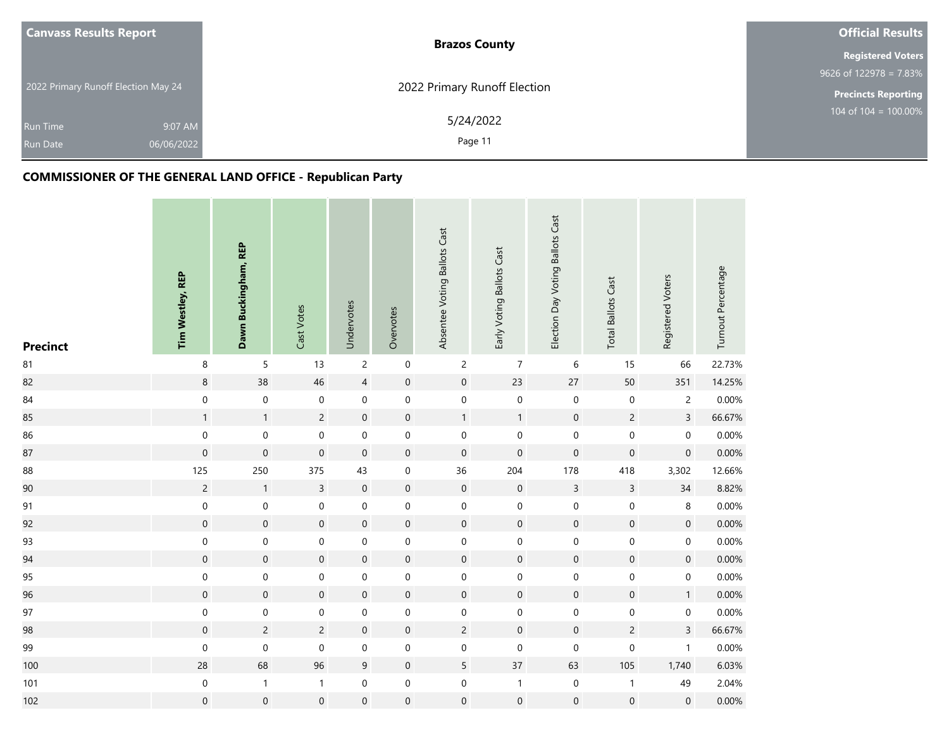| <b>Canvass Results Report</b>       | <b>Brazos County</b>         | <b>Official Results</b>                     |
|-------------------------------------|------------------------------|---------------------------------------------|
|                                     |                              | <b>Registered Voters</b>                    |
|                                     |                              | 9626 of $122978 = 7.83\%$                   |
| 2022 Primary Runoff Election May 24 | 2022 Primary Runoff Election | <b>Precincts Reporting</b>                  |
| 9:07 AM<br><b>Run Time</b>          | 5/24/2022                    | $104 \overline{\text{ of } 104} = 100.00\%$ |
| 06/06/2022<br><b>Run Date</b>       | Page 11                      |                                             |

| <b>Precinct</b> | Tim Westley, REP    | Dawn Buckingham, REP | Cast Votes          | Undervotes              | Overvotes        | Absentee Voting Ballots Cast | Early Voting Ballots Cast | Election Day Voting Ballots Cast | <b>Total Ballots Cast</b> | Registered Voters   | Turnout Percentage |
|-----------------|---------------------|----------------------|---------------------|-------------------------|------------------|------------------------------|---------------------------|----------------------------------|---------------------------|---------------------|--------------------|
| 81              | $\,8\,$             | 5                    | 13                  | $\overline{c}$          | $\mathbf 0$      | $\overline{c}$               | $\overline{7}$            | 6                                | 15                        | 66                  | 22.73%             |
| 82              | $\bf 8$             | 38                   | 46                  | $\overline{\mathbf{4}}$ | $\pmb{0}$        | $\mathbf 0$                  | 23                        | 27                               | 50                        | 351                 | 14.25%             |
| 84              | $\mathbf 0$         | $\mathbf 0$          | $\boldsymbol{0}$    | $\mathbf 0$             | $\mathbf 0$      | $\mathbf 0$                  | $\mathbf 0$               | $\boldsymbol{0}$                 | $\boldsymbol{0}$          | $\overline{2}$      | 0.00%              |
| 85              | $\mathbf{1}$        | $\mathbf{1}$         | $\overline{2}$      | $\mathsf{O}\xspace$     | $\boldsymbol{0}$ | $\mathbf{1}$                 | $\mathbf{1}$              | $\pmb{0}$                        | $\overline{c}$            | $\overline{3}$      | 66.67%             |
| 86              | $\boldsymbol{0}$    | $\boldsymbol{0}$     | $\mathbf 0$         | $\boldsymbol{0}$        | $\pmb{0}$        | $\mathbf 0$                  | $\mbox{O}$                | $\boldsymbol{0}$                 | $\pmb{0}$                 | $\mathbf 0$         | 0.00%              |
| 87              | $\mathbf 0$         | $\mathbf 0$          | $\mathsf{O}\xspace$ | $\mathbf 0$             | $\boldsymbol{0}$ | $\boldsymbol{0}$             | $\mathbf 0$               | $\pmb{0}$                        | $\boldsymbol{0}$          | $\mathbf 0$         | 0.00%              |
| 88              | 125                 | 250                  | 375                 | 43                      | $\boldsymbol{0}$ | 36                           | 204                       | 178                              | 418                       | 3,302               | 12.66%             |
| 90              | $\overline{c}$      | $\mathbf{1}$         | $\mathsf{3}$        | $\mathbf 0$             | $\boldsymbol{0}$ | $\mathbf 0$                  | $\mathbf 0$               | $\mathsf{3}$                     | $\mathsf{3}$              | 34                  | 8.82%              |
| 91              | $\mathbf 0$         | $\mathbf 0$          | $\boldsymbol{0}$    | $\mathbf 0$             | $\boldsymbol{0}$ | $\mathbf 0$                  | $\mathbf 0$               | $\mathbf 0$                      | $\mathbf 0$               | $\,8\,$             | 0.00%              |
| 92              | $\mathsf{O}\xspace$ | $\boldsymbol{0}$     | $\mathbf 0$         | $\mathbf 0$             | $\pmb{0}$        | $\boldsymbol{0}$             | $\mathsf{O}\xspace$       | $\mathbf 0$                      | $\mathbf 0$               | $\mathbf 0$         | 0.00%              |
| 93              | $\mathbf 0$         | $\mathsf{O}\xspace$  | $\boldsymbol{0}$    | $\mathbf 0$             | $\boldsymbol{0}$ | $\mathbf 0$                  | $\mathsf{O}\xspace$       | $\mathsf{O}\xspace$              | $\boldsymbol{0}$          | $\mathbf 0$         | 0.00%              |
| 94              | $\mathsf{O}\xspace$ | $\pmb{0}$            | $\mathbf 0$         | $\mathbf 0$             | $\mathbf 0$      | $\boldsymbol{0}$             | $\mathbf 0$               | $\mathsf{O}\xspace$              | $\pmb{0}$                 | $\mathsf{O}\xspace$ | 0.00%              |
| 95              | $\pmb{0}$           | $\mathbf 0$          | $\pmb{0}$           | $\pmb{0}$               | $\pmb{0}$        | $\mathbf 0$                  | $\mbox{O}$                | $\mathbf 0$                      | 0                         | $\mathbf 0$         | 0.00%              |
| 96              | $\mathbf 0$         | $\mathbf 0$          | $\mathbf 0$         | $\mathsf{O}\xspace$     | $\boldsymbol{0}$ | $\mathbf 0$                  | $\mathbf 0$               | $\pmb{0}$                        | $\mathbf 0$               | $\mathbf{1}$        | 0.00%              |
| 97              | $\mathbf 0$         | $\mathbf 0$          | $\mathbf 0$         | $\mathbf 0$             | 0                | $\pmb{0}$                    | $\mathbf 0$               | $\mathbf 0$                      | $\mathbf 0$               | 0                   | 0.00%              |
| 98              | $\boldsymbol{0}$    | $\overline{c}$       | $\overline{c}$      | $\boldsymbol{0}$        | $\boldsymbol{0}$ | $\overline{c}$               | $\mathbf 0$               | $\boldsymbol{0}$                 | $\overline{c}$            | $\mathbf{3}$        | 66.67%             |
| 99              | $\mathbf 0$         | $\boldsymbol{0}$     | $\boldsymbol{0}$    | $\pmb{0}$               | $\mathbf 0$      | $\mathbf 0$                  | $\pmb{0}$                 | $\mathsf{O}\xspace$              | $\mathsf{O}\xspace$       | $\mathbf{1}$        | 0.00%              |
| 100             | 28                  | 68                   | 96                  | $\mathsf 9$             | $\boldsymbol{0}$ | 5                            | 37                        | 63                               | 105                       | 1,740               | 6.03%              |
| 101             | $\mathbf 0$         | $\mathbf{1}$         | $\mathbf{1}$        | $\mathbf 0$             | $\boldsymbol{0}$ | $\mathbf 0$                  | $\mathbf{1}$              | $\boldsymbol{0}$                 | $\mathbf{1}$              | 49                  | 2.04%              |
| 102             | $\boldsymbol{0}$    | $\mathbf 0$          | $\mathbf 0$         | $\mathbf 0$             | $\boldsymbol{0}$ | $\mathbf 0$                  | $\mathsf{O}\xspace$       | $\mathbf 0$                      | $\mathsf{O}\xspace$       | $\mathsf{O}\xspace$ | 0.00%              |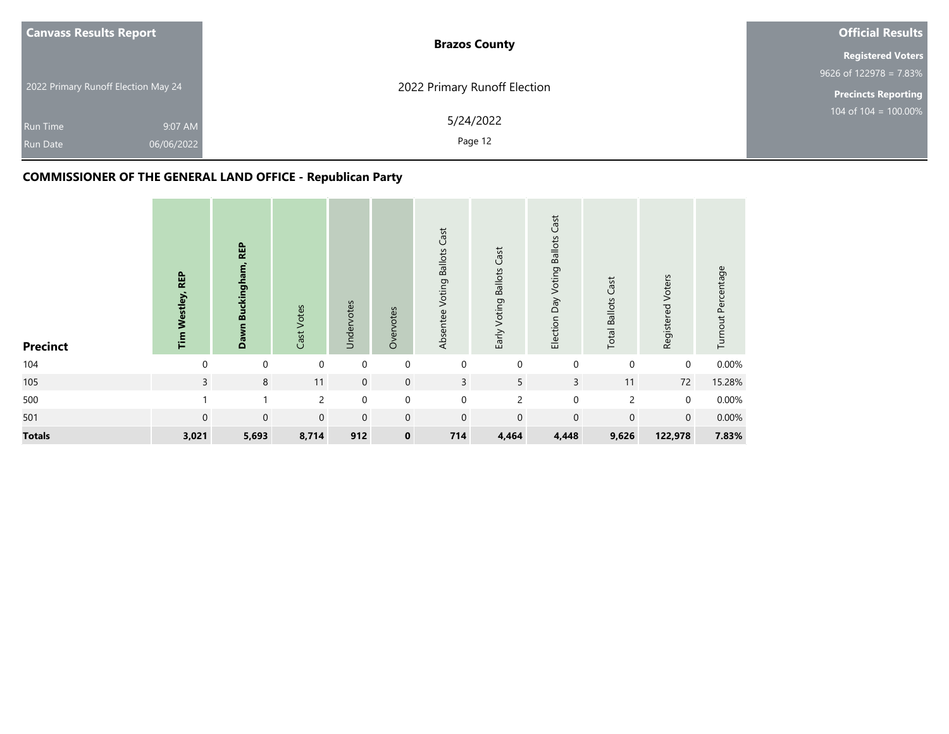| <b>Canvass Results Report</b>                               | <b>Brazos County</b>         | <b>Official Results</b>    |
|-------------------------------------------------------------|------------------------------|----------------------------|
|                                                             |                              | <b>Registered Voters</b>   |
|                                                             |                              | $9626$ of 122978 = 7.83%   |
| 2022 Primary Runoff Election May 24                         | 2022 Primary Runoff Election | <b>Precincts Reporting</b> |
| 9:07 AM<br><b>Run Time</b><br>06/06/2022<br><b>Run Date</b> | 5/24/2022<br>Page 12         | $104$ of 104 = 100.00%     |

| <b>Precinct</b> | Tim Westley, REP | <b>REP</b><br>Dawn Buckingham, | Cast Votes  | Undervotes  | Overvotes   | Absentee Voting Ballots Cast | Early Voting Ballots Cast | Election Day Voting Ballots Cast | <b>Total Ballots Cast</b> | Registered Voters | Turnout Percentage |
|-----------------|------------------|--------------------------------|-------------|-------------|-------------|------------------------------|---------------------------|----------------------------------|---------------------------|-------------------|--------------------|
| 104             | $\Omega$         | $\mathbf 0$                    | $\mathbf 0$ | $\mathbf 0$ | $\mathbf 0$ | $\mathbf 0$                  | $\mathbf 0$               | $\mathbf 0$                      | $\mathbf 0$               | 0                 | 0.00%              |
| 105             | $\overline{3}$   | 8                              | 11          | $\mathbf 0$ | $\mathbf 0$ | $\overline{3}$               | 5                         | $\mathsf{3}$                     | 11                        | 72                | 15.28%             |
| 500             |                  |                                | 2           | $\mathbf 0$ | $\mathbf 0$ | $\mathbf 0$                  | $\overline{c}$            | $\mathsf{O}\xspace$              | 2                         | $\mathbf 0$       | 0.00%              |
| 501             | $\mathbf 0$      | $\mathbf 0$                    | $\mathbf 0$ | $\mathbf 0$ | $\mathbf 0$ | $\mathbf 0$                  | $\mathbf 0$               | $\mathbf 0$                      | $\mathbf 0$               | $\mathbf 0$       | 0.00%              |
| <b>Totals</b>   | 3,021            | 5,693                          | 8,714       | 912         | $\mathbf 0$ | 714                          | 4,464                     | 4,448                            | 9,626                     | 122,978           | 7.83%              |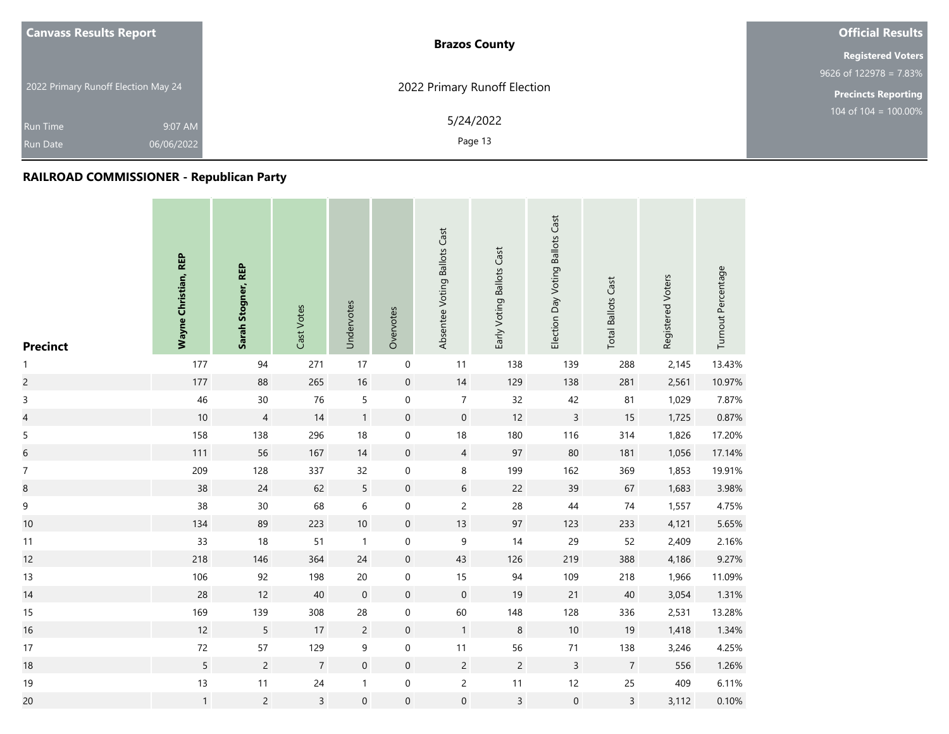| <b>Canvass Results Report</b>       | <b>Brazos County</b>         | <b>Official Results</b>    |
|-------------------------------------|------------------------------|----------------------------|
|                                     |                              | <b>Registered Voters</b>   |
|                                     |                              | 9626 of 122978 = 7.83%     |
| 2022 Primary Runoff Election May 24 | 2022 Primary Runoff Election | <b>Precincts Reporting</b> |
| 9:07 AM<br><b>Run Time</b>          | 5/24/2022                    | $104$ of $104 = 100.00\%$  |
| 06/06/2022<br><b>Run Date</b>       | Page 13                      |                            |

| <b>Precinct</b>          | Wayne Christian, REP | Sarah Stogner, REP | Cast Votes       | Undervotes       | Overvotes           | Absentee Voting Ballots Cast | Early Voting Ballots Cast | Election Day Voting Ballots Cast | <b>Total Ballots Cast</b> | Registered Voters | Turnout Percentage |
|--------------------------|----------------------|--------------------|------------------|------------------|---------------------|------------------------------|---------------------------|----------------------------------|---------------------------|-------------------|--------------------|
| $\mathbf{1}$             | 177                  | 94                 | 271              | 17               | $\pmb{0}$           | 11                           | 138                       | 139                              | 288                       | 2,145             | 13.43%             |
| $\overline{c}$           | 177                  | 88                 | 265              | 16               | $\mathsf{O}\xspace$ | 14                           | 129                       | 138                              | 281                       | 2,561             | 10.97%             |
| $\mathsf 3$              | 46                   | 30 <sup>°</sup>    | 76               | 5                | $\mathbf 0$         | $\overline{7}$               | 32                        | 42                               | 81                        | 1,029             | 7.87%              |
| $\overline{\mathcal{L}}$ | $10\,$               | $\overline{4}$     | 14               | $\mathbf{1}$     | $\pmb{0}$           | $\mathsf{O}\xspace$          | 12                        | $\mathsf{3}$                     | $15\,$                    | 1,725             | 0.87%              |
| $\mathsf S$              | 158                  | 138                | 296              | 18               | $\mathsf{O}\xspace$ | 18                           | 180                       | 116                              | 314                       | 1,826             | 17.20%             |
| $\sqrt{6}$               | 111                  | 56                 | 167              | 14               | $\mathbf 0$         | $\overline{4}$               | 97                        | 80                               | 181                       | 1,056             | 17.14%             |
| $\boldsymbol{7}$         | 209                  | 128                | 337              | 32               | $\pmb{0}$           | 8                            | 199                       | 162                              | 369                       | 1,853             | 19.91%             |
| $\bf8$                   | 38                   | $24$               | 62               | 5                | $\mathsf{O}\xspace$ | $6\,$                        | 22                        | 39                               | 67                        | 1,683             | 3.98%              |
| 9                        | 38                   | 30                 | 68               | $\,$ 6 $\,$      | $\pmb{0}$           | $\overline{c}$               | 28                        | 44                               | 74                        | 1,557             | 4.75%              |
| 10                       | 134                  | 89                 | 223              | 10               | $\mathsf{O}\xspace$ | 13                           | 97                        | 123                              | 233                       | 4,121             | 5.65%              |
| 11                       | 33                   | 18                 | 51               | $\mathbf{1}$     | $\mathbf 0$         | 9                            | $14$                      | 29                               | 52                        | 2,409             | 2.16%              |
| 12                       | 218                  | 146                | 364              | 24               | $\mathsf{O}\xspace$ | 43                           | 126                       | 219                              | 388                       | 4,186             | 9.27%              |
| 13                       | 106                  | 92                 | 198              | $20\,$           | $\boldsymbol{0}$    | $15\,$                       | 94                        | 109                              | 218                       | 1,966             | 11.09%             |
| 14                       | 28                   | 12                 | 40               | $\boldsymbol{0}$ | $\pmb{0}$           | $\boldsymbol{0}$             | 19                        | 21                               | 40                        | 3,054             | 1.31%              |
| 15                       | 169                  | 139                | 308              | 28               | $\mathbf 0$         | 60                           | 148                       | 128                              | 336                       | 2,531             | 13.28%             |
| 16                       | 12                   | 5                  | 17               | $\overline{2}$   | $\mathsf{O}\xspace$ | $\mathbf{1}$                 | $\,8\,$                   | $10$                             | 19                        | 1,418             | 1.34%              |
| 17                       | 72                   | 57                 | 129              | $\mathsf 9$      | $\boldsymbol{0}$    | $11$                         | 56                        | 71                               | 138                       | 3,246             | 4.25%              |
| 18                       | 5                    | $\overline{c}$     | $\boldsymbol{7}$ | $\mathbf 0$      | $\pmb{0}$           | $\overline{2}$               | $\overline{2}$            | $\overline{3}$                   | $\boldsymbol{7}$          | 556               | 1.26%              |
| 19                       | 13                   | 11                 | 24               | $\mathbf{1}$     | $\boldsymbol{0}$    | $\overline{c}$               | $11$                      | 12                               | 25                        | 409               | 6.11%              |
| 20                       | $\mathbf{1}$         | $\overline{c}$     | $\overline{3}$   | $\mathbf 0$      | $\mathsf{O}\xspace$ | $\mathsf{O}\xspace$          | $\mathsf{3}$              | $\boldsymbol{0}$                 | $\overline{3}$            | 3,112             | 0.10%              |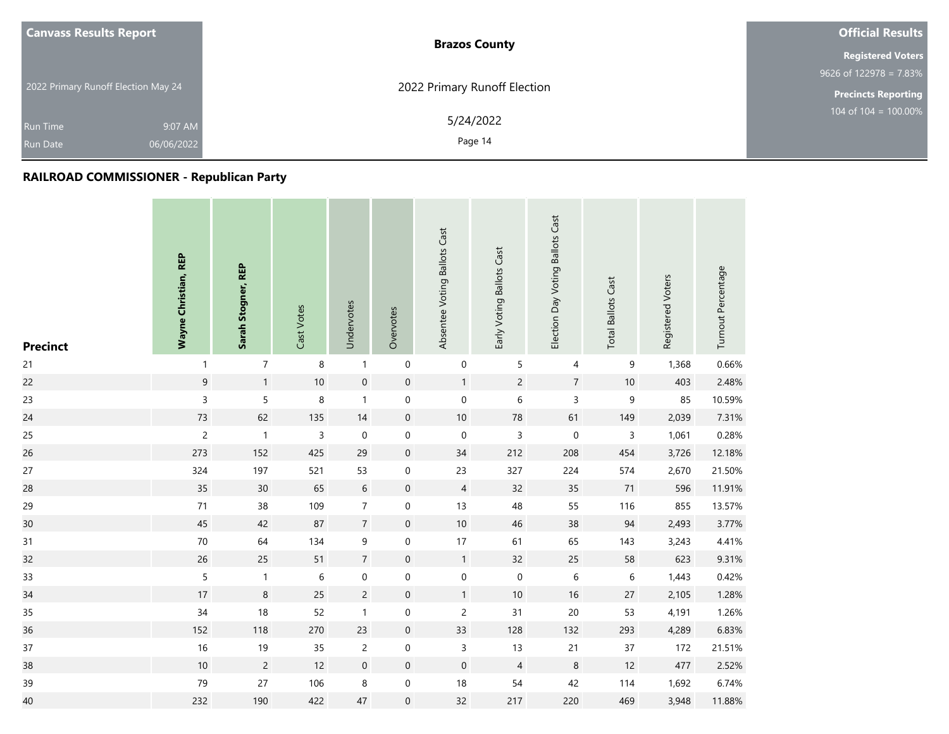| <b>Canvass Results Report</b>       | <b>Brazos County</b>         | <b>Official Results</b>    |
|-------------------------------------|------------------------------|----------------------------|
|                                     |                              | <b>Registered Voters</b>   |
|                                     |                              | $9626$ of 122978 = 7.83%   |
| 2022 Primary Runoff Election May 24 | 2022 Primary Runoff Election | <b>Precincts Reporting</b> |
| 9:07 AM<br>Run Time                 | 5/24/2022                    | $104$ of $104 = 100.00\%$  |
| 06/06/2022<br><b>Run Date</b>       | Page 14                      |                            |

| <b>Precinct</b> | Wayne Christian, REP | Sarah Stogner, REP | Cast Votes  | Undervotes       | Overvotes           | Absentee Voting Ballots Cast | Early Voting Ballots Cast | Election Day Voting Ballots Cast | <b>Total Ballots Cast</b> | Registered Voters | Turnout Percentage |
|-----------------|----------------------|--------------------|-------------|------------------|---------------------|------------------------------|---------------------------|----------------------------------|---------------------------|-------------------|--------------------|
| 21              | $\mathbf{1}$         | $\boldsymbol{7}$   | 8           | $\mathbf{1}$     | $\pmb{0}$           | $\boldsymbol{0}$             | 5                         | $\overline{4}$                   | 9                         | 1,368             | 0.66%              |
| 22              | $9\,$                | $\mathbf{1}$       | $10\,$      | $\mathbf 0$      | $\boldsymbol{0}$    | $\mathbf{1}$                 | $\overline{c}$            | $\overline{7}$                   | $10\,$                    | 403               | 2.48%              |
| 23              | $\mathsf{3}$         | 5                  | $\,8\,$     | $\mathbf{1}$     | $\boldsymbol{0}$    | $\boldsymbol{0}$             | 6                         | $\mathsf 3$                      | 9                         | 85                | 10.59%             |
| 24              | 73                   | 62                 | 135         | 14               | $\mathsf{O}\xspace$ | $10\,$                       | ${\bf 78}$                | 61                               | 149                       | 2,039             | 7.31%              |
| 25              | $\overline{c}$       | $\mathbf{1}$       | $\mathsf 3$ | $\boldsymbol{0}$ | $\boldsymbol{0}$    | $\mathbf 0$                  | $\overline{3}$            | $\mathbf 0$                      | $\mathsf 3$               | 1,061             | 0.28%              |
| 26              | 273                  | 152                | 425         | 29               | $\mathsf{O}\xspace$ | $34\,$                       | 212                       | 208                              | 454                       | 3,726             | 12.18%             |
| 27              | 324                  | 197                | 521         | 53               | 0                   | 23                           | 327                       | 224                              | 574                       | 2,670             | 21.50%             |
| 28              | 35                   | 30 <sup>°</sup>    | 65          | $\sqrt{6}$       | $\boldsymbol{0}$    | $\overline{4}$               | 32                        | 35                               | $71$                      | 596               | 11.91%             |
| 29              | $71$                 | 38                 | 109         | $\boldsymbol{7}$ | $\boldsymbol{0}$    | 13                           | 48                        | 55                               | 116                       | 855               | 13.57%             |
| 30              | $45\,$               | 42                 | 87          | $\overline{7}$   | $\boldsymbol{0}$    | $10\,$                       | 46                        | 38                               | 94                        | 2,493             | 3.77%              |
| 31              | $70\,$               | 64                 | 134         | $\mathsf 9$      | 0                   | $17$                         | 61                        | 65                               | 143                       | 3,243             | 4.41%              |
| 32              | $26\,$               | 25                 | 51          | $\overline{7}$   | $\boldsymbol{0}$    | $\mathbf{1}$                 | 32                        | 25                               | 58                        | 623               | 9.31%              |
| 33              | 5                    | $\mathbf{1}$       | $\,$ 6 $\,$ | $\boldsymbol{0}$ | $\boldsymbol{0}$    | $\mathbf 0$                  | $\,0\,$                   | $\,$ 6 $\,$                      | $\,$ 6 $\,$               | 1,443             | 0.42%              |
| 34              | $17$                 | 8                  | 25          | $\sqrt{2}$       | $\boldsymbol{0}$    | $\mathbf{1}$                 | $10\,$                    | 16                               | 27                        | 2,105             | 1.28%              |
| 35              | 34                   | $18\,$             | 52          | $\mathbf{1}$     | $\pmb{0}$           | $\overline{c}$               | 31                        | 20                               | 53                        | 4,191             | 1.26%              |
| 36              | 152                  | 118                | 270         | 23               | $\boldsymbol{0}$    | 33                           | 128                       | 132                              | 293                       | 4,289             | 6.83%              |
| 37              | $16\,$               | 19                 | 35          | $\overline{c}$   | $\boldsymbol{0}$    | $\mathsf{3}$                 | 13                        | 21                               | 37                        | 172               | 21.51%             |
| 38              | $10$                 | $\overline{c}$     | 12          | $\mathbf 0$      | $\mathsf{O}\xspace$ | $\mathsf{O}\xspace$          | $\overline{4}$            | $\,8\,$                          | 12                        | 477               | 2.52%              |
| 39              | 79                   | 27                 | 106         | 8                | $\pmb{0}$           | $18\,$                       | 54                        | 42                               | 114                       | 1,692             | 6.74%              |
| 40              | 232                  | 190                | 422         | $47\,$           | $\mathsf{O}\xspace$ | 32                           | 217                       | 220                              | 469                       | 3,948             | 11.88%             |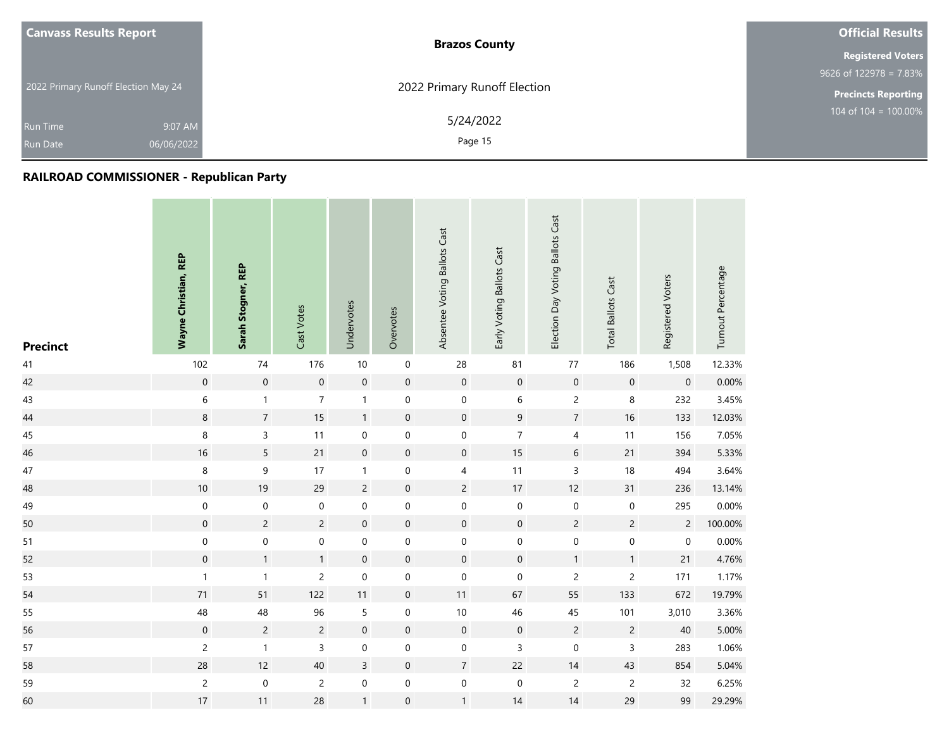| <b>Canvass Results Report</b>       |            | <b>Brazos County</b>         | <b>Official Results</b>    |
|-------------------------------------|------------|------------------------------|----------------------------|
|                                     |            |                              | <b>Registered Voters</b>   |
|                                     |            |                              | $9626$ of 122978 = 7.83%   |
| 2022 Primary Runoff Election May 24 |            | 2022 Primary Runoff Election | <b>Precincts Reporting</b> |
| Run Time                            | 9:07 AM    | 5/24/2022                    | $104$ of $104 = 100.00\%$  |
| <b>Run Date</b>                     | 06/06/2022 | Page 15                      |                            |

| <b>Precinct</b> | <b>Wayne Christian, REP</b> | Sarah Stogner, REP | Cast Votes     | Undervotes       | Overvotes           | Absentee Voting Ballots Cast | Early Voting Ballots Cast | Election Day Voting Ballots Cast | <b>Total Ballots Cast</b> | Registered Voters | Turnout Percentage |
|-----------------|-----------------------------|--------------------|----------------|------------------|---------------------|------------------------------|---------------------------|----------------------------------|---------------------------|-------------------|--------------------|
| 41              | 102                         | 74                 | 176            | 10               | $\mathbf 0$         | 28                           | 81                        | $77\,$                           | 186                       | 1,508             | 12.33%             |
| 42              | $\mathbf 0$                 | $\mathbf 0$        | $\mathbf 0$    | $\mathbf 0$      | $\mathsf{O}\xspace$ | $\mathsf{O}$                 | $\,0\,$                   | $\mathbf 0$                      | $\mathbf 0$               | $\boldsymbol{0}$  | 0.00%              |
| 43              | 6                           | $\mathbf{1}$       | $\overline{7}$ | $\mathbf{1}$     | $\boldsymbol{0}$    | $\boldsymbol{0}$             | $\,$ 6                    | $\overline{c}$                   | $\,8\,$                   | 232               | 3.45%              |
| 44              | $\,8\,$                     | $\overline{7}$     | 15             | $\mathbf{1}$     | $\pmb{0}$           | $\mathsf{O}\xspace$          | $\boldsymbol{9}$          | $\boldsymbol{7}$                 | 16                        | 133               | 12.03%             |
| 45              | 8                           | 3                  | 11             | $\pmb{0}$        | $\mathbf 0$         | $\mathsf{O}\xspace$          | $\overline{7}$            | 4                                | 11                        | 156               | 7.05%              |
| 46              | 16                          | 5                  | 21             | $\mathbf 0$      | $\pmb{0}$           | $\mathsf{O}\xspace$          | 15                        | $6\,$                            | 21                        | 394               | 5.33%              |
| 47              | 8                           | 9                  | 17             | $\mathbf{1}$     | $\boldsymbol{0}$    | $\overline{4}$               | 11                        | $\overline{3}$                   | 18                        | 494               | 3.64%              |
| 48              | $10$                        | 19                 | 29             | $\overline{c}$   | $\pmb{0}$           | $\overline{c}$               | 17                        | 12                               | 31                        | 236               | 13.14%             |
| 49              | $\boldsymbol{0}$            | $\boldsymbol{0}$   | $\mathbf 0$    | $\pmb{0}$        | 0                   | $\boldsymbol{0}$             | $\,0\,$                   | $\mathbf 0$                      | $\boldsymbol{0}$          | 295               | 0.00%              |
| 50              | $\boldsymbol{0}$            | $\overline{c}$     | $\overline{c}$ | $\mathbf 0$      | $\pmb{0}$           | $\mathsf{O}\xspace$          | $\,0\,$                   | $\overline{c}$                   | $\overline{c}$            | $\overline{c}$    | 100.00%            |
| 51              | $\boldsymbol{0}$            | $\mathbf 0$        | $\mathbf 0$    | $\boldsymbol{0}$ | 0                   | $\mathsf{O}$                 | $\boldsymbol{0}$          | $\mathsf{O}\xspace$              | $\mathbf 0$               | $\mathbf 0$       | 0.00%              |
| 52              | $\mathsf{O}\xspace$         | $\mathbf{1}$       | 1              | $\mathbf 0$      | $\mathsf{O}\xspace$ | $\mathsf{O}\xspace$          | $\mathbf 0$               | $\mathbf{1}$                     | $\mathbf{1}$              | 21                | 4.76%              |
| 53              | $\mathbf{1}$                | $\mathbf{1}$       | $\overline{2}$ | $\mathbf 0$      | $\mathbf 0$         | $\mathbf 0$                  | $\mathbf 0$               | $\overline{2}$                   | $\overline{c}$            | 171               | 1.17%              |
| 54              | $71$                        | 51                 | 122            | 11               | $\mathsf{O}\xspace$ | 11                           | 67                        | 55                               | 133                       | 672               | 19.79%             |
| 55              | 48                          | 48                 | 96             | 5                | 0                   | 10                           | 46                        | 45                               | 101                       | 3,010             | 3.36%              |
| 56              | $\boldsymbol{0}$            | $\overline{c}$     | $\overline{c}$ | $\mathbf 0$      | $\mathsf{O}\xspace$ | $\mathsf{O}$                 | $\mathbf 0$               | $\overline{c}$                   | $\overline{c}$            | 40                | 5.00%              |
| 57              | $\overline{c}$              | $\mathbf{1}$       | 3              | $\boldsymbol{0}$ | $\mathbf 0$         | $\boldsymbol{0}$             | $\mathsf{3}$              | $\mathbf 0$                      | 3                         | 283               | 1.06%              |
| 58              | 28                          | 12                 | 40             | $\mathbf{3}$     | $\mathsf{O}\xspace$ | $\overline{7}$               | 22                        | 14                               | 43                        | 854               | 5.04%              |
| 59              | $\overline{c}$              | $\mathbf 0$        | $\overline{c}$ | $\boldsymbol{0}$ | $\boldsymbol{0}$    | $\boldsymbol{0}$             | $\,0\,$                   | $\overline{c}$                   | $\overline{c}$            | 32                | 6.25%              |
| 60              | $17\,$                      | 11                 | 28             | $\mathbf{1}$     | $\mathsf{O}\xspace$ | $\mathbf{1}$                 | 14                        | 14                               | 29                        | 99                | 29.29%             |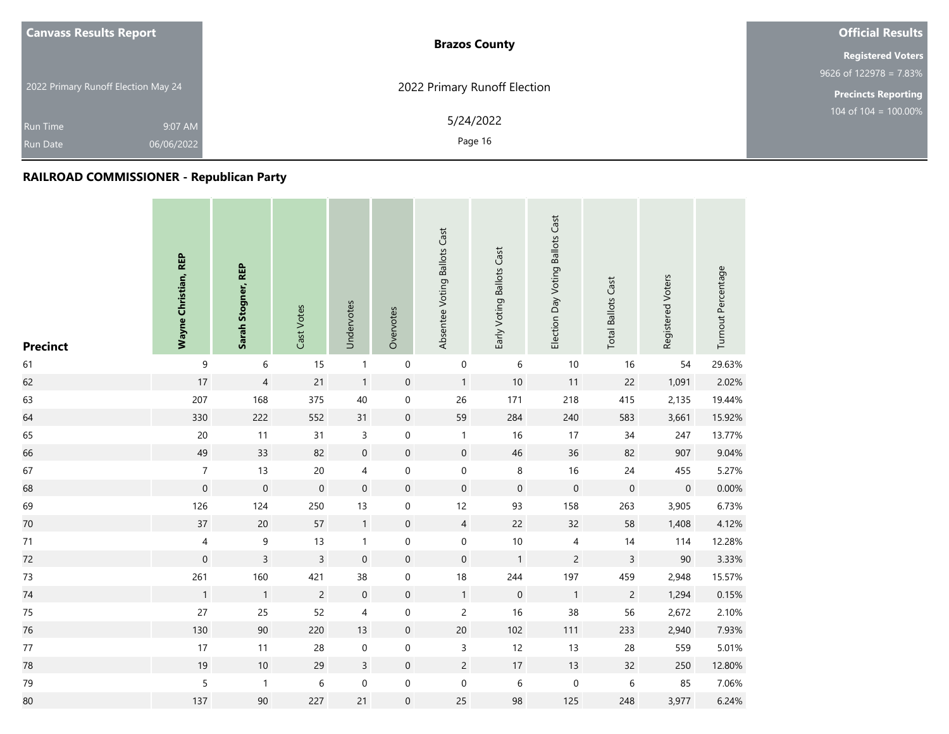| <b>Canvass Results Report</b>       |            | <b>Brazos County</b>         | <b>Official Results</b>    |
|-------------------------------------|------------|------------------------------|----------------------------|
|                                     |            |                              | <b>Registered Voters</b>   |
|                                     |            |                              | 9626 of $122978 = 7.83\%$  |
| 2022 Primary Runoff Election May 24 |            | 2022 Primary Runoff Election | <b>Precincts Reporting</b> |
| Run Time                            | 9:07 AM    | 5/24/2022                    | 104 of $104 = 100.00\%$    |
| <b>Run Date</b>                     | 06/06/2022 | Page 16                      |                            |

| <b>Precinct</b> | Wayne Christian, REP    | Sarah Stogner, REP  | Cast Votes          | Undervotes               | Overvotes           | Absentee Voting Ballots Cast | Early Voting Ballots Cast | Election Day Voting Ballots Cast | <b>Total Ballots Cast</b> | Registered Voters | Turnout Percentage |
|-----------------|-------------------------|---------------------|---------------------|--------------------------|---------------------|------------------------------|---------------------------|----------------------------------|---------------------------|-------------------|--------------------|
| 61              | $\boldsymbol{9}$        | 6                   | 15                  | $\mathbf{1}$             | $\pmb{0}$           | $\mathbf 0$                  | $\boldsymbol{6}$          | $10$                             | $16$                      | 54                | 29.63%             |
| 62              | 17                      | $\overline{4}$      | 21                  | $\mathbf{1}$             | $\mathbf 0$         | $\mathbf{1}$                 | 10                        | 11                               | 22                        | 1,091             | 2.02%              |
| 63              | 207                     | 168                 | 375                 | 40                       | $\mathbf 0$         | 26                           | 171                       | 218                              | 415                       | 2,135             | 19.44%             |
| 64              | 330                     | 222                 | 552                 | 31                       | $\mathsf{O}\xspace$ | 59                           | 284                       | 240                              | 583                       | 3,661             | 15.92%             |
| 65              | 20                      | 11                  | 31                  | $\mathsf 3$              | $\mathbf 0$         | $\mathbf{1}$                 | 16                        | 17                               | 34                        | 247               | 13.77%             |
| 66              | 49                      | 33                  | 82                  | $\mathbf 0$              | $\boldsymbol{0}$    | $\mathsf{O}\xspace$          | $46\,$                    | 36                               | 82                        | 907               | 9.04%              |
| 67              | $\boldsymbol{7}$        | 13                  | $20\,$              | $\overline{4}$           | $\boldsymbol{0}$    | $\boldsymbol{0}$             | 8                         | $16\,$                           | 24                        | 455               | 5.27%              |
| 68              | $\mathbf 0$             | $\mathsf{O}\xspace$ | $\mathsf{O}\xspace$ | $\mathbf 0$              | $\mathsf{O}\xspace$ | $\mathbf 0$                  | $\mathbf 0$               | $\mathbf 0$                      | $\boldsymbol{0}$          | $\,0\,$           | 0.00%              |
| 69              | 126                     | 124                 | 250                 | 13                       | $\mathbf 0$         | 12                           | 93                        | 158                              | 263                       | 3,905             | 6.73%              |
| $70\,$          | $37\,$                  | $20\,$              | 57                  | $\mathbf{1}$             | $\mathsf{O}\xspace$ | $\overline{4}$               | 22                        | 32                               | 58                        | 1,408             | 4.12%              |
| $71$            | $\overline{\mathbf{4}}$ | $\boldsymbol{9}$    | 13                  | $\mathbf{1}$             | $\boldsymbol{0}$    | $\boldsymbol{0}$             | $10\,$                    | $\overline{4}$                   | $14$                      | 114               | 12.28%             |
| 72              | $\boldsymbol{0}$        | $\overline{3}$      | $\overline{3}$      | $\mathbf 0$              | $\boldsymbol{0}$    | $\mathbf 0$                  | $\mathbf{1}$              | $\overline{c}$                   | 3                         | $90\,$            | 3.33%              |
| $73$            | 261                     | 160                 | 421                 | 38                       | $\boldsymbol{0}$    | 18                           | 244                       | 197                              | 459                       | 2,948             | 15.57%             |
| 74              | $\mathbf{1}$            | $\mathbf{1}$        | $\overline{2}$      | $\mathbf 0$              | $\mathbf 0$         | $\mathbf{1}$                 | $\mathbf 0$               | $\mathbf{1}$                     | $\overline{c}$            | 1,294             | 0.15%              |
| 75              | 27                      | 25                  | 52                  | $\overline{\mathcal{A}}$ | $\boldsymbol{0}$    | $\overline{c}$               | 16                        | 38                               | 56                        | 2,672             | 2.10%              |
| 76              | 130                     | $90\,$              | 220                 | 13                       | $\mathbf 0$         | $20\,$                       | 102                       | 111                              | 233                       | 2,940             | 7.93%              |
| $77\,$          | 17                      | 11                  | 28                  | $\boldsymbol{0}$         | $\boldsymbol{0}$    | $\mathsf{3}$                 | 12                        | 13                               | 28                        | 559               | 5.01%              |
| 78              | 19                      | $10\,$              | 29                  | $\overline{3}$           | $\mathsf{O}\xspace$ | $\overline{c}$               | $17\,$                    | 13                               | 32                        | 250               | 12.80%             |
| 79              | 5                       | $\mathbf{1}$        | 6                   | $\boldsymbol{0}$         | $\boldsymbol{0}$    | $\boldsymbol{0}$             | $\,$ 6 $\,$               | $\mathbf 0$                      | 6                         | 85                | 7.06%              |
| 80              | 137                     | 90                  | 227                 | 21                       | $\mathbf{0}$        | 25                           | 98                        | 125                              | 248                       | 3,977             | 6.24%              |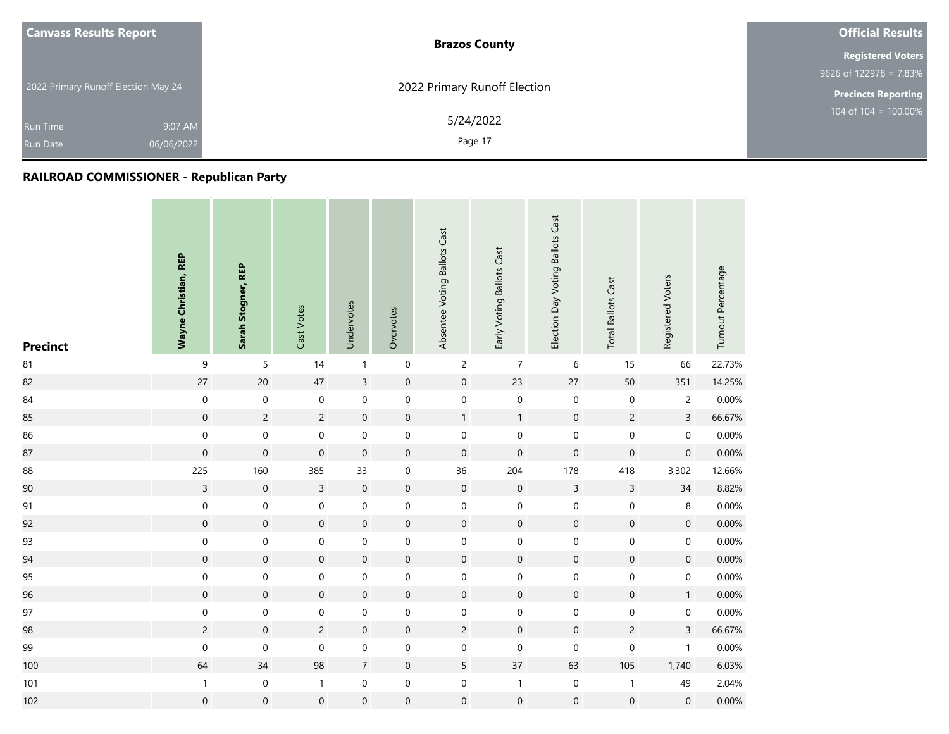| <b>Canvass Results Report</b>       |            | <b>Brazos County</b>         | <b>Official Results</b>    |
|-------------------------------------|------------|------------------------------|----------------------------|
|                                     |            |                              | <b>Registered Voters</b>   |
|                                     |            |                              | 9626 of $122978 = 7.83\%$  |
| 2022 Primary Runoff Election May 24 |            | 2022 Primary Runoff Election | <b>Precincts Reporting</b> |
| <b>Run Time</b>                     | 9:07 AM    | 5/24/2022                    | 104 of $104 = 100.00\%$    |
| <b>Run Date</b>                     | 06/06/2022 | Page 17                      |                            |

| <b>Precinct</b> | Wayne Christian, REP | Sarah Stogner, REP  | Cast Votes          | Undervotes       | Overvotes           | Absentee Voting Ballots Cast | Early Voting Ballots Cast | Election Day Voting Ballots Cast | <b>Total Ballots Cast</b> | Registered Voters   | Turnout Percentage |
|-----------------|----------------------|---------------------|---------------------|------------------|---------------------|------------------------------|---------------------------|----------------------------------|---------------------------|---------------------|--------------------|
| 81              | $\mathsf 9$          | $\overline{5}$      | 14                  | $\mathbf{1}$     | $\boldsymbol{0}$    | $\overline{c}$               | $\boldsymbol{7}$          | 6                                | 15                        | 66                  | 22.73%             |
| 82              | 27                   | $20\,$              | 47                  | $\overline{3}$   | $\boldsymbol{0}$    | $\mathsf{O}\xspace$          | 23                        | 27                               | 50                        | 351                 | 14.25%             |
| 84              | $\mathbf 0$          | $\pmb{0}$           | $\mathbf 0$         | $\mathbf 0$      | $\boldsymbol{0}$    | $\mathbf 0$                  | $\mathbf 0$               | $\mathsf{O}\xspace$              | $\mathbf 0$               | $\overline{c}$      | 0.00%              |
| 85              | $\boldsymbol{0}$     | $\overline{c}$      | $\overline{c}$      | $\mathbf 0$      | $\mathsf{O}\xspace$ | $\mathbf{1}$                 | $\mathbf{1}$              | $\mathsf{O}\xspace$              | $\overline{c}$            | $\overline{3}$      | 66.67%             |
| 86              | $\mathbf 0$          | $\pmb{0}$           | $\boldsymbol{0}$    | $\boldsymbol{0}$ | $\boldsymbol{0}$    | $\boldsymbol{0}$             | $\mathbf 0$               | $\boldsymbol{0}$                 | $\mathbf 0$               | $\boldsymbol{0}$    | 0.00%              |
| 87              | $\mathbf 0$          | $\mathbf 0$         | $\mathsf{O}\xspace$ | $\mathbf 0$      | $\mathsf{O}\xspace$ | $\mathbf 0$                  | $\mathbf 0$               | $\mathbf 0$                      | $\mathbf 0$               | $\mathbf 0$         | 0.00%              |
| 88              | 225                  | 160                 | 385                 | 33               | $\boldsymbol{0}$    | 36                           | 204                       | 178                              | 418                       | 3,302               | 12.66%             |
| 90              | $\overline{3}$       | $\mathsf{O}\xspace$ | $\overline{3}$      | $\mathbf 0$      | $\mathbf 0$         | $\mathsf{O}\xspace$          | $\mathbf 0$               | $\overline{3}$                   | $\overline{3}$            | 34                  | 8.82%              |
| 91              | $\mathbf 0$          | $\pmb{0}$           | $\boldsymbol{0}$    | $\pmb{0}$        | $\mathbf 0$         | $\boldsymbol{0}$             | $\boldsymbol{0}$          | 0                                | $\boldsymbol{0}$          | 8                   | 0.00%              |
| 92              | $\mathbf 0$          | $\mathbf{0}$        | $\boldsymbol{0}$    | $\mathbf 0$      | $\mathbf 0$         | $\mathsf{O}\xspace$          | $\mathbf 0$               | $\mathbf 0$                      | $\mathbf 0$               | $\mathbf 0$         | 0.00%              |
| 93              | $\boldsymbol{0}$     | $\boldsymbol{0}$    | 0                   | $\pmb{0}$        | $\mathbf 0$         | $\boldsymbol{0}$             | $\mathbf 0$               | $\boldsymbol{0}$                 | $\boldsymbol{0}$          | 0                   | 0.00%              |
| 94              | $\mathsf{O}\xspace$  | $\mathsf{O}\xspace$ | $\boldsymbol{0}$    | $\boldsymbol{0}$ | $\mathbf 0$         | $\mathsf{O}\xspace$          | $\mathbf 0$               | $\mathsf{O}\xspace$              | $\mathbf 0$               | $\mathbf 0$         | 0.00%              |
| 95              | 0                    | $\pmb{0}$           | $\boldsymbol{0}$    | $\pmb{0}$        | $\mathbf 0$         | $\mathbf 0$                  | $\mathbf 0$               | $\boldsymbol{0}$                 | $\mathbf 0$               | $\boldsymbol{0}$    | 0.00%              |
| 96              | $\mathsf{O}\xspace$  | $\mathbf 0$         | $\boldsymbol{0}$    | $\mathbf 0$      | $\boldsymbol{0}$    | $\mathbf 0$                  | $\mathbf 0$               | $\mathsf{O}\xspace$              | $\mathbf 0$               | $\mathbf{1}$        | 0.00%              |
| $97\,$          | $\mathbf 0$          | $\mathbf 0$         | $\pmb{0}$           | $\pmb{0}$        | $\mathbf 0$         | $\boldsymbol{0}$             | $\boldsymbol{0}$          | $\boldsymbol{0}$                 | $\mathsf{O}\xspace$       | $\mathbf 0$         | 0.00%              |
| 98              | $\overline{c}$       | $\mathsf{O}\xspace$ | $\overline{c}$      | $\mathsf{0}$     | $\boldsymbol{0}$    | $\overline{c}$               | $\mathbf 0$               | $\mathsf{O}\xspace$              | $\overline{c}$            | $\overline{3}$      | 66.67%             |
| 99              | $\boldsymbol{0}$     | $\pmb{0}$           | $\mathbf 0$         | $\mathbf 0$      | $\mathbf 0$         | $\mathbf 0$                  | $\pmb{0}$                 | $\mathsf{O}\xspace$              | $\mathbf 0$               | $\mathbf{1}$        | 0.00%              |
| 100             | 64                   | $34$                | 98                  | $\sqrt{7}$       | $\mathbf 0$         | $5\phantom{.0}$              | 37                        | 63                               | 105                       | 1,740               | 6.03%              |
| 101             | $\mathbf{1}$         | $\mathbf 0$         | $\mathbf{1}$        | $\mathbf 0$      | $\mathbf 0$         | $\boldsymbol{0}$             | $\mathbf{1}$              | $\boldsymbol{0}$                 | $\mathbf{1}$              | 49                  | 2.04%              |
| 102             | $\overline{0}$       | $\boldsymbol{0}$    | $\mathsf{O}\xspace$ | $\mathbf 0$      | $\boldsymbol{0}$    | $\boldsymbol{0}$             | $\mathbf 0$               | $\mathsf{O}\xspace$              | $\mathbf 0$               | $\mathsf{O}\xspace$ | $0.00\%$           |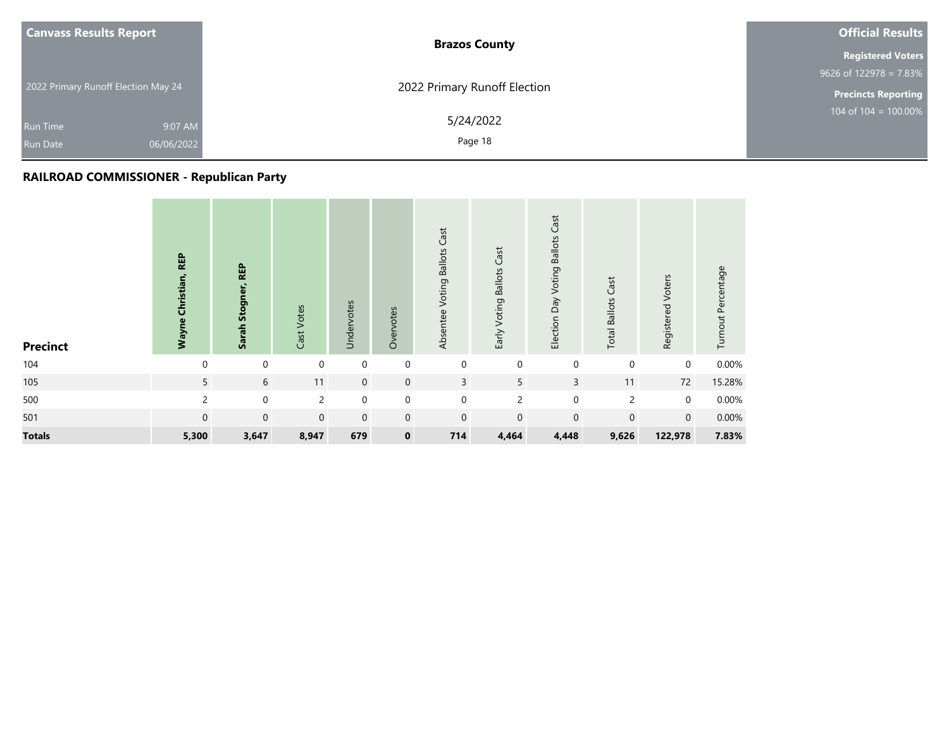|                                     | <b>Canvass Results Report</b> | <b>Brazos County</b>         | <b>Official Results</b>    |
|-------------------------------------|-------------------------------|------------------------------|----------------------------|
|                                     |                               |                              | <b>Registered Voters</b>   |
|                                     |                               |                              | 9626 of $122978 = 7.83\%$  |
| 2022 Primary Runoff Election May 24 |                               | 2022 Primary Runoff Election | <b>Precincts Reporting</b> |
| <b>Run Time</b>                     | 9:07 AM                       | 5/24/2022                    | 104 of $104 = 100.00\%$    |
| <b>Run Date</b>                     | 06/06/2022                    | Page 18                      |                            |
|                                     |                               |                              |                            |

| <b>Precinct</b> | <b>REP</b><br>Wayne Christian, | <b>REP</b><br>Sarah Stogner, | Cast Votes   | Undervotes  | Overvotes   | Cast<br>Voting Ballots<br>Absentee | Early Voting Ballots Cast | Cast<br>Election Day Voting Ballots | <b>Total Ballots Cast</b> | Registered Voters | Turnout Percentage |
|-----------------|--------------------------------|------------------------------|--------------|-------------|-------------|------------------------------------|---------------------------|-------------------------------------|---------------------------|-------------------|--------------------|
| 104             | $\Omega$                       | $\mathbf 0$                  | $\mathbf 0$  | $\mathbf 0$ | $\mathbf 0$ | $\mathbf{0}$                       | $\mathbf 0$               | $\mathbf 0$                         | 0                         | $\mathbf 0$       | 0.00%              |
| 105             | 5                              | 6                            | 11           | $\mathbf 0$ | $\mathbf 0$ | $\overline{3}$                     | 5                         | 3                                   | 11                        | 72                | 15.28%             |
| 500             | $\overline{2}$                 | $\pmb{0}$                    | 2            | $\pmb{0}$   | $\mathbf 0$ | $\mathbf 0$                        | $\overline{c}$            | $\mathbf 0$                         | 2                         | $\mathbf 0$       | $0.00\%$           |
| 501             | $\mathbf 0$                    | $\mathbf 0$                  | $\mathbf{0}$ | $\mathbf 0$ | $\mathbf 0$ | $\mathbf 0$                        | $\mathbf 0$               | $\mathbf 0$                         | $\mathbf 0$               | $\mathbf 0$       | 0.00%              |
| <b>Totals</b>   | 5,300                          | 3,647                        | 8,947        | 679         | $\mathbf 0$ | 714                                | 4,464                     | 4,448                               | 9,626                     | 122,978           | 7.83%              |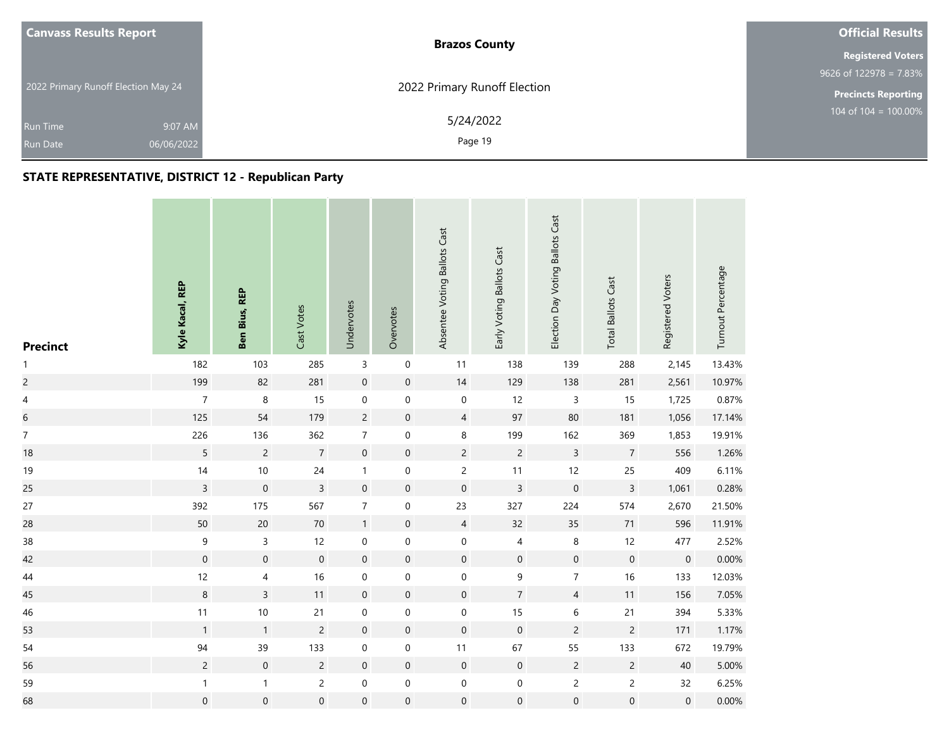| <b>Canvass Results Report</b>       | <b>Brazos County</b>         | <b>Official Results</b>    |
|-------------------------------------|------------------------------|----------------------------|
|                                     |                              | <b>Registered Voters</b>   |
|                                     |                              | $9626$ of 122978 = 7.83%   |
| 2022 Primary Runoff Election May 24 | 2022 Primary Runoff Election | <b>Precincts Reporting</b> |
| 9:07 AM<br><b>Run Time</b>          | 5/24/2022                    | 104 of $104 = 100.00\%$    |
| 06/06/2022<br><b>Run Date</b>       | Page 19                      |                            |

## **STATE REPRESENTATIVE, DISTRICT 12 - Republican Party**

| <b>Precinct</b>          | Kyle Kacal, REP  | Ben Bius, REP            | Cast Votes          | Undervotes       | Overvotes           | Absentee Voting Ballots Cast | Early Voting Ballots Cast | Election Day Voting Ballots Cast | <b>Total Ballots Cast</b> | Registered Voters | Turnout Percentage |
|--------------------------|------------------|--------------------------|---------------------|------------------|---------------------|------------------------------|---------------------------|----------------------------------|---------------------------|-------------------|--------------------|
| $\mathbf{1}$             | 182              | 103                      | 285                 | $\mathsf 3$      | $\mathbf 0$         | 11                           | 138                       | 139                              | 288                       | 2,145             | 13.43%             |
| $\overline{c}$           | 199              | 82                       | 281                 | $\mathbf 0$      | $\mathbf 0$         | 14                           | 129                       | 138                              | 281                       | 2,561             | 10.97%             |
| $\overline{\mathcal{L}}$ | $\boldsymbol{7}$ | $\, 8$                   | 15                  | $\boldsymbol{0}$ | $\boldsymbol{0}$    | $\pmb{0}$                    | 12                        | 3                                | 15                        | 1,725             | 0.87%              |
| $\sqrt{6}$               | 125              | 54                       | 179                 | $\mathsf{2}\,$   | $\mathsf{O}\xspace$ | $\overline{4}$               | 97                        | 80                               | 181                       | 1,056             | 17.14%             |
| $\overline{7}$           | 226              | 136                      | 362                 | $\overline{7}$   | 0                   | $\,8\,$                      | 199                       | 162                              | 369                       | 1,853             | 19.91%             |
| 18                       | 5                | $\overline{c}$           | $\overline{7}$      | $\mathbf 0$      | $\pmb{0}$           | $\overline{c}$               | $\overline{c}$            | $\mathsf{3}$                     | $\overline{7}$            | 556               | 1.26%              |
| 19                       | $14$             | $10\,$                   | $24$                | $\mathbf{1}$     | $\mathbf 0$         | $\overline{c}$               | 11                        | 12                               | 25                        | 409               | 6.11%              |
| 25                       | $\overline{3}$   | $\mathbf 0$              | $\overline{3}$      | $\boldsymbol{0}$ | $\mathbf 0$         | $\mathbf 0$                  | $\overline{3}$            | $\pmb{0}$                        | $\overline{3}$            | 1,061             | 0.28%              |
| 27                       | 392              | 175                      | 567                 | $\boldsymbol{7}$ | $\pmb{0}$           | 23                           | 327                       | 224                              | 574                       | 2,670             | 21.50%             |
| 28                       | 50               | 20                       | 70                  | $\mathbf{1}$     | $\mathsf{O}\xspace$ | $\overline{4}$               | 32                        | 35                               | 71                        | 596               | 11.91%             |
| 38                       | $\mathsf 9$      | $\overline{3}$           | 12                  | $\mathbf 0$      | $\boldsymbol{0}$    | $\mathbf 0$                  | $\overline{\mathcal{L}}$  | $\,8\,$                          | 12                        | 477               | 2.52%              |
| 42                       | $\mathbf 0$      | $\mathbf 0$              | $\boldsymbol{0}$    | $\mathbf 0$      | $\mathbf 0$         | $\mathsf{O}\xspace$          | $\mathbf 0$               | $\mathsf{O}\xspace$              | $\boldsymbol{0}$          | $\mathbf 0$       | 0.00%              |
| $44\,$                   | 12               | $\overline{\mathcal{A}}$ | 16                  | $\mathbf 0$      | $\pmb{0}$           | $\pmb{0}$                    | $\mathsf 9$               | $\overline{7}$                   | 16                        | 133               | 12.03%             |
| 45                       | $\,8\,$          | $\overline{3}$           | 11                  | $\mathbf 0$      | $\pmb{0}$           | $\boldsymbol{0}$             | $\overline{7}$            | $\overline{4}$                   | 11                        | 156               | 7.05%              |
| 46                       | 11               | $10\,$                   | 21                  | $\pmb{0}$        | 0                   | $\boldsymbol{0}$             | 15                        | 6                                | 21                        | 394               | 5.33%              |
| 53                       | $\mathbf{1}$     | $\mathbf{1}$             | $\overline{c}$      | $\boldsymbol{0}$ | $\pmb{0}$           | $\boldsymbol{0}$             | $\mathbf 0$               | $\overline{c}$                   | $\overline{c}$            | 171               | 1.17%              |
| 54                       | 94               | 39                       | 133                 | $\mathbf 0$      | $\pmb{0}$           | 11                           | 67                        | 55                               | 133                       | 672               | 19.79%             |
| 56                       | $\overline{c}$   | $\mathbf 0$              | $\overline{c}$      | $\mathbf 0$      | $\mathsf{O}\xspace$ | $\mathbf 0$                  | $\boldsymbol{0}$          | $\overline{2}$                   | $\overline{c}$            | 40                | 5.00%              |
| 59                       | $\mathbf{1}$     | $\mathbf{1}$             | $\overline{c}$      | $\boldsymbol{0}$ | $\boldsymbol{0}$    | $\boldsymbol{0}$             | $\mathbf 0$               | $\overline{c}$                   | $\overline{c}$            | 32                | 6.25%              |
| 68                       | $\boldsymbol{0}$ | $\mathsf{O}\xspace$      | $\mathsf{O}\xspace$ | $\mathbf 0$      | $\boldsymbol{0}$    | $\boldsymbol{0}$             | $\mathbf 0$               | $\mathsf{O}\xspace$              | $\mathbf 0$               | $\mathbf 0$       | 0.00%              |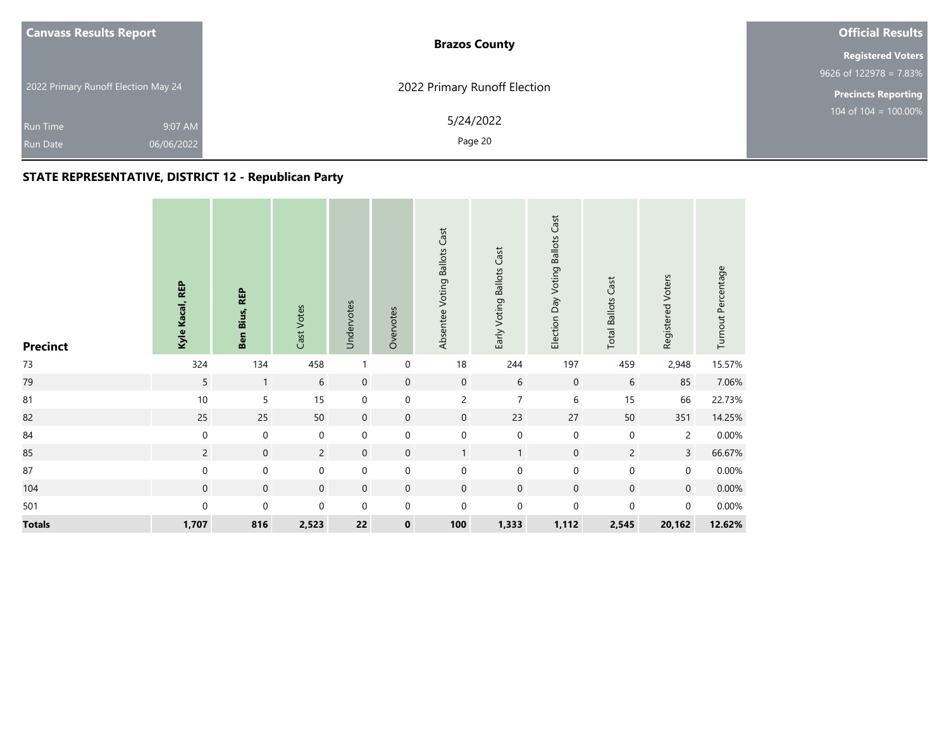| <b>Canvass Results Report</b>                                     | <b>Brazos County</b>         | <b>Official Results</b>    |
|-------------------------------------------------------------------|------------------------------|----------------------------|
|                                                                   |                              | <b>Registered Voters</b>   |
|                                                                   |                              | $9626$ of 122978 = 7.83%   |
|                                                                   |                              | <b>Precincts Reporting</b> |
|                                                                   | 5/24/2022                    | 104 of $104 = 100.00\%$    |
| 06/06/2022<br><b>Run Date</b>                                     | Page 20                      |                            |
| 2022 Primary Runoff Election May 24<br>9:07 AM<br><b>Run Time</b> | 2022 Primary Runoff Election |                            |

## **STATE REPRESENTATIVE, DISTRICT 12 - Republican Party**

| <b>Precinct</b> | Kyle Kacal, REP | Bius, REP<br>Ben | Cast Votes     | Undervotes       | Overvotes        | Absentee Voting Ballots Cast | Early Voting Ballots Cast | Election Day Voting Ballots Cast | <b>Total Ballots Cast</b> | Registered Voters | Turnout Percentage |
|-----------------|-----------------|------------------|----------------|------------------|------------------|------------------------------|---------------------------|----------------------------------|---------------------------|-------------------|--------------------|
| $73\,$          | 324             | 134              | 458            |                  | $\mathbf 0$      | 18                           | 244                       | 197                              | 459                       | 2,948             | 15.57%             |
| 79              | 5               | $\mathbf{1}$     | 6              | $\boldsymbol{0}$ | $\mathbf 0$      | $\mathsf{O}\xspace$          | 6                         | $\mathbf 0$                      | 6                         | 85                | 7.06%              |
| 81              | $10$            | 5                | 15             | $\mathbf 0$      | $\boldsymbol{0}$ | $\overline{c}$               | $\overline{7}$            | 6                                | 15                        | 66                | 22.73%             |
| 82              | 25              | 25               | 50             | $\mathbf 0$      | $\mathbf 0$      | $\mathsf{O}\xspace$          | 23                        | 27                               | 50                        | 351               | 14.25%             |
| 84              | $\mathbf 0$     | $\mathbf 0$      | $\mathbf 0$    | $\boldsymbol{0}$ | $\boldsymbol{0}$ | $\boldsymbol{0}$             | $\mathbf 0$               | $\mathsf{O}$                     | $\pmb{0}$                 | $\overline{2}$    | 0.00%              |
| 85              | $\overline{c}$  | $\mathbf 0$      | $\overline{2}$ | $\mathbf 0$      | $\mathbf 0$      | $\mathbf{1}$                 | $\mathbf{1}$              | $\overline{0}$                   | $\overline{2}$            | $\overline{3}$    | 66.67%             |
| 87              | $\mathbf 0$     | $\boldsymbol{0}$ | $\mathbf 0$    | $\boldsymbol{0}$ | $\boldsymbol{0}$ | $\boldsymbol{0}$             | $\pmb{0}$                 | $\mathsf{O}$                     | 0                         | $\mathbf 0$       | 0.00%              |
| 104             | $\mathbf 0$     | $\mathbf 0$      | $\mathbf 0$    | $\mathbf 0$      | $\mathbf 0$      | $\mathbf 0$                  | $\mathbf 0$               | $\mathbf 0$                      | $\mathbf 0$               | $\mathbf 0$       | 0.00%              |
| 501             | $\mathbf 0$     | $\mathbf 0$      | $\mathbf 0$    | $\mathbf 0$      | $\boldsymbol{0}$ | 0                            | $\mathbf 0$               | $\mathbf 0$                      | 0                         | $\mathbf 0$       | 0.00%              |
| <b>Totals</b>   | 1,707           | 816              | 2,523          | 22               | $\pmb{0}$        | 100                          | 1,333                     | 1,112                            | 2,545                     | 20,162            | 12.62%             |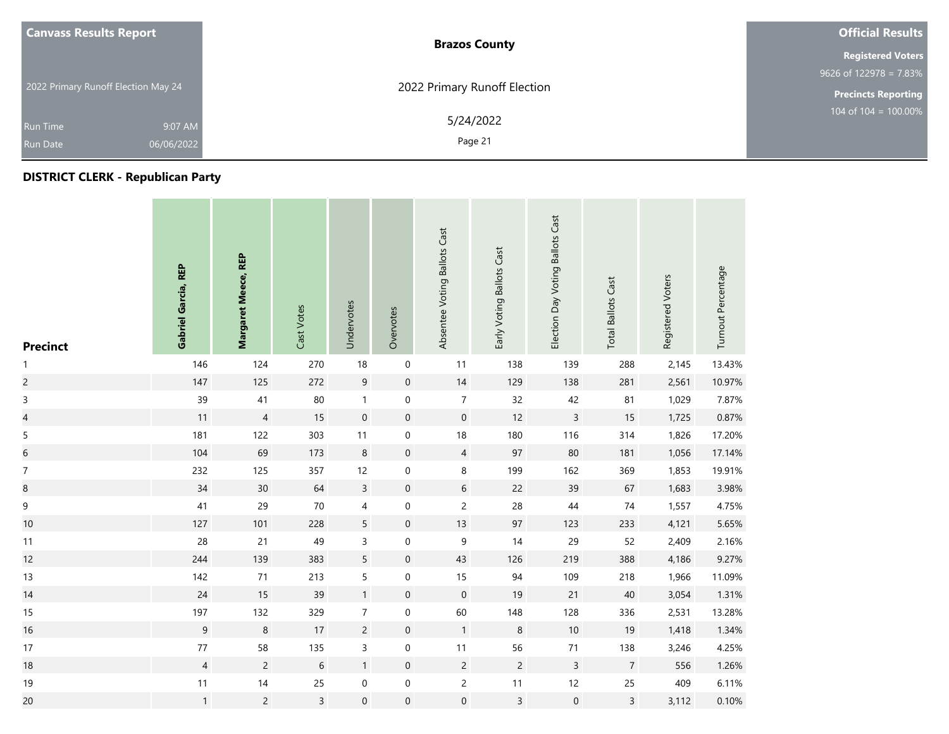| <b>Canvass Results Report</b>       |            | <b>Brazos County</b>         | <b>Official Results</b>                     |
|-------------------------------------|------------|------------------------------|---------------------------------------------|
|                                     |            |                              | <b>Registered Voters</b>                    |
|                                     |            |                              | 9626 of $122978 = 7.83\%$                   |
| 2022 Primary Runoff Election May 24 |            | 2022 Primary Runoff Election | <b>Precincts Reporting</b>                  |
| <b>Run Time</b>                     | 9:07 AM    | 5/24/2022                    | $104 \overline{\text{ of } 104} = 100.00\%$ |
| Run Date                            | 06/06/2022 | Page 21                      |                                             |

| <b>Precinct</b>          | Gabriel Garcia, REP | Margaret Meece, REP | Cast Votes     | Undervotes              | Overvotes           | Absentee Voting Ballots Cast | Early Voting Ballots Cast | Election Day Voting Ballots Cast | <b>Total Ballots Cast</b> | Registered Voters | Turnout Percentage |
|--------------------------|---------------------|---------------------|----------------|-------------------------|---------------------|------------------------------|---------------------------|----------------------------------|---------------------------|-------------------|--------------------|
| $\mathbf{1}$             | 146                 | 124                 | 270            | 18                      | $\mathbf 0$         | 11                           | 138                       | 139                              | 288                       | 2,145             | 13.43%             |
| $\overline{c}$           | 147                 | 125                 | 272            | 9                       | $\mathsf{O}\xspace$ | $14$                         | 129                       | 138                              | 281                       | 2,561             | 10.97%             |
| $\mathsf 3$              | 39                  | $41\,$              | $80\,$         | $\mathbf{1}$            | $\boldsymbol{0}$    | $\overline{7}$               | 32                        | 42                               | 81                        | 1,029             | 7.87%              |
| $\overline{\mathcal{L}}$ | 11                  | $\sqrt{4}$          | 15             | $\mathbf 0$             | $\mathbf 0$         | $\mathsf{O}\xspace$          | 12                        | $\mathsf{3}$                     | 15                        | 1,725             | 0.87%              |
| $\overline{5}$           | 181                 | 122                 | 303            | 11                      | 0                   | $18\,$                       | 180                       | 116                              | 314                       | 1,826             | 17.20%             |
| $\overline{6}$           | 104                 | 69                  | 173            | $\,8\,$                 | $\mathsf{O}\xspace$ | $\overline{4}$               | $97\,$                    | 80                               | 181                       | 1,056             | 17.14%             |
| $\overline{7}$           | 232                 | 125                 | 357            | 12                      | 0                   | 8                            | 199                       | 162                              | 369                       | 1,853             | 19.91%             |
| 8                        | $34$                | $30\,$              | 64             | $\mathsf{3}$            | $\pmb{0}$           | $\boldsymbol{6}$             | 22                        | 39                               | 67                        | 1,683             | 3.98%              |
| 9                        | 41                  | 29                  | $70\,$         | $\overline{\mathbf{4}}$ | $\boldsymbol{0}$    | $\overline{c}$               | 28                        | 44                               | 74                        | 1,557             | 4.75%              |
| 10                       | 127                 | 101                 | 228            | 5                       | $\boldsymbol{0}$    | 13                           | 97                        | 123                              | 233                       | 4,121             | 5.65%              |
| 11                       | 28                  | 21                  | 49             | 3                       | $\boldsymbol{0}$    | $\boldsymbol{9}$             | 14                        | 29                               | 52                        | 2,409             | 2.16%              |
| 12                       | 244                 | 139                 | 383            | 5                       | $\pmb{0}$           | 43                           | 126                       | 219                              | 388                       | 4,186             | 9.27%              |
| 13                       | 142                 | 71                  | 213            | 5                       | 0                   | 15                           | 94                        | 109                              | 218                       | 1,966             | 11.09%             |
| 14                       | 24                  | 15                  | 39             | $\mathbf{1}$            | $\mathbf 0$         | $\mathbf 0$                  | $19$                      | $21$                             | 40                        | 3,054             | 1.31%              |
| 15                       | 197                 | 132                 | 329            | $\overline{7}$          | 0                   | 60                           | 148                       | 128                              | 336                       | 2,531             | 13.28%             |
| 16                       | $\boldsymbol{9}$    | $\,8\,$             | $17\,$         | $\overline{c}$          | $\pmb{0}$           | $\mathbf{1}$                 | $\,8\,$                   | $10\,$                           | 19                        | 1,418             | 1.34%              |
| 17                       | $77\,$              | 58                  | 135            | $\overline{3}$          | $\boldsymbol{0}$    | $11$                         | 56                        | 71                               | 138                       | 3,246             | 4.25%              |
| 18                       | $\overline{4}$      | $\overline{c}$      | 6              | $\mathbf{1}$            | $\boldsymbol{0}$    | $\overline{c}$               | $\overline{2}$            | $\mathsf{3}$                     | $\overline{7}$            | 556               | 1.26%              |
| 19                       | $11$                | $14$                | 25             | $\,0\,$                 | $\boldsymbol{0}$    | $\overline{c}$               | $11$                      | 12                               | 25                        | 409               | 6.11%              |
| 20                       | $\mathbf{1}$        | $\overline{c}$      | $\overline{3}$ | $\boldsymbol{0}$        | 0                   | $\mathbf 0$                  | 3                         | $\boldsymbol{0}$                 | $\overline{3}$            | 3,112             | 0.10%              |

and the contract of the contract of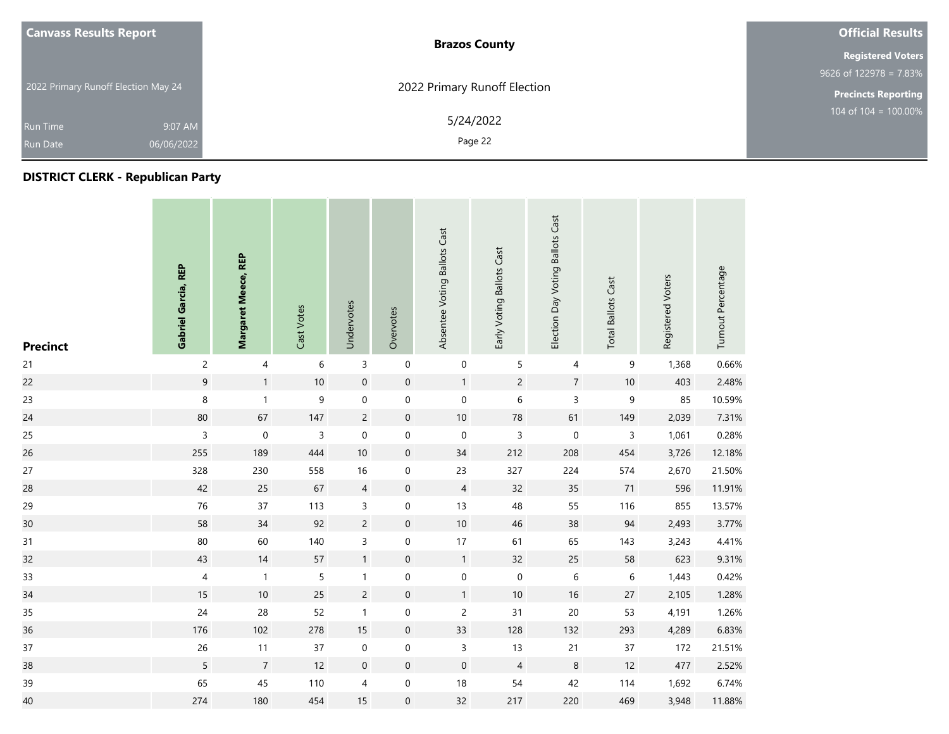| <b>Canvass Results Report</b>       |            | <b>Brazos County</b>         | <b>Official Results</b>    |
|-------------------------------------|------------|------------------------------|----------------------------|
|                                     |            |                              | <b>Registered Voters</b>   |
|                                     |            |                              | 9626 of $122978 = 7.83\%$  |
| 2022 Primary Runoff Election May 24 |            | 2022 Primary Runoff Election | <b>Precincts Reporting</b> |
| Run Time                            | 9:07 AM    | 5/24/2022                    | $104$ of $104 = 100.00\%$  |
| Run Date                            | 06/06/2022 | Page 22                      |                            |

| <b>Precinct</b> | Gabriel Garcia, REP | Margaret Meece, REP | Cast Votes  | Undervotes       | Overvotes           | Absentee Voting Ballots Cast | Early Voting Ballots Cast | Election Day Voting Ballots Cast | <b>Total Ballots Cast</b> | Registered Voters | Turnout Percentage |
|-----------------|---------------------|---------------------|-------------|------------------|---------------------|------------------------------|---------------------------|----------------------------------|---------------------------|-------------------|--------------------|
| 21              | $\overline{c}$      | 4                   | 6           | 3                | 0                   | $\pmb{0}$                    | 5                         | 4                                | 9                         | 1,368             | 0.66%              |
| 22              | $\boldsymbol{9}$    | $\mathbf{1}$        | $10\,$      | $\mathbf 0$      | $\pmb{0}$           | $\mathbf{1}$                 | $\overline{c}$            | $\boldsymbol{7}$                 | 10                        | 403               | 2.48%              |
| 23              | 8                   | $\mathbf{1}$        | $\mathsf 9$ | $\pmb{0}$        | $\boldsymbol{0}$    | $\boldsymbol{0}$             | $\,$ 6 $\,$               | $\mathsf{3}$                     | 9                         | 85                | 10.59%             |
| 24              | $80\,$              | 67                  | 147         | $\overline{c}$   | $\boldsymbol{0}$    | $10\,$                       | ${\bf 78}$                | 61                               | 149                       | 2,039             | 7.31%              |
| 25              | $\mathsf{3}$        | $\mathbf 0$         | $\mathsf 3$ | $\pmb{0}$        | $\boldsymbol{0}$    | $\,0\,$                      | $\mathsf 3$               | $\mathbf 0$                      | $\mathsf 3$               | 1,061             | 0.28%              |
| 26              | 255                 | 189                 | 444         | $10\,$           | $\pmb{0}$           | 34                           | 212                       | 208                              | 454                       | 3,726             | 12.18%             |
| 27              | 328                 | 230                 | 558         | 16               | $\pmb{0}$           | 23                           | 327                       | 224                              | 574                       | 2,670             | 21.50%             |
| 28              | 42                  | 25                  | 67          | $\overline{4}$   | $\boldsymbol{0}$    | $\overline{4}$               | 32                        | 35                               | $71$                      | 596               | 11.91%             |
| 29              | $76\,$              | 37                  | 113         | 3                | 0                   | 13                           | 48                        | 55                               | 116                       | 855               | 13.57%             |
| 30              | 58                  | 34                  | 92          | $\overline{c}$   | $\mathsf{O}\xspace$ | $10\,$                       | 46                        | 38                               | 94                        | 2,493             | 3.77%              |
| 31              | 80                  | 60                  | 140         | 3                | 0                   | $17\,$                       | 61                        | 65                               | 143                       | 3,243             | 4.41%              |
| 32              | 43                  | 14                  | 57          | $\mathbf{1}$     | $\pmb{0}$           | 1                            | 32                        | 25                               | 58                        | 623               | 9.31%              |
| 33              | $\pmb{4}$           | $\mathbf{1}$        | 5           | $\mathbf{1}$     | $\boldsymbol{0}$    | $\mathbf 0$                  | $\mathbf 0$               | $\,6\,$                          | $\,$ 6 $\,$               | 1,443             | 0.42%              |
| 34              | 15                  | 10                  | 25          | $\overline{c}$   | $\boldsymbol{0}$    | $\mathbf{1}$                 | $10\,$                    | 16                               | 27                        | 2,105             | 1.28%              |
| 35              | 24                  | 28                  | 52          | $\mathbf{1}$     | $\pmb{0}$           | $\overline{c}$               | 31                        | $20\,$                           | 53                        | 4,191             | 1.26%              |
| 36              | 176                 | 102                 | 278         | 15               | $\boldsymbol{0}$    | 33                           | 128                       | 132                              | 293                       | 4,289             | 6.83%              |
| 37              | 26                  | 11                  | $37\,$      | $\pmb{0}$        | $\boldsymbol{0}$    | $\mathsf{3}$                 | 13                        | 21                               | $37\,$                    | 172               | 21.51%             |
| 38              | 5                   | $\overline{7}$      | 12          | $\boldsymbol{0}$ | $\pmb{0}$           | $\mathbf 0$                  | $\overline{4}$            | $\,8\,$                          | 12                        | 477               | 2.52%              |
| 39              | 65                  | 45                  | 110         | 4                | $\boldsymbol{0}$    | 18                           | 54                        | 42                               | 114                       | 1,692             | 6.74%              |
| 40              | 274                 | 180                 | 454         | 15               | 0                   | 32                           | 217                       | 220                              | 469                       | 3,948             | 11.88%             |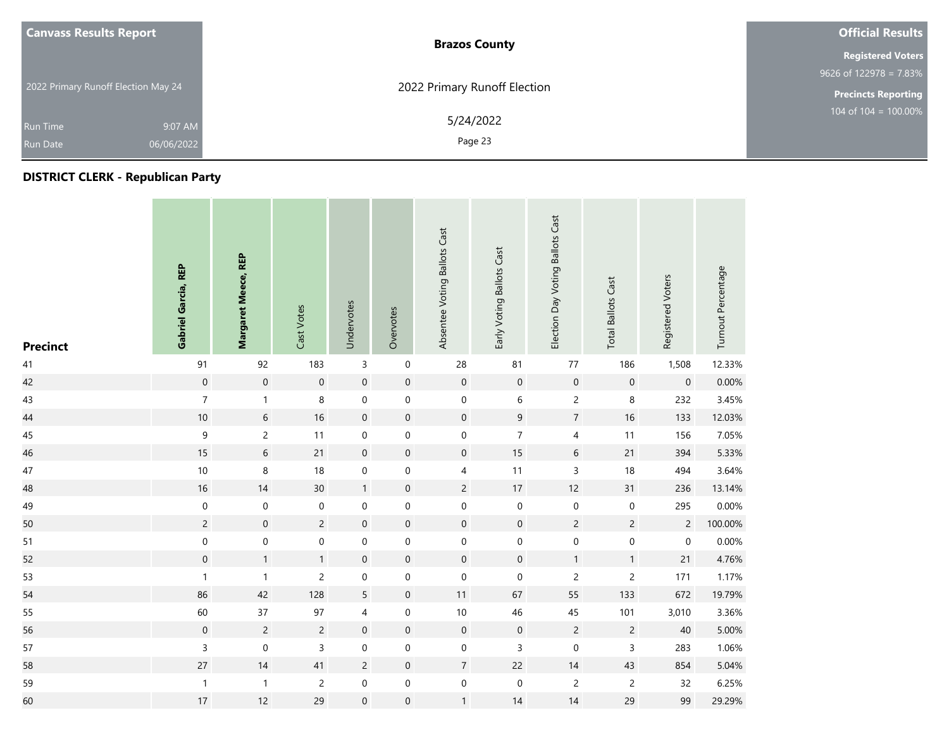| <b>Canvass Results Report</b>       |            | <b>Brazos County</b>         | <b>Official Results</b>    |
|-------------------------------------|------------|------------------------------|----------------------------|
|                                     |            |                              | <b>Registered Voters</b>   |
|                                     |            |                              | 9626 of $122978 = 7.83\%$  |
| 2022 Primary Runoff Election May 24 |            | 2022 Primary Runoff Election | <b>Precincts Reporting</b> |
| Run Time                            | 9:07 AM    | 5/24/2022                    | $104$ of $104 = 100.00\%$  |
| Run Date                            | 06/06/2022 | Page 23                      |                            |

| <b>Precinct</b> | Gabriel Garcia, REP | Margaret Meece, REP | Cast Votes       | Undervotes       | Overvotes        | Absentee Voting Ballots Cast | Early Voting Ballots Cast | Election Day Voting Ballots Cast | <b>Total Ballots Cast</b> | Registered Voters | Turnout Percentage |
|-----------------|---------------------|---------------------|------------------|------------------|------------------|------------------------------|---------------------------|----------------------------------|---------------------------|-------------------|--------------------|
| 41              | 91                  | 92                  | 183              | 3                | $\mathbf 0$      | 28                           | 81                        | $77\,$                           | 186                       | 1,508             | 12.33%             |
| 42              | $\boldsymbol{0}$    | $\mathbf 0$         | $\boldsymbol{0}$ | $\mathbf 0$      | $\boldsymbol{0}$ | $\mathbf 0$                  | $\boldsymbol{0}$          | $\boldsymbol{0}$                 | $\boldsymbol{0}$          | $\mathbf 0$       | 0.00%              |
| 43              | $\overline{7}$      | $\mathbf{1}$        | $\bf8$           | $\pmb{0}$        | $\pmb{0}$        | $\mathbf 0$                  | $\,$ 6 $\,$               | $\overline{c}$                   | 8                         | 232               | 3.45%              |
| 44              | $10$                | $6\phantom{a}$      | $16$             | $\boldsymbol{0}$ | $\boldsymbol{0}$ | $\mathsf{O}\xspace$          | $9\,$                     | $\overline{7}$                   | 16                        | 133               | 12.03%             |
| 45              | 9                   | $\overline{c}$      | 11               | $\boldsymbol{0}$ | 0                | $\boldsymbol{0}$             | $\boldsymbol{7}$          | 4                                | 11                        | 156               | 7.05%              |
| 46              | 15                  | $6\phantom{a}$      | 21               | $\mathbf 0$      | $\mathbf 0$      | $\mathsf{O}\xspace$          | 15                        | $\sqrt{6}$                       | 21                        | 394               | 5.33%              |
| 47              | $10\,$              | 8                   | 18               | $\boldsymbol{0}$ | $\boldsymbol{0}$ | 4                            | 11                        | 3                                | 18                        | 494               | 3.64%              |
| 48              | $16\,$              | 14                  | $30\,$           | $\mathbf{1}$     | $\boldsymbol{0}$ | $\overline{c}$               | $17\,$                    | 12                               | 31                        | 236               | 13.14%             |
| 49              | $\mathbf 0$         | $\mathbf 0$         | $\mathbf 0$      | $\pmb{0}$        | $\boldsymbol{0}$ | $\boldsymbol{0}$             | $\mathsf{O}\xspace$       | $\mathbf 0$                      | $\pmb{0}$                 | 295               | 0.00%              |
| 50              | $\overline{c}$      | $\mathsf{O}\xspace$ | $\overline{2}$   | $\boldsymbol{0}$ | $\boldsymbol{0}$ | $\mathsf{O}\xspace$          | $\mathbf 0$               | $\overline{c}$                   | $\overline{2}$            | $\overline{c}$    | 100.00%            |
| 51              | $\mathsf{O}\xspace$ | $\boldsymbol{0}$    | $\boldsymbol{0}$ | $\mathbf 0$      | $\boldsymbol{0}$ | $\boldsymbol{0}$             | $\mathsf{O}\xspace$       | $\mathbf 0$                      | $\mathbf 0$               | $\mathbf 0$       | 0.00%              |
| 52              | $\boldsymbol{0}$    | $\mathbf{1}$        | $\mathbf{1}$     | $\boldsymbol{0}$ | $\pmb{0}$        | $\mathsf{O}\xspace$          | $\mathbf 0$               | $\mathbf{1}$                     | $\mathbf{1}$              | 21                | 4.76%              |
| 53              | $\mathbf{1}$        | $\mathbf{1}$        | $\overline{c}$   | $\boldsymbol{0}$ | $\boldsymbol{0}$ | $\mathbf 0$                  | $\mbox{O}$                | $\overline{c}$                   | $\overline{c}$            | 171               | 1.17%              |
| 54              | 86                  | 42                  | 128              | 5                | $\mathbf 0$      | 11                           | 67                        | 55                               | 133                       | 672               | 19.79%             |
| 55              | 60                  | 37                  | 97               | 4                | $\boldsymbol{0}$ | $10\,$                       | 46                        | 45                               | 101                       | 3,010             | 3.36%              |
| 56              | $\mathsf{O}\xspace$ | $\overline{c}$      | $\overline{c}$   | $\boldsymbol{0}$ | $\boldsymbol{0}$ | $\mathbf 0$                  | $\boldsymbol{0}$          | $\overline{c}$                   | $\overline{c}$            | 40                | 5.00%              |
| 57              | $\mathsf{3}$        | $\mathbf 0$         | $\overline{3}$   | $\mathbf 0$      | $\mathbf 0$      | $\mathbf 0$                  | $\overline{3}$            | $\mathbf 0$                      | $\overline{3}$            | 283               | 1.06%              |
| 58              | 27                  | 14                  | 41               | $\overline{c}$   | $\mathbf 0$      | $7\overline{ }$              | 22                        | 14                               | 43                        | 854               | 5.04%              |
| 59              | $\mathbf{1}$        | $\mathbf{1}$        | $\overline{c}$   | $\boldsymbol{0}$ | $\pmb{0}$        | $\mathbf 0$                  | $\mathbf 0$               | $\overline{c}$                   | $\overline{c}$            | 32                | 6.25%              |
| 60              | 17                  | 12                  | 29               | $\boldsymbol{0}$ | 0                | $\mathbf{1}$                 | 14                        | 14                               | 29                        | 99                | 29.29%             |

and the con-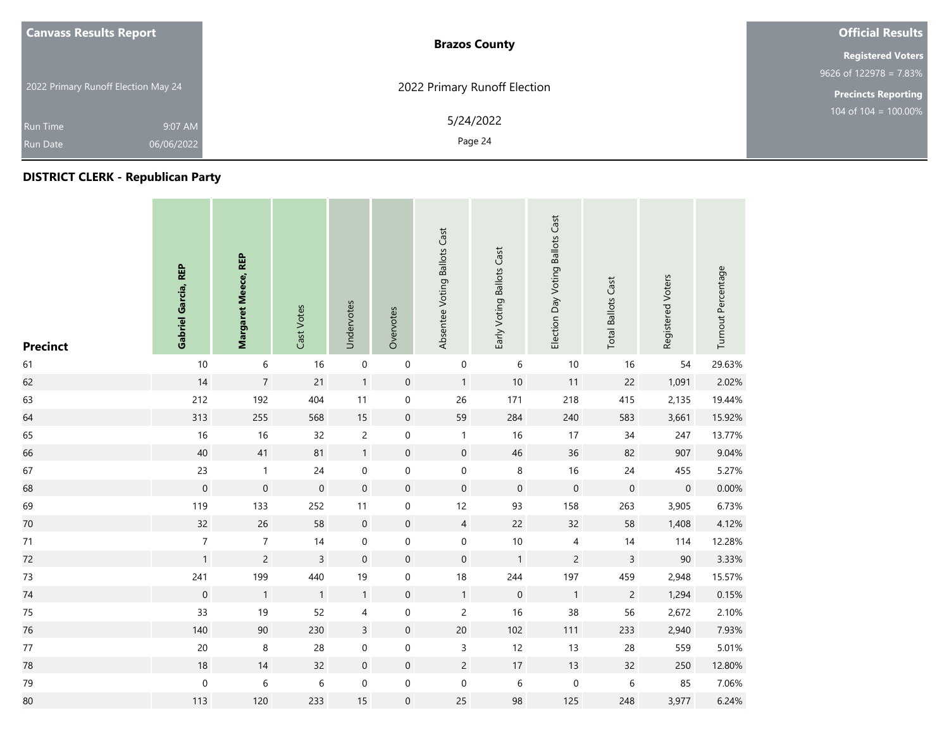| <b>Canvass Results Report</b>       | <b>Brazos County</b>         | <b>Official Results</b>    |
|-------------------------------------|------------------------------|----------------------------|
|                                     |                              | <b>Registered Voters</b>   |
|                                     |                              | 9626 of $122978 = 7.83\%$  |
| 2022 Primary Runoff Election May 24 | 2022 Primary Runoff Election | <b>Precincts Reporting</b> |
| Run Time                            | 5/24/2022<br>9:07 AM         | $104$ of $104 = 100.00\%$  |
| 06/06/2022<br>Run Date              | Page 24                      |                            |

| <b>Precinct</b> | Gabriel Garcia, REP | Margaret Meece, REP | Cast Votes   | Undervotes       | Overvotes        | Absentee Voting Ballots Cast | Early Voting Ballots Cast | Election Day Voting Ballots Cast | <b>Total Ballots Cast</b> | Registered Voters | Turnout Percentage |
|-----------------|---------------------|---------------------|--------------|------------------|------------------|------------------------------|---------------------------|----------------------------------|---------------------------|-------------------|--------------------|
| 61              | $10\,$              | 6                   | 16           | $\mathbf 0$      | $\boldsymbol{0}$ | 0                            | 6                         | $10$                             | 16                        | 54                | 29.63%             |
| 62              | 14                  | $\overline{7}$      | 21           | $\mathbf{1}$     | $\pmb{0}$        | 1                            | $10$                      | 11                               | 22                        | 1,091             | 2.02%              |
| 63              | 212                 | 192                 | 404          | 11               | $\pmb{0}$        | 26                           | 171                       | 218                              | 415                       | 2,135             | 19.44%             |
| 64              | 313                 | 255                 | 568          | $15\,$           | $\pmb{0}$        | 59                           | 284                       | 240                              | 583                       | 3,661             | 15.92%             |
| 65              | 16                  | 16                  | 32           | $\overline{c}$   | 0                | $\mathbf{1}$                 | 16                        | 17                               | 34                        | 247               | 13.77%             |
| 66              | $40\,$              | 41                  | 81           | $\mathbf{1}$     | $\pmb{0}$        | $\mathbf 0$                  | $46\,$                    | 36                               | 82                        | 907               | 9.04%              |
| 67              | 23                  | $\mathbf{1}$        | 24           | $\mathbf 0$      | $\boldsymbol{0}$ | $\boldsymbol{0}$             | $\,8\,$                   | 16                               | 24                        | 455               | 5.27%              |
| 68              | $\boldsymbol{0}$    | $\mathbf 0$         | $\mathbf 0$  | $\boldsymbol{0}$ | $\boldsymbol{0}$ | $\boldsymbol{0}$             | $\mathbf 0$               | $\mathbf 0$                      | $\boldsymbol{0}$          | $\mathbf 0$       | 0.00%              |
| 69              | 119                 | 133                 | 252          | 11               | $\boldsymbol{0}$ | 12                           | 93                        | 158                              | 263                       | 3,905             | 6.73%              |
| 70              | 32                  | 26                  | 58           | $\boldsymbol{0}$ | $\mathbf 0$      | $\overline{4}$               | 22                        | 32                               | 58                        | 1,408             | 4.12%              |
| $71$            | $\overline{7}$      | $\overline{7}$      | 14           | $\pmb{0}$        | $\boldsymbol{0}$ | $\boldsymbol{0}$             | $10\,$                    | $\overline{\mathcal{A}}$         | 14                        | 114               | 12.28%             |
| 72              | $\mathbf{1}$        | $\overline{c}$      | $\mathsf{3}$ | $\mathbf 0$      | $\mathbf 0$      | $\mathsf{O}\xspace$          | $\overline{1}$            | $\overline{c}$                   | $\overline{3}$            | 90                | 3.33%              |
| $73$            | 241                 | 199                 | 440          | 19               | $\pmb{0}$        | $18\,$                       | 244                       | 197                              | 459                       | 2,948             | 15.57%             |
| 74              | $\mathbf 0$         | $\overline{1}$      | $\mathbf{1}$ | $\mathbf{1}$     | $\pmb{0}$        | $\mathbf{1}$                 | $\,0\,$                   | $\overline{1}$                   | $\overline{c}$            | 1,294             | 0.15%              |
| $75\,$          | 33                  | 19                  | 52           | 4                | $\pmb{0}$        | $\overline{c}$               | $16$                      | $38\,$                           | 56                        | 2,672             | 2.10%              |
| 76              | 140                 | 90                  | 230          | $\mathsf 3$      | $\pmb{0}$        | $20\,$                       | 102                       | 111                              | 233                       | 2,940             | 7.93%              |
| $77\,$          | $20\,$              | 8                   | 28           | $\boldsymbol{0}$ | $\boldsymbol{0}$ | $\mathsf{3}$                 | 12                        | 13                               | 28                        | 559               | 5.01%              |
| 78              | $18\,$              | 14                  | 32           | $\mathbf 0$      | $\pmb{0}$        | $\overline{c}$               | 17                        | 13                               | 32                        | 250               | 12.80%             |
| 79              | $\pmb{0}$           | 6                   | 6            | $\pmb{0}$        | $\boldsymbol{0}$ | $\boldsymbol{0}$             | $\,$ 6 $\,$               | $\mathbf 0$                      | $\,$ 6 $\,$               | 85                | 7.06%              |
| 80              | 113                 | 120                 | 233          | 15               | $\boldsymbol{0}$ | 25                           | 98                        | 125                              | 248                       | 3,977             | 6.24%              |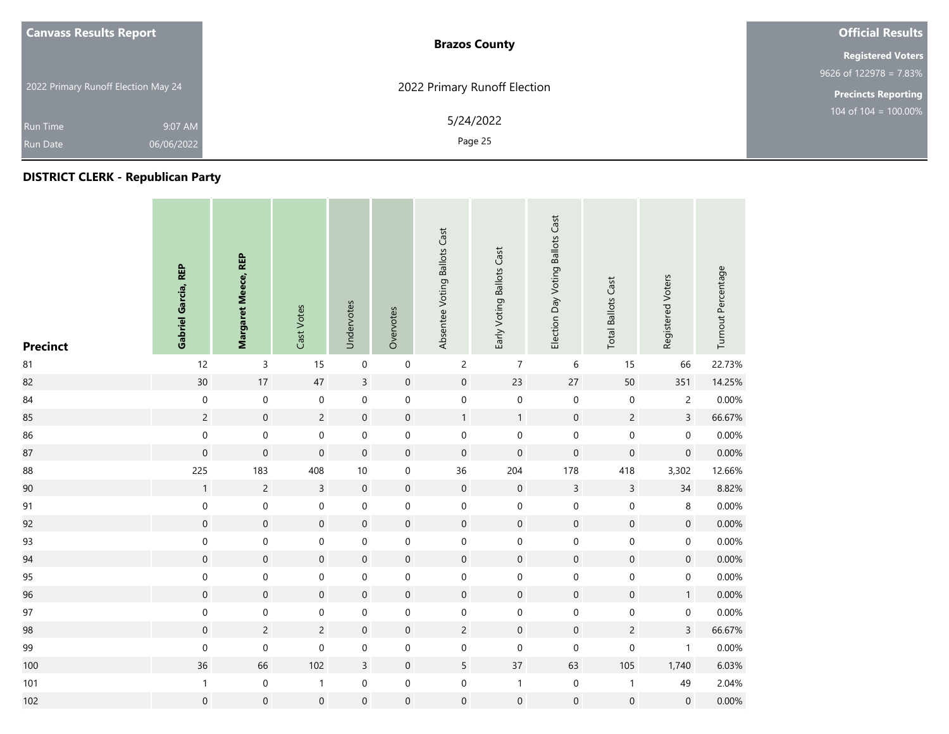| <b>Canvass Results Report</b>       |            | <b>Brazos County</b>         | <b>Official Results</b>    |
|-------------------------------------|------------|------------------------------|----------------------------|
|                                     |            |                              | <b>Registered Voters</b>   |
|                                     |            |                              | 9626 of $122978 = 7.83\%$  |
| 2022 Primary Runoff Election May 24 |            | 2022 Primary Runoff Election | <b>Precincts Reporting</b> |
| Run Time                            | 9:07 AM    | 5/24/2022                    | $104$ of $104 = 100.00\%$  |
| Run Date                            | 06/06/2022 | Page 25                      |                            |

| <b>Precinct</b> | Gabriel Garcia, REP | Margaret Meece, REP | Cast Votes          | Undervotes       | Overvotes           | Absentee Voting Ballots Cast | Early Voting Ballots Cast | Election Day Voting Ballots Cast | <b>Total Ballots Cast</b> | Registered Voters   | Turnout Percentage |
|-----------------|---------------------|---------------------|---------------------|------------------|---------------------|------------------------------|---------------------------|----------------------------------|---------------------------|---------------------|--------------------|
| 81              | 12                  | $\mathsf{3}$        | 15                  | $\mathbf 0$      | $\mathbf 0$         | $\overline{c}$               | $\overline{7}$            | 6                                | 15                        | 66                  | 22.73%             |
| 82              | 30 <sub>o</sub>     | 17                  | $47\,$              | $\mathsf{3}$     | $\pmb{0}$           | $\mathbf 0$                  | $23\,$                    | 27                               | $50\,$                    | 351                 | 14.25%             |
| 84              | $\boldsymbol{0}$    | $\,0\,$             | $\boldsymbol{0}$    | $\mathbf 0$      | $\boldsymbol{0}$    | $\boldsymbol{0}$             | $\,0\,$                   | $\mathbf 0$                      | $\mathbf 0$               | $\overline{c}$      | 0.00%              |
| 85              | $\overline{c}$      | $\mathsf{O}\xspace$ | $\overline{c}$      | $\mathbf 0$      | $\mathsf{O}\xspace$ | 1                            | $\mathbf{1}$              | $\mathbf 0$                      | $\overline{2}$            | $\overline{3}$      | 66.67%             |
| 86              | $\mathbf 0$         | $\mathbf 0$         | $\pmb{0}$           | $\pmb{0}$        | $\mathbf 0$         | $\boldsymbol{0}$             | $\mathbf 0$               | $\mathbf 0$                      | $\mathbf 0$               | $\mathbf 0$         | 0.00%              |
| 87              | $\boldsymbol{0}$    | $\mathsf{O}\xspace$ | $\mathbf 0$         | $\boldsymbol{0}$ | $\mathsf{O}\xspace$ | $\mathsf{O}\xspace$          | $\mathbf 0$               | $\mathbf 0$                      | $\mathbf 0$               | $\mathbf 0$         | 0.00%              |
| 88              | 225                 | 183                 | 408                 | $10\,$           | $\boldsymbol{0}$    | 36                           | 204                       | 178                              | 418                       | 3,302               | 12.66%             |
| 90              | $\mathbf{1}$        | $\overline{c}$      | $\overline{3}$      | $\mathbf 0$      | $\mathbf 0$         | $\mathsf{O}\xspace$          | $\mathbf 0$               | $\mathsf{3}$                     | $\mathsf{3}$              | 34                  | 8.82%              |
| 91              | $\mathbf 0$         | $\mathbf 0$         | $\mathbf 0$         | $\pmb{0}$        | $\boldsymbol{0}$    | $\boldsymbol{0}$             | $\mathbf 0$               | $\mathbf 0$                      | $\mathbf 0$               | $\bf 8$             | 0.00%              |
| 92              | $\mathbf 0$         | $\mathsf{O}\xspace$ | $\boldsymbol{0}$    | $\mathbf 0$      | $\pmb{0}$           | $\mathbf 0$                  | $\mathbf 0$               | $\boldsymbol{0}$                 | $\mathsf{O}\xspace$       | $\mathbf 0$         | 0.00%              |
| 93              | $\boldsymbol{0}$    | $\mathbf 0$         | $\boldsymbol{0}$    | $\pmb{0}$        | $\boldsymbol{0}$    | $\boldsymbol{0}$             | $\mathbf 0$               | $\mathsf{O}\xspace$              | $\mathbf 0$               | $\mathbf 0$         | 0.00%              |
| 94              | $\mathbf 0$         | $\mathsf{O}\xspace$ | $\mathbf 0$         | $\mathbf 0$      | $\mathsf{O}\xspace$ | $\mathsf{O}\xspace$          | $\boldsymbol{0}$          | $\boldsymbol{0}$                 | $\mathbf 0$               | $\mathsf{O}\xspace$ | 0.00%              |
| 95              | $\boldsymbol{0}$    | $\pmb{0}$           | $\pmb{0}$           | $\pmb{0}$        | $\mathbf 0$         | $\mathbf 0$                  | $\mathbf 0$               | $\mathsf{O}\xspace$              | $\mathbf 0$               | $\mathbf 0$         | 0.00%              |
| 96              | $\mathbf 0$         | $\mathsf{O}\xspace$ | $\mathbf 0$         | $\mathbf 0$      | $\mathbf 0$         | $\pmb{0}$                    | $\mathbf 0$               | $\mathbf 0$                      | $\mathsf{O}\xspace$       | 1                   | 0.00%              |
| 97              | $\boldsymbol{0}$    | $\boldsymbol{0}$    | $\boldsymbol{0}$    | $\mathbf 0$      | $\boldsymbol{0}$    | $\mathsf{O}\xspace$          | $\mathbf 0$               | $\mathbf 0$                      | $\mathbf 0$               | $\mathbf 0$         | 0.00%              |
| 98              | $\mathbf{0}$        | $\overline{c}$      | $\overline{2}$      | $\boldsymbol{0}$ | $\boldsymbol{0}$    | $\overline{2}$               | $\mathbf 0$               | $\boldsymbol{0}$                 | $\overline{c}$            | $\overline{3}$      | 66.67%             |
| 99              | $\boldsymbol{0}$    | $\mathbf 0$         | $\mathsf{O}\xspace$ | $\pmb{0}$        | $\mathsf{O}\xspace$ | $\boldsymbol{0}$             | $\mathbf 0$               | $\mathbf 0$                      | $\mathbf 0$               | $\mathbf{1}$        | 0.00%              |
| 100             | 36                  | 66                  | 102                 | 3                | $\pmb{0}$           | $5\phantom{.0}$              | 37                        | 63                               | 105                       | 1,740               | 6.03%              |
| 101             | $\mathbf{1}$        | $\,0\,$             | $\mathbf{1}$        | $\boldsymbol{0}$ | $\pmb{0}$           | $\pmb{0}$                    | $\mathbf{1}$              | $\pmb{0}$                        | $\mathbf{1}$              | 49                  | 2.04%              |
| 102             | $\boldsymbol{0}$    | $\boldsymbol{0}$    | $\boldsymbol{0}$    | $\boldsymbol{0}$ | $\mathbf 0$         | $\boldsymbol{0}$             | $\mathbf 0$               | $\mathbf 0$                      | $\boldsymbol{0}$          | $\mathbf 0$         | 0.00%              |

and the con-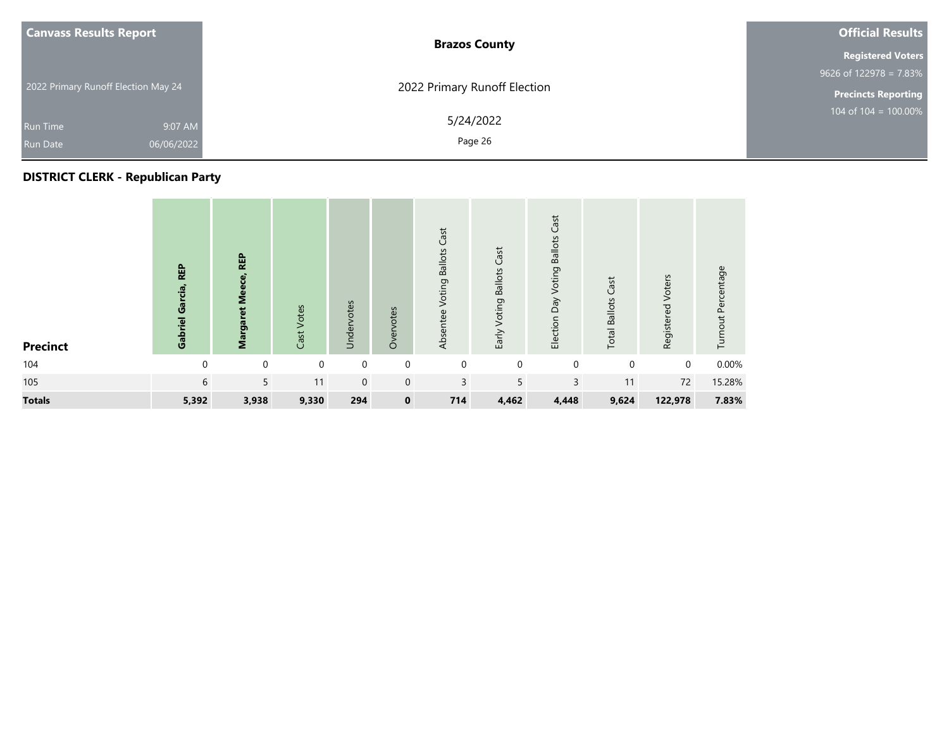| <b>Canvass Results Report</b>       |            | <b>Brazos County</b>         | <b>Official Results</b>    |
|-------------------------------------|------------|------------------------------|----------------------------|
|                                     |            |                              | <b>Registered Voters</b>   |
|                                     |            |                              | 9626 of $122978 = 7.83\%$  |
| 2022 Primary Runoff Election May 24 |            | 2022 Primary Runoff Election | <b>Precincts Reporting</b> |
| <b>Run Time</b>                     | 9:07 AM    | 5/24/2022                    | $104$ of $104 = 100.00\%$  |
| <b>Run Date</b>                     | 06/06/2022 | Page 26                      |                            |

| <b>Precinct</b> | <b>REP</b><br>Gabriel Garcia, | <b>REP</b><br>Margaret Meece, | Cast Votes  | Undervotes  | Overvotes    | Cast<br><b>Voting Ballots</b><br>Absentee | Cast<br><b>Voting Ballots</b><br>Early | Cast<br><b>Ballots</b><br>Voting<br>VeQ<br>Election | Cast<br><b>Total Ballots</b> | Registered Voters | Turnout Percentage |
|-----------------|-------------------------------|-------------------------------|-------------|-------------|--------------|-------------------------------------------|----------------------------------------|-----------------------------------------------------|------------------------------|-------------------|--------------------|
| 104             | $\Omega$                      | $\Omega$                      | $\mathbf 0$ | 0           | $\mathbf 0$  | $\mathbf 0$                               | $\mathbf 0$                            | $\mathbf 0$                                         | 0                            | $\mathbf 0$       | 0.00%              |
| 105             | 6                             | 5                             | 11          | $\mathbf 0$ | $\mathbf 0$  | 3                                         | 5                                      | 3                                                   | 11                           | 72                | 15.28%             |
| <b>Totals</b>   | 5,392                         | 3,938                         | 9,330       | 294         | $\mathbf{0}$ | 714                                       | 4,462                                  | 4,448                                               | 9,624                        | 122,978           | 7.83%              |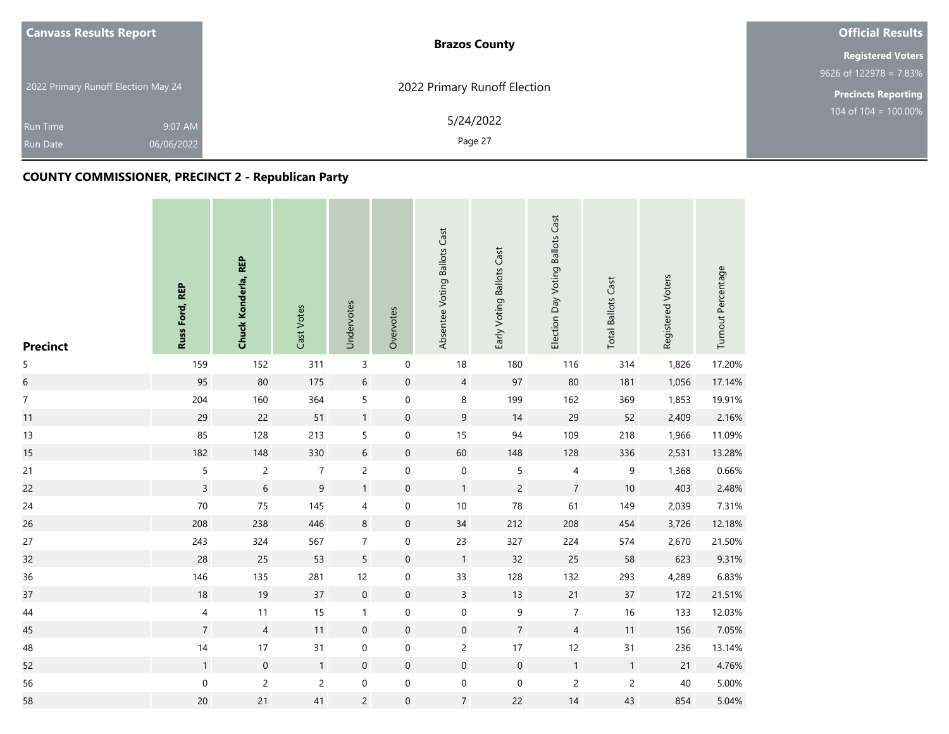| <b>Canvass Results Report</b>       | <b>Brazos County</b>         | <b>Official Results</b>    |
|-------------------------------------|------------------------------|----------------------------|
|                                     |                              | <b>Registered Voters</b>   |
|                                     |                              | 9626 of $122978 = 7.83\%$  |
| 2022 Primary Runoff Election May 24 | 2022 Primary Runoff Election | <b>Precincts Reporting</b> |
| 9:07 AM<br><b>Run Time</b>          | 5/24/2022                    | 104 of $104 = 100.00\%$    |
| 06/06/2022<br><b>Run Date</b>       | Page 27                      |                            |

## **COUNTY COMMISSIONER, PRECINCT 2 - Republican Party**

| <b>Precinct</b>  | Russ Ford, REP   | Chuck Konderla, REP | Cast Votes     | Undervotes       | Overvotes           | Absentee Voting Ballots Cast | Early Voting Ballots Cast | Election Day Voting Ballots Cast | <b>Total Ballots Cast</b> | Registered Voters | Turnout Percentage |
|------------------|------------------|---------------------|----------------|------------------|---------------------|------------------------------|---------------------------|----------------------------------|---------------------------|-------------------|--------------------|
| 5                | 159              | 152                 | 311            | $\mathsf 3$      | $\mathbf 0$         | $18$                         | 180                       | 116                              | 314                       | 1,826             | 17.20%             |
| $\sqrt{6}$       | 95               | 80                  | 175            | $\sqrt{6}$       | $\mathbf 0$         | $\overline{4}$               | 97                        | 80                               | 181                       | 1,056             | 17.14%             |
| $\boldsymbol{7}$ | 204              | 160                 | 364            | 5                | $\pmb{0}$           | $\,8\,$                      | 199                       | 162                              | 369                       | 1,853             | 19.91%             |
| 11               | 29               | 22                  | 51             | $\mathbf{1}$     | $\pmb{0}$           | $\mathsf 9$                  | 14                        | 29                               | 52                        | 2,409             | 2.16%              |
| 13               | 85               | 128                 | 213            | $\mathsf S$      | $\pmb{0}$           | 15                           | 94                        | 109                              | 218                       | 1,966             | 11.09%             |
| 15               | 182              | 148                 | 330            | $\sqrt{6}$       | $\mathsf{O}\xspace$ | 60                           | 148                       | 128                              | 336                       | 2,531             | 13.28%             |
| 21               | 5                | $\overline{c}$      | $\overline{7}$ | $\overline{c}$   | $\boldsymbol{0}$    | $\mathbf 0$                  | $\sqrt{5}$                | $\overline{4}$                   | 9                         | 1,368             | 0.66%              |
| 22               | $\overline{3}$   | $\sqrt{6}$          | 9              | $\mathbf{1}$     | $\mathbf 0$         | $\mathbf{1}$                 | $\overline{c}$            | $\overline{7}$                   | $10$                      | 403               | 2.48%              |
| 24               | 70               | 75                  | 145            | $\overline{4}$   | $\pmb{0}$           | $10$                         | 78                        | 61                               | 149                       | 2,039             | 7.31%              |
| 26               | 208              | 238                 | 446            | $\,8\,$          | $\mathsf{O}\xspace$ | 34                           | 212                       | 208                              | 454                       | 3,726             | 12.18%             |
| 27               | 243              | 324                 | 567            | $\overline{7}$   | $\boldsymbol{0}$    | 23                           | 327                       | 224                              | 574                       | 2,670             | 21.50%             |
| 32               | 28               | 25                  | 53             | $\overline{5}$   | $\mathsf{O}\xspace$ | $\overline{1}$               | 32                        | 25                               | 58                        | 623               | 9.31%              |
| 36               | 146              | 135                 | 281            | 12               | $\pmb{0}$           | 33                           | 128                       | 132                              | 293                       | 4,289             | 6.83%              |
| 37               | $18\,$           | 19                  | 37             | $\mathbf 0$      | $\pmb{0}$           | $\mathsf{3}$                 | 13                        | 21                               | $37\,$                    | 172               | 21.51%             |
| 44               | $\overline{4}$   | 11                  | 15             | $\mathbf{1}$     | 0                   | $\pmb{0}$                    | 9                         | $\overline{7}$                   | 16                        | 133               | 12.03%             |
| 45               | $\overline{7}$   | $\overline{4}$      | 11             | $\boldsymbol{0}$ | $\pmb{0}$           | $\boldsymbol{0}$             | $\overline{7}$            | $\overline{4}$                   | 11                        | 156               | 7.05%              |
| 48               | 14               | 17                  | 31             | $\mathbf 0$      | $\pmb{0}$           | $\overline{c}$               | 17                        | 12                               | 31                        | 236               | 13.14%             |
| 52               | $\mathbf{1}$     | $\mathsf{O}\xspace$ | $\mathbf{1}$   | $\mathbf 0$      | $\pmb{0}$           | $\mathbf 0$                  | $\mathbf 0$               | $\mathbf{1}$                     | $\mathbf{1}$              | 21                | 4.76%              |
| 56               | $\boldsymbol{0}$ | $\overline{c}$      | $\overline{c}$ | $\boldsymbol{0}$ | $\pmb{0}$           | $\mathbf 0$                  | $\boldsymbol{0}$          | $\overline{c}$                   | $\overline{c}$            | 40                | 5.00%              |
| 58               | $20\,$           | 21                  | 41             | $\overline{c}$   | $\boldsymbol{0}$    | $\overline{7}$               | 22                        | 14                               | 43                        | 854               | 5.04%              |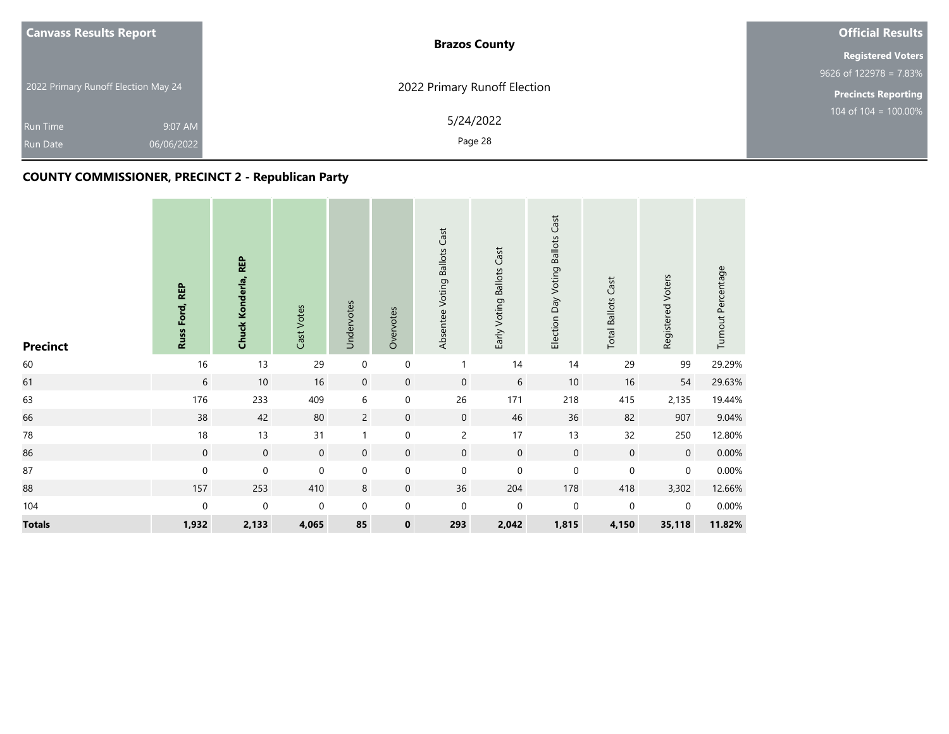| <b>Canvass Results Report</b>       | <b>Brazos County</b>         | <b>Official Results</b>    |
|-------------------------------------|------------------------------|----------------------------|
|                                     |                              | <b>Registered Voters</b>   |
|                                     |                              | 9626 of $122978 = 7.83\%$  |
| 2022 Primary Runoff Election May 24 | 2022 Primary Runoff Election | <b>Precincts Reporting</b> |
| 9:07 AM<br><b>Run Time</b>          | 5/24/2022                    | 104 of $104 = 100.00\%$    |
| 06/06/2022<br><b>Run Date</b>       | Page 28                      |                            |

## **COUNTY COMMISSIONER, PRECINCT 2 - Republican Party**

| <b>Precinct</b> | Russ Ford, REP | Chuck Konderla, REP | Cast Votes  | Undervotes       | Overvotes   | Absentee Voting Ballots Cast | Early Voting Ballots Cast | Election Day Voting Ballots Cast | <b>Total Ballots Cast</b> | Registered Voters | Turnout Percentage |
|-----------------|----------------|---------------------|-------------|------------------|-------------|------------------------------|---------------------------|----------------------------------|---------------------------|-------------------|--------------------|
| 60              | $16$           | 13                  | 29          | $\boldsymbol{0}$ | $\pmb{0}$   | $\overline{1}$               | 14                        | 14                               | 29                        | 99                | 29.29%             |
| 61              | $6\,$          | $10$                | 16          | $\mathbf 0$      | $\mathbf 0$ | $\boldsymbol{0}$             | $\,$ 6 $\,$               | 10                               | $16$                      | 54                | 29.63%             |
| 63              | 176            | 233                 | 409         | $\,$ 6 $\,$      | $\pmb{0}$   | 26                           | 171                       | 218                              | 415                       | 2,135             | 19.44%             |
| 66              | 38             | 42                  | 80          | $\overline{c}$   | $\mathbf 0$ | $\mathsf{O}\xspace$          | 46                        | 36                               | 82                        | 907               | 9.04%              |
| ${\bf 78}$      | $18\,$         | 13                  | 31          | $\mathbf{1}$     | $\pmb{0}$   | $\overline{c}$               | 17                        | 13                               | 32                        | 250               | 12.80%             |
| 86              | $\mathbf 0$    | $\mathsf{O}\xspace$ | $\mathbf 0$ | $\mathbf 0$      | $\mathbf 0$ | $\mathsf{O}\xspace$          | $\mathsf{O}\xspace$       | $\mathbf 0$                      | $\mathbf 0$               | $\mathbf 0$       | 0.00%              |
| 87              | $\mathbf 0$    | $\pmb{0}$           | 0           | $\mathbf 0$      | 0           | $\mathbf 0$                  | $\pmb{0}$                 | $\mathbf 0$                      | 0                         | $\mathbf 0$       | 0.00%              |
| 88              | 157            | 253                 | 410         | 8                | $\mathbf 0$ | 36                           | 204                       | 178                              | 418                       | 3,302             | 12.66%             |
| 104             | 0              | $\boldsymbol{0}$    | 0           | $\mathbf 0$      | $\pmb{0}$   | $\pmb{0}$                    | $\boldsymbol{0}$          | $\pmb{0}$                        | $\pmb{0}$                 | $\mathbf 0$       | 0.00%              |
| <b>Totals</b>   | 1,932          | 2,133               | 4,065       | 85               | $\mathbf 0$ | 293                          | 2,042                     | 1,815                            | 4,150                     | 35,118            | 11.82%             |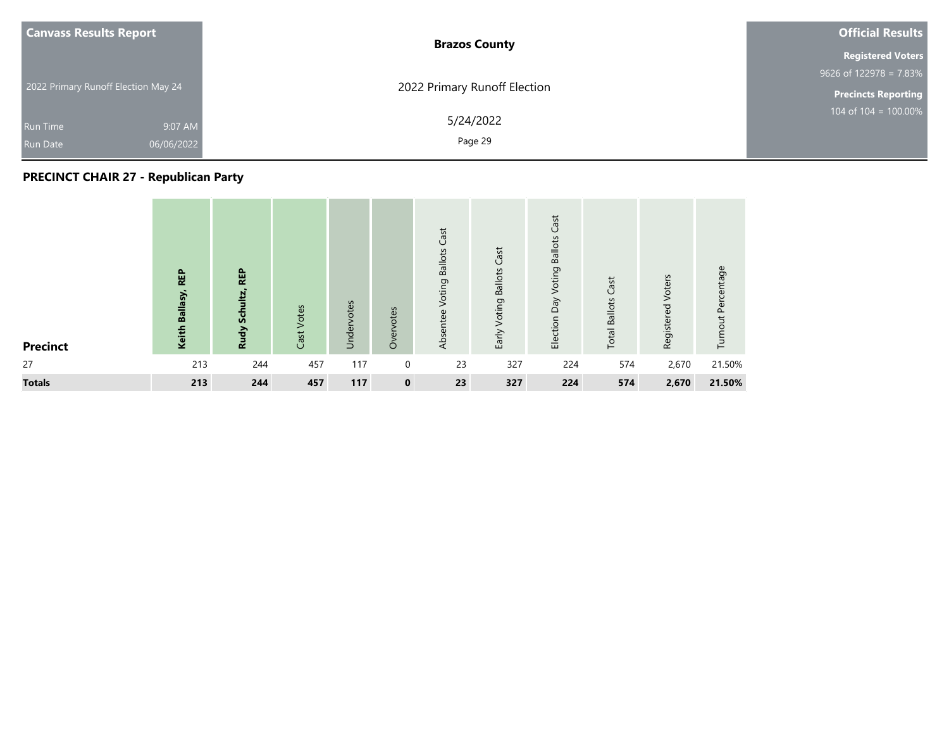| <b>Canvass Results Report</b>       | <b>Brazos County</b>         | <b>Official Results</b>    |
|-------------------------------------|------------------------------|----------------------------|
|                                     |                              | <b>Registered Voters</b>   |
|                                     |                              | 9626 of $122978 = 7.83\%$  |
| 2022 Primary Runoff Election May 24 | 2022 Primary Runoff Election | <b>Precincts Reporting</b> |
| 9:07 AM<br><b>Run Time</b>          | 5/24/2022                    | $104$ of $104 = 100.00\%$  |
| 06/06/2022<br><b>Run Date</b>       | Page 29                      |                            |

## **PRECINCT CHAIR 27 - Republican Party**

| <b>Precinct</b> | <b>REP</b><br>Keith Ballasy, | <b>REP</b><br>Rudy Schultz, | Cast Votes | Undervotes | Overvotes    | Cast<br>Voting Ballots<br>Absentee | Voting Ballots Cast<br>Early | Cast<br>Voting Ballots<br>Day<br>Election | Cast<br><b>Total Ballots</b> | Registered Voters | Turnout Percentage |
|-----------------|------------------------------|-----------------------------|------------|------------|--------------|------------------------------------|------------------------------|-------------------------------------------|------------------------------|-------------------|--------------------|
| 27              | 213                          | 244                         | 457        | 117        | $\mathbf 0$  | 23                                 | 327                          | 224                                       | 574                          | 2,670             | 21.50%             |
| <b>Totals</b>   | 213                          | 244                         | 457        | 117        | $\mathbf{0}$ | 23                                 | 327                          | 224                                       | 574                          | 2,670             | 21.50%             |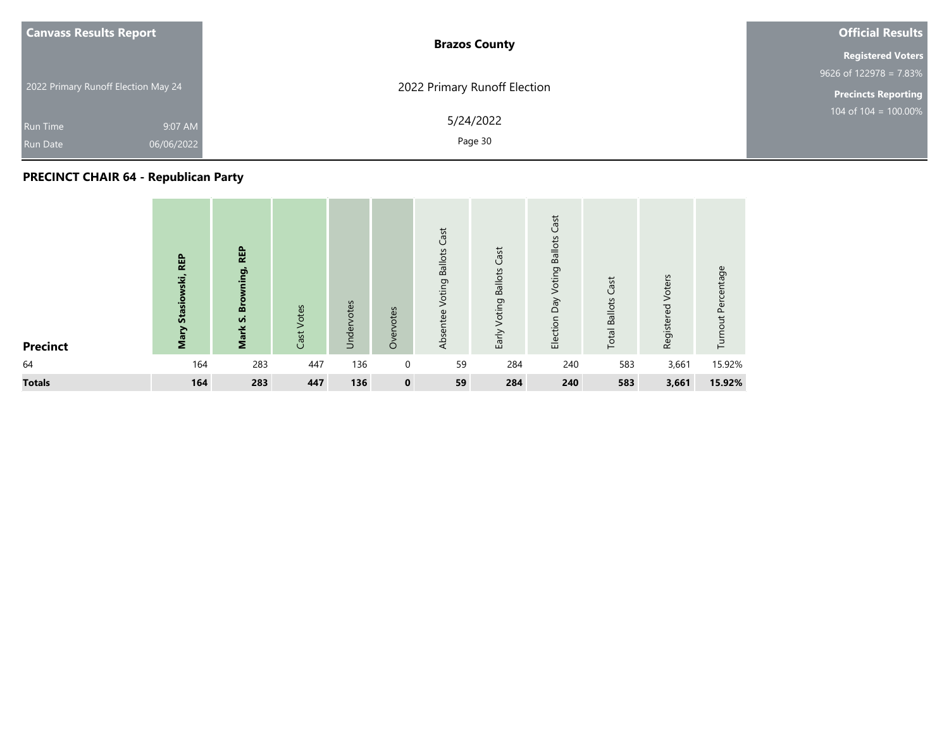| <b>Canvass Results Report</b>       |            | <b>Brazos County</b>         | <b>Official Results</b>    |
|-------------------------------------|------------|------------------------------|----------------------------|
|                                     |            |                              | <b>Registered Voters</b>   |
|                                     |            |                              | 9626 of $122978 = 7.83\%$  |
| 2022 Primary Runoff Election May 24 |            | 2022 Primary Runoff Election | <b>Precincts Reporting</b> |
| <b>Run Time</b>                     | 9:07 AM    | 5/24/2022                    | 104 of $104 = 100.00\%$    |
| <b>Run Date</b>                     | 06/06/2022 | Page 30                      |                            |

## **PRECINCT CHAIR 64 - Republican Party**

| <b>Precinct</b> | <b>REP</b><br>Stasiowski,<br>Mary | <b>REP</b><br>Browning,<br>Mark S. | Cast Votes | Undervotes | Overvotes    | Cast<br>Voting Ballots<br>Absentee | Voting Ballots Cast<br>Early | Cast<br><b>Ballots</b><br>Voting<br>VeQ<br>Election | Cast<br><b>Total Ballots</b> | Registered Voters | Turnout Percentage |
|-----------------|-----------------------------------|------------------------------------|------------|------------|--------------|------------------------------------|------------------------------|-----------------------------------------------------|------------------------------|-------------------|--------------------|
| 64              | 164                               | 283                                | 447        | 136        | $\mathbf 0$  | 59                                 | 284                          | 240                                                 | 583                          | 3,661             | 15.92%             |
| <b>Totals</b>   | 164                               | 283                                | 447        | 136        | $\mathbf{0}$ | 59                                 | 284                          | 240                                                 | 583                          | 3,661             | 15.92%             |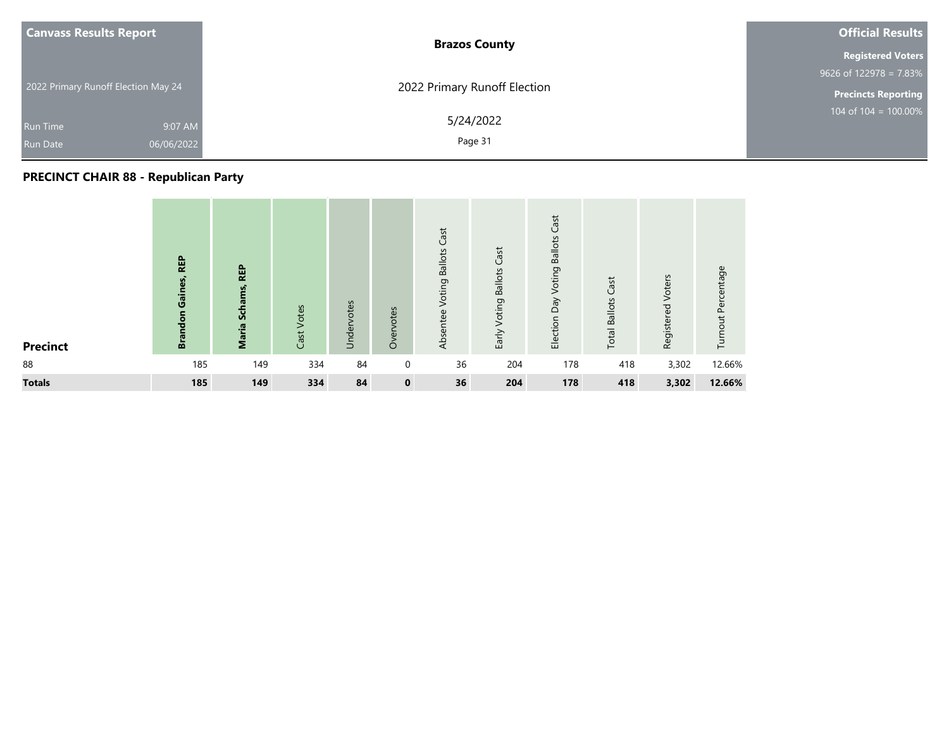| <b>Canvass Results Report</b>       |            | <b>Brazos County</b>         | <b>Official Results</b>    |
|-------------------------------------|------------|------------------------------|----------------------------|
|                                     |            |                              | <b>Registered Voters</b>   |
|                                     |            |                              | 9626 of $122978 = 7.83\%$  |
| 2022 Primary Runoff Election May 24 |            | 2022 Primary Runoff Election | <b>Precincts Reporting</b> |
| <b>Run Time</b>                     | 9:07 AM    | 5/24/2022                    | 104 of $104 = 100.00\%$    |
| <b>Run Date</b>                     | 06/06/2022 | Page 31                      |                            |

## **PRECINCT CHAIR 88 - Republican Party**

| <b>Precinct</b> | <b>REP</b><br>Gaines,<br><b>Brandon</b> | <b>REP</b><br>Schams,<br>Maria | Cast Votes | Undervotes | Overvotes    | Cast<br>Voting Ballots<br>Absentee | Voting Ballots Cast<br>Early | Cast<br><b>Ballots</b><br>Voting<br>Day<br>Election | Cast<br><b>Total Ballots</b> | Registered Voters | Turnout Percentage |
|-----------------|-----------------------------------------|--------------------------------|------------|------------|--------------|------------------------------------|------------------------------|-----------------------------------------------------|------------------------------|-------------------|--------------------|
| 88              | 185                                     | 149                            | 334        | 84         | $\mathbf 0$  | 36                                 | 204                          | 178                                                 | 418                          | 3,302             | 12.66%             |
| <b>Totals</b>   | 185                                     | 149                            | 334        | 84         | $\mathbf{0}$ | 36                                 | 204                          | 178                                                 | 418                          | 3,302             | 12.66%             |